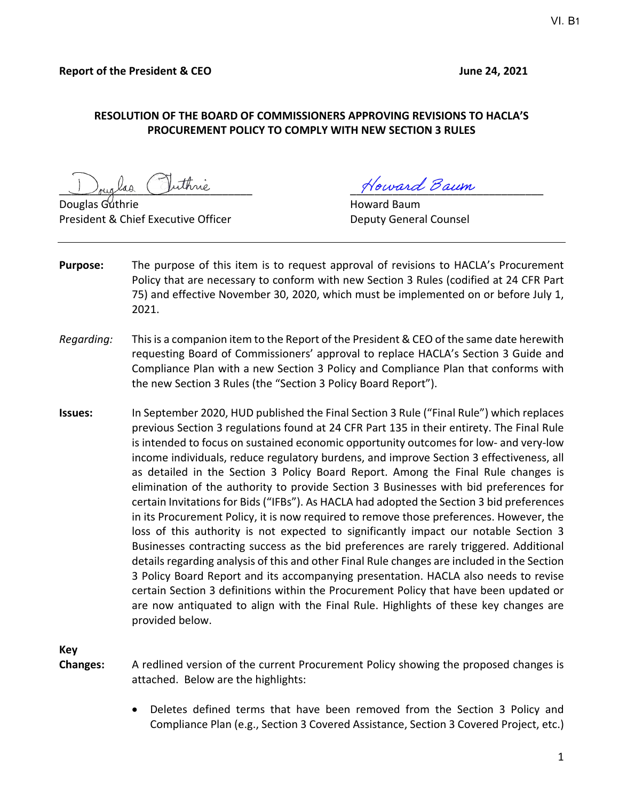#### **RESOLUTION OF THE BOARD OF COMMISSIONERS APPROVING REVISIONS TO HACLA'S PROCUREMENT POLICY TO COMPLY WITH NEW SECTION 3 RULES**

walso Duthine Cuthing

President & Chief Executive Officer **Deputy General Counsel** 

Howard Baum

- **Purpose:** The purpose of this item is to request approval of revisions to HACLA's Procurement Policy that are necessary to conform with new Section 3 Rules (codified at 24 CFR Part 75) and effective November 30, 2020, which must be implemented on or before July 1, 2021.
- *Regarding:* This is a companion item to the Report of the President & CEO of the same date herewith requesting Board of Commissioners' approval to replace HACLA's Section 3 Guide and Compliance Plan with a new Section 3 Policy and Compliance Plan that conforms with the new Section 3 Rules (the "Section 3 Policy Board Report").
- **Issues:** In September 2020, HUD published the Final Section 3 Rule ("Final Rule") which replaces previous Section 3 regulations found at 24 CFR Part 135 in their entirety. The Final Rule is intended to focus on sustained economic opportunity outcomes for low- and very-low income individuals, reduce regulatory burdens, and improve Section 3 effectiveness, all as detailed in the Section 3 Policy Board Report. Among the Final Rule changes is elimination of the authority to provide Section 3 Businesses with bid preferences for certain Invitations for Bids ("IFBs"). As HACLA had adopted the Section 3 bid preferences in its Procurement Policy, it is now required to remove those preferences. However, the loss of this authority is not expected to significantly impact our notable Section 3 Businesses contracting success as the bid preferences are rarely triggered. Additional details regarding analysis of this and other Final Rule changes are included in the Section 3 Policy Board Report and its accompanying presentation. HACLA also needs to revise certain Section 3 definitions within the Procurement Policy that have been updated or are now antiquated to align with the Final Rule. Highlights of these key changes are provided below.

**Key**

**Changes:** A redlined version of the current Procurement Policy showing the proposed changes is attached. Below are the highlights:

> • Deletes defined terms that have been removed from the Section 3 Policy and Compliance Plan (e.g., Section 3 Covered Assistance, Section 3 Covered Project, etc.)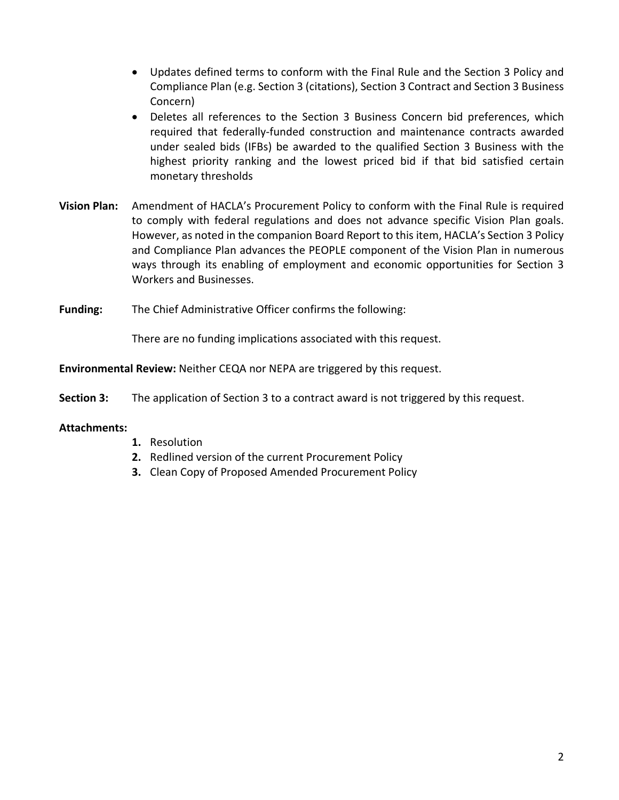- Updates defined terms to conform with the Final Rule and the Section 3 Policy and Compliance Plan (e.g. Section 3 (citations), Section 3 Contract and Section 3 Business Concern)
- Deletes all references to the Section 3 Business Concern bid preferences, which required that federally-funded construction and maintenance contracts awarded under sealed bids (IFBs) be awarded to the qualified Section 3 Business with the highest priority ranking and the lowest priced bid if that bid satisfied certain monetary thresholds
- **Vision Plan:** Amendment of HACLA's Procurement Policy to conform with the Final Rule is required to comply with federal regulations and does not advance specific Vision Plan goals. However, as noted in the companion Board Report to this item, HACLA's Section 3 Policy and Compliance Plan advances the PEOPLE component of the Vision Plan in numerous ways through its enabling of employment and economic opportunities for Section 3 Workers and Businesses.
- **Funding:** The Chief Administrative Officer confirms the following:

There are no funding implications associated with this request.

**Environmental Review:** Neither CEQA nor NEPA are triggered by this request.

**Section 3:** The application of Section 3 to a contract award is not triggered by this request.

#### **Attachments:**

- **1.** Resolution
- **2.** Redlined version of the current Procurement Policy
- **3.** Clean Copy of Proposed Amended Procurement Policy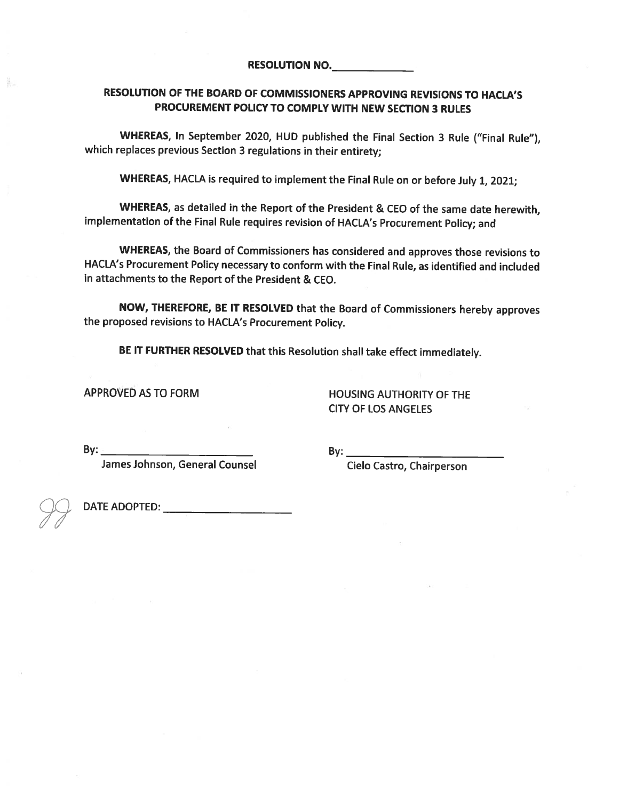#### RESOLUTION OF THE BOARD OF COMMISSIONERS APPROVING REVISIONS TO HACLA'S PROCUREMENT POLICY TO COMPLY WITH NEW SECTION 3 RULES

WHEREAS, In September 2020, HUD published the Final Section 3 Rule ("Final Rule"), which replaces previous Section 3 regulations in their entirety:

WHEREAS, HACLA is required to implement the Final Rule on or before July 1, 2021;

WHEREAS, as detailed in the Report of the President & CEO of the same date herewith, implementation of the Final Rule requires revision of HACLA's Procurement Policy; and

WHEREAS, the Board of Commissioners has considered and approves those revisions to HACLA's Procurement Policy necessary to conform with the Final Rule, as identified and included in attachments to the Report of the President & CEO.

NOW, THEREFORE, BE IT RESOLVED that the Board of Commissioners hereby approves the proposed revisions to HACLA's Procurement Policy.

BE IT FURTHER RESOLVED that this Resolution shall take effect immediately.

APPROVED AS TO FORM

**HOUSING AUTHORITY OF THE CITY OF LOS ANGELES** 

 $By:$ 

James Johnson, General Counsel

By:  $\qquad \qquad$ 

Cielo Castro, Chairperson

äu.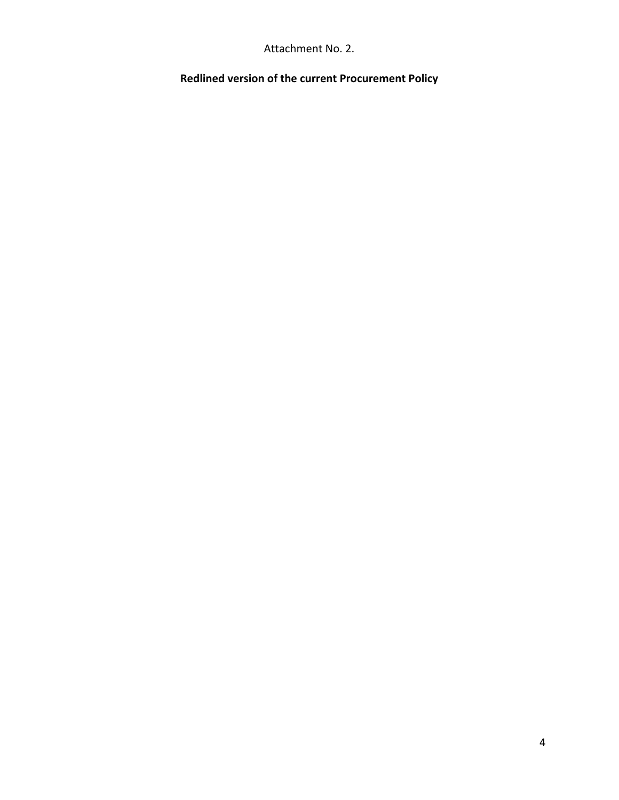Attachment No. 2.

**Redlined version of the current Procurement Policy**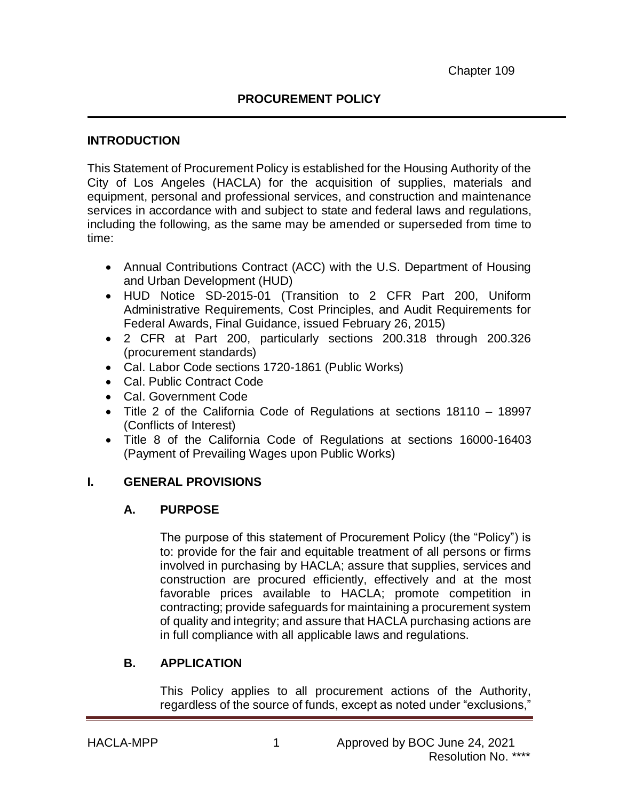### **INTRODUCTION**

This Statement of Procurement Policy is established for the Housing Authority of the City of Los Angeles (HACLA) for the acquisition of supplies, materials and equipment, personal and professional services, and construction and maintenance services in accordance with and subject to state and federal laws and regulations, including the following, as the same may be amended or superseded from time to time:

- Annual Contributions Contract (ACC) with the U.S. Department of Housing and Urban Development (HUD)
- HUD Notice SD-2015-01 (Transition to 2 CFR Part 200, Uniform Administrative Requirements, Cost Principles, and Audit Requirements for Federal Awards, Final Guidance, issued February 26, 2015)
- 2 CFR at Part 200, particularly sections 200.318 through 200.326 (procurement standards)
- Cal. Labor Code sections 1720-1861 (Public Works)
- Cal. Public Contract Code
- Cal. Government Code
- Title 2 of the California Code of Regulations at sections 18110 18997 (Conflicts of Interest)
- Title 8 of the California Code of Regulations at sections 16000-16403 (Payment of Prevailing Wages upon Public Works)

## **I. GENERAL PROVISIONS**

## **A. PURPOSE**

The purpose of this statement of Procurement Policy (the "Policy") is to: provide for the fair and equitable treatment of all persons or firms involved in purchasing by HACLA; assure that supplies, services and construction are procured efficiently, effectively and at the most favorable prices available to HACLA; promote competition in contracting; provide safeguards for maintaining a procurement system of quality and integrity; and assure that HACLA purchasing actions are in full compliance with all applicable laws and regulations.

## **B. APPLICATION**

This Policy applies to all procurement actions of the Authority, regardless of the source of funds, except as noted under "exclusions,"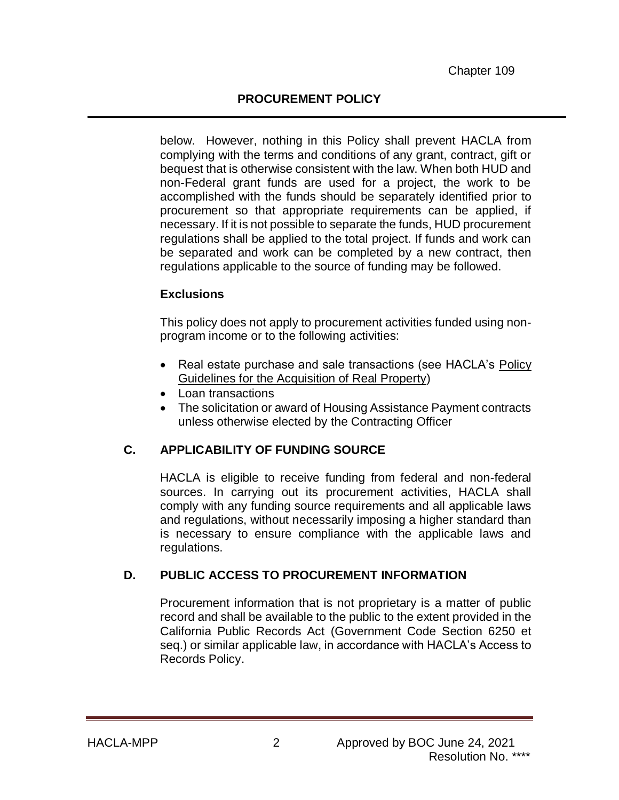below. However, nothing in this Policy shall prevent HACLA from complying with the terms and conditions of any grant, contract, gift or bequest that is otherwise consistent with the law. When both HUD and non-Federal grant funds are used for a project, the work to be accomplished with the funds should be separately identified prior to procurement so that appropriate requirements can be applied, if necessary. If it is not possible to separate the funds, HUD procurement regulations shall be applied to the total project. If funds and work can be separated and work can be completed by a new contract, then regulations applicable to the source of funding may be followed.

#### **Exclusions**

This policy does not apply to procurement activities funded using nonprogram income or to the following activities:

- Real estate purchase and sale transactions (see HACLA's Policy Guidelines for the Acquisition of Real Property)
- Loan transactions
- The solicitation or award of Housing Assistance Payment contracts unless otherwise elected by the Contracting Officer

## **C. APPLICABILITY OF FUNDING SOURCE**

HACLA is eligible to receive funding from federal and non-federal sources. In carrying out its procurement activities, HACLA shall comply with any funding source requirements and all applicable laws and regulations, without necessarily imposing a higher standard than is necessary to ensure compliance with the applicable laws and regulations.

#### **D. PUBLIC ACCESS TO PROCUREMENT INFORMATION**

Procurement information that is not proprietary is a matter of public record and shall be available to the public to the extent provided in the California Public Records Act (Government Code Section 6250 et seq.) or similar applicable law, in accordance with HACLA's Access to Records Policy.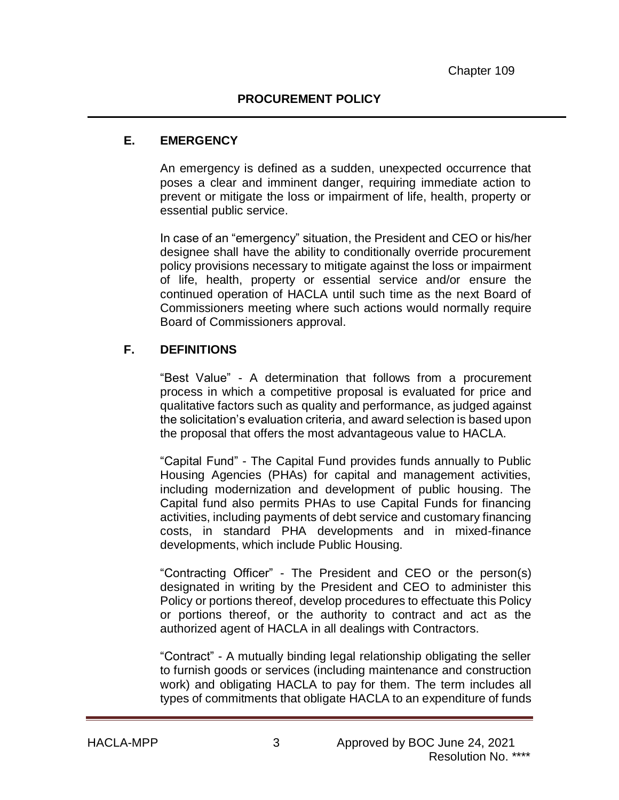### **E. EMERGENCY**

An emergency is defined as a sudden, unexpected occurrence that poses a clear and imminent danger, requiring immediate action to prevent or mitigate the loss or impairment of life, health, property or essential public service.

In case of an "emergency" situation, the President and CEO or his/her designee shall have the ability to conditionally override procurement policy provisions necessary to mitigate against the loss or impairment of life, health, property or essential service and/or ensure the continued operation of HACLA until such time as the next Board of Commissioners meeting where such actions would normally require Board of Commissioners approval.

## **F. DEFINITIONS**

"Best Value" - A determination that follows from a procurement process in which a competitive proposal is evaluated for price and qualitative factors such as quality and performance, as judged against the solicitation's evaluation criteria, and award selection is based upon the proposal that offers the most advantageous value to HACLA.

"Capital Fund" - The Capital Fund provides funds annually to Public Housing Agencies (PHAs) for capital and management activities, including modernization and development of public housing. The Capital fund also permits PHAs to use Capital Funds for financing activities, including payments of debt service and customary financing costs, in standard PHA developments and in mixed-finance developments, which include Public Housing.

"Contracting Officer" - The President and CEO or the person(s) designated in writing by the President and CEO to administer this Policy or portions thereof, develop procedures to effectuate this Policy or portions thereof, or the authority to contract and act as the authorized agent of HACLA in all dealings with Contractors.

"Contract" - A mutually binding legal relationship obligating the seller to furnish goods or services (including maintenance and construction work) and obligating HACLA to pay for them. The term includes all types of commitments that obligate HACLA to an expenditure of funds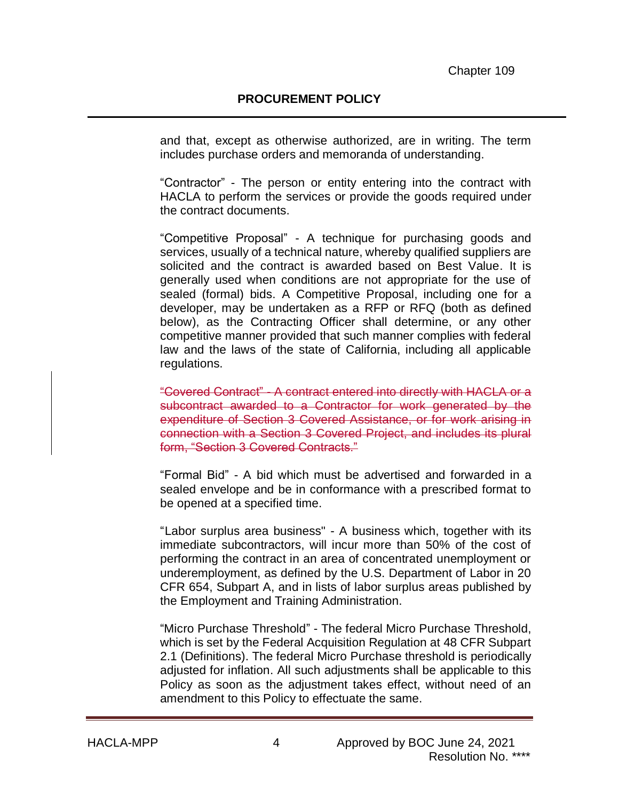and that, except as otherwise authorized, are in writing. The term includes purchase orders and memoranda of understanding.

"Contractor" - The person or entity entering into the contract with HACLA to perform the services or provide the goods required under the contract documents.

"Competitive Proposal" - A technique for purchasing goods and services, usually of a technical nature, whereby qualified suppliers are solicited and the contract is awarded based on Best Value. It is generally used when conditions are not appropriate for the use of sealed (formal) bids. A Competitive Proposal, including one for a developer, may be undertaken as a RFP or RFQ (both as defined below), as the Contracting Officer shall determine, or any other competitive manner provided that such manner complies with federal law and the laws of the state of California, including all applicable regulations.

"Covered Contract" - A contract entered into directly with HACLA or a subcontract awarded to a Contractor for work generated by the expenditure of Section 3 Covered Assistance, or for work arising in connection with a Section 3 Covered Project, and includes its plural form, "Section 3 Covered Contracts."

"Formal Bid" - A bid which must be advertised and forwarded in a sealed envelope and be in conformance with a prescribed format to be opened at a specified time.

"Labor surplus area business" - A business which, together with its immediate subcontractors, will incur more than 50% of the cost of performing the contract in an area of concentrated unemployment or underemployment, as defined by the U.S. Department of Labor in 20 CFR 654, Subpart A, and in lists of labor surplus areas published by the Employment and Training Administration.

"Micro Purchase Threshold" - The federal Micro Purchase Threshold, which is set by the Federal Acquisition Regulation at 48 CFR Subpart 2.1 (Definitions). The federal Micro Purchase threshold is periodically adjusted for inflation. All such adjustments shall be applicable to this Policy as soon as the adjustment takes effect, without need of an amendment to this Policy to effectuate the same.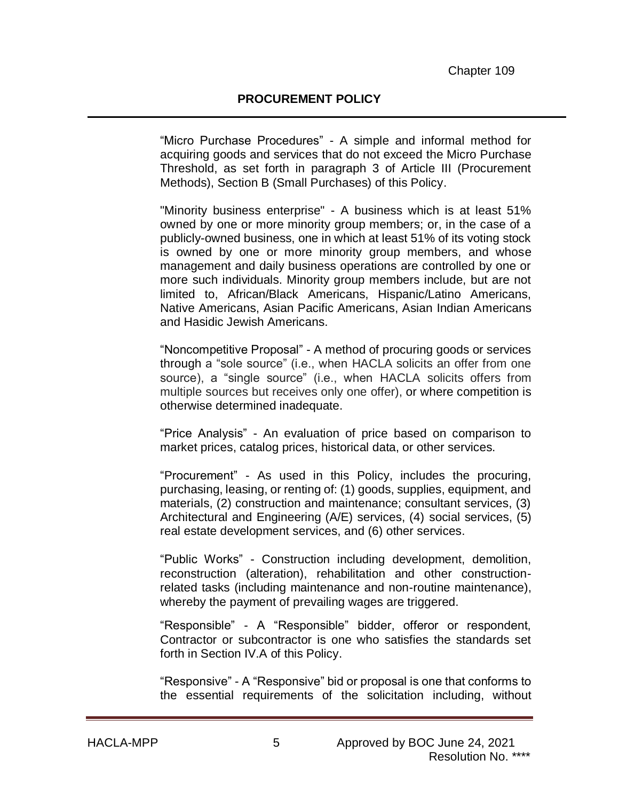"Micro Purchase Procedures" - A simple and informal method for acquiring goods and services that do not exceed the Micro Purchase Threshold, as set forth in paragraph 3 of Article III (Procurement Methods), Section B (Small Purchases) of this Policy.

"Minority business enterprise" - A business which is at least 51% owned by one or more minority group members; or, in the case of a publicly-owned business, one in which at least 51% of its voting stock is owned by one or more minority group members, and whose management and daily business operations are controlled by one or more such individuals. Minority group members include, but are not limited to, African/Black Americans, Hispanic/Latino Americans, Native Americans, Asian Pacific Americans, Asian Indian Americans and Hasidic Jewish Americans.

"Noncompetitive Proposal" - A method of procuring goods or services through a "sole source" (i.e., when HACLA solicits an offer from one source), a "single source" (i.e., when HACLA solicits offers from multiple sources but receives only one offer), or where competition is otherwise determined inadequate.

"Price Analysis" - An evaluation of price based on comparison to market prices, catalog prices, historical data, or other services.

"Procurement" - As used in this Policy, includes the procuring, purchasing, leasing, or renting of: (1) goods, supplies, equipment, and materials, (2) construction and maintenance; consultant services, (3) Architectural and Engineering (A/E) services, (4) social services, (5) real estate development services, and (6) other services.

"Public Works" - Construction including development, demolition, reconstruction (alteration), rehabilitation and other constructionrelated tasks (including maintenance and non-routine maintenance), whereby the payment of prevailing wages are triggered.

"Responsible" - A "Responsible" bidder, offeror or respondent, Contractor or subcontractor is one who satisfies the standards set forth in Section IV.A of this Policy.

"Responsive" - A "Responsive" bid or proposal is one that conforms to the essential requirements of the solicitation including, without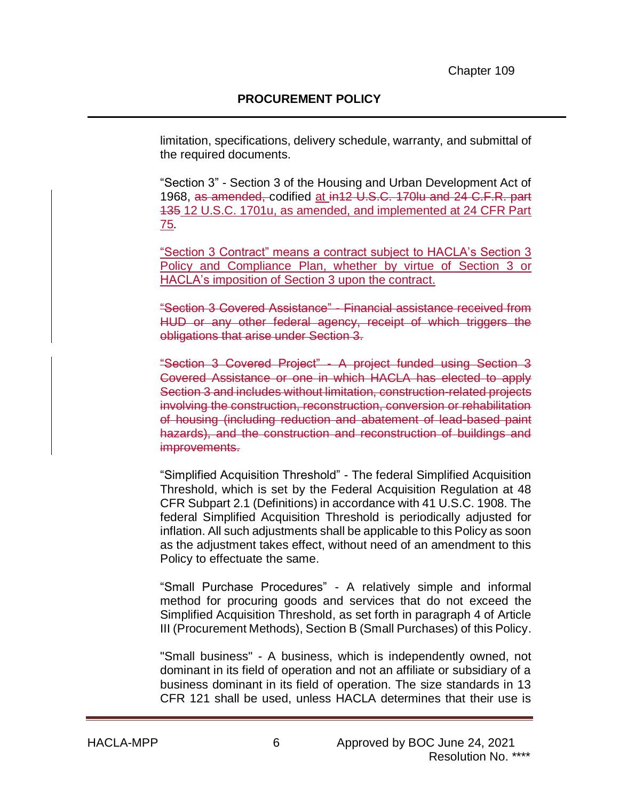limitation, specifications, delivery schedule, warranty, and submittal of the required documents.

"Section 3" - Section 3 of the Housing and Urban Development Act of 1968, as amended, codified at in12 U.S.C. 170lu and 24 C.F.R. part 135 12 U.S.C. 1701u, as amended, and implemented at 24 CFR Part 75*.*

"Section 3 Contract" means a contract subject to HACLA's Section 3 Policy and Compliance Plan, whether by virtue of Section 3 or HACLA's imposition of Section 3 upon the contract.

"Section 3 Covered Assistance" - Financial assistance received from HUD or any other federal agency, receipt of which triggers the obligations that arise under Section 3.

"Section 3 Covered Project" - A project funded using Section 3 Covered Assistance or one in which HACLA has elected to apply Section 3 and includes without limitation, construction-related projects involving the construction, reconstruction, conversion or rehabilitation of housing (including reduction and abatement of lead-based paint hazards), and the construction and reconstruction of buildings and improvements.

"Simplified Acquisition Threshold" - The federal Simplified Acquisition Threshold, which is set by the Federal Acquisition Regulation at 48 CFR Subpart 2.1 (Definitions) in accordance with 41 U.S.C. 1908. The federal Simplified Acquisition Threshold is periodically adjusted for inflation. All such adjustments shall be applicable to this Policy as soon as the adjustment takes effect, without need of an amendment to this Policy to effectuate the same.

"Small Purchase Procedures" - A relatively simple and informal method for procuring goods and services that do not exceed the Simplified Acquisition Threshold, as set forth in paragraph 4 of Article III (Procurement Methods), Section B (Small Purchases) of this Policy.

"Small business" - A business, which is independently owned, not dominant in its field of operation and not an affiliate or subsidiary of a business dominant in its field of operation. The size standards in 13 CFR 121 shall be used, unless HACLA determines that their use is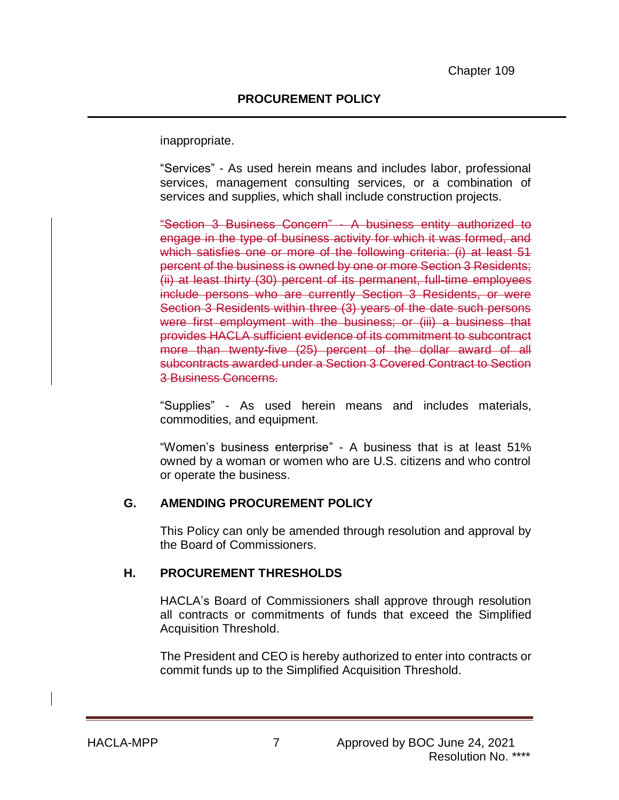inappropriate.

"Services" - As used herein means and includes labor, professional services, management consulting services, or a combination of services and supplies, which shall include construction projects.

"Section 3 Business Concern" - A business entity authorized to engage in the type of business activity for which it was formed, and which satisfies one or more of the following criteria: (i) at least 51 percent of the business is owned by one or more Section 3 Residents; (ii) at least thirty (30) percent of its permanent, full-time employees include persons who are currently Section 3 Residents, or were Section 3 Residents within three (3) years of the date such persons were first employment with the business; or (iii) a business that provides HACLA sufficient evidence of its commitment to subcontract more than twenty-five (25) percent of the dollar award of all subcontracts awarded under a Section 3 Covered Contract to Section 3 Business Concerns.

"Supplies" - As used herein means and includes materials, commodities, and equipment.

"Women's business enterprise" - A business that is at least 51% owned by a woman or women who are U.S. citizens and who control or operate the business.

#### **G. AMENDING PROCUREMENT POLICY**

This Policy can only be amended through resolution and approval by the Board of Commissioners.

#### **H. PROCUREMENT THRESHOLDS**

HACLA's Board of Commissioners shall approve through resolution all contracts or commitments of funds that exceed the Simplified Acquisition Threshold.

The President and CEO is hereby authorized to enter into contracts or commit funds up to the Simplified Acquisition Threshold.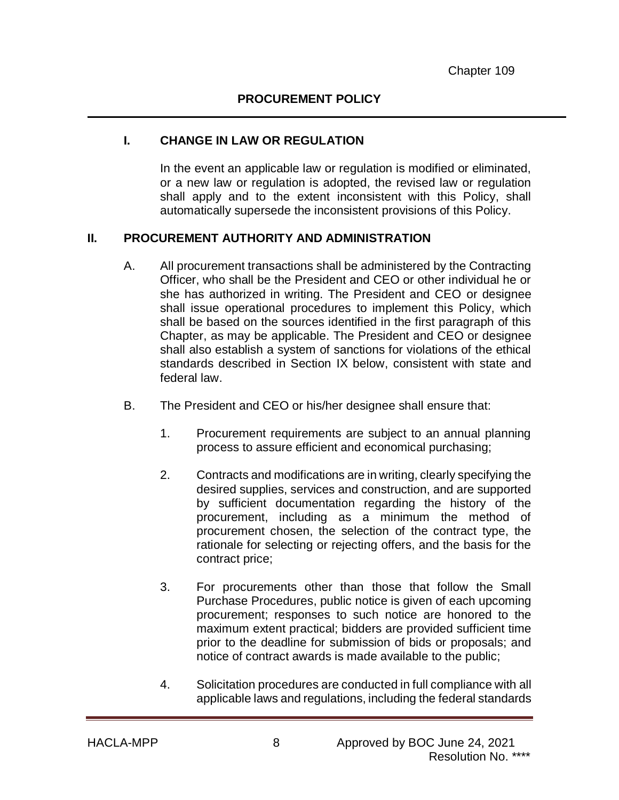### **I. CHANGE IN LAW OR REGULATION**

In the event an applicable law or regulation is modified or eliminated, or a new law or regulation is adopted, the revised law or regulation shall apply and to the extent inconsistent with this Policy, shall automatically supersede the inconsistent provisions of this Policy.

#### **II. PROCUREMENT AUTHORITY AND ADMINISTRATION**

- A. All procurement transactions shall be administered by the Contracting Officer, who shall be the President and CEO or other individual he or she has authorized in writing. The President and CEO or designee shall issue operational procedures to implement this Policy, which shall be based on the sources identified in the first paragraph of this Chapter, as may be applicable. The President and CEO or designee shall also establish a system of sanctions for violations of the ethical standards described in Section IX below, consistent with state and federal law.
- B. The President and CEO or his/her designee shall ensure that:
	- 1. Procurement requirements are subject to an annual planning process to assure efficient and economical purchasing;
	- 2. Contracts and modifications are in writing, clearly specifying the desired supplies, services and construction, and are supported by sufficient documentation regarding the history of the procurement, including as a minimum the method of procurement chosen, the selection of the contract type, the rationale for selecting or rejecting offers, and the basis for the contract price;
	- 3. For procurements other than those that follow the Small Purchase Procedures, public notice is given of each upcoming procurement; responses to such notice are honored to the maximum extent practical; bidders are provided sufficient time prior to the deadline for submission of bids or proposals; and notice of contract awards is made available to the public;
	- 4. Solicitation procedures are conducted in full compliance with all applicable laws and regulations, including the federal standards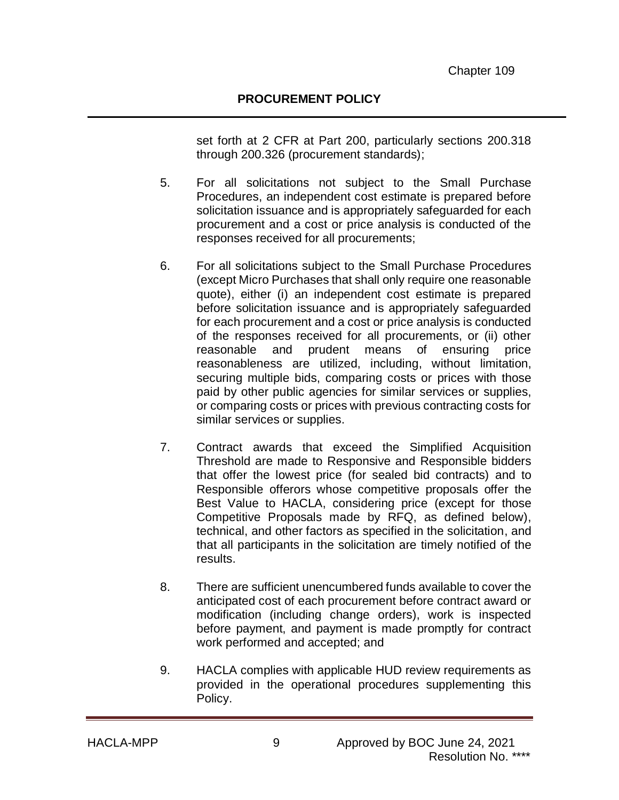set forth at 2 CFR at Part 200, particularly sections 200.318 through 200.326 (procurement standards);

- 5. For all solicitations not subject to the Small Purchase Procedures, an independent cost estimate is prepared before solicitation issuance and is appropriately safeguarded for each procurement and a cost or price analysis is conducted of the responses received for all procurements;
- 6. For all solicitations subject to the Small Purchase Procedures (except Micro Purchases that shall only require one reasonable quote), either (i) an independent cost estimate is prepared before solicitation issuance and is appropriately safeguarded for each procurement and a cost or price analysis is conducted of the responses received for all procurements, or (ii) other reasonable and prudent means of ensuring price reasonableness are utilized, including, without limitation, securing multiple bids, comparing costs or prices with those paid by other public agencies for similar services or supplies, or comparing costs or prices with previous contracting costs for similar services or supplies.
- 7. Contract awards that exceed the Simplified Acquisition Threshold are made to Responsive and Responsible bidders that offer the lowest price (for sealed bid contracts) and to Responsible offerors whose competitive proposals offer the Best Value to HACLA, considering price (except for those Competitive Proposals made by RFQ, as defined below), technical, and other factors as specified in the solicitation, and that all participants in the solicitation are timely notified of the results.
- 8. There are sufficient unencumbered funds available to cover the anticipated cost of each procurement before contract award or modification (including change orders), work is inspected before payment, and payment is made promptly for contract work performed and accepted; and
- 9. HACLA complies with applicable HUD review requirements as provided in the operational procedures supplementing this Policy.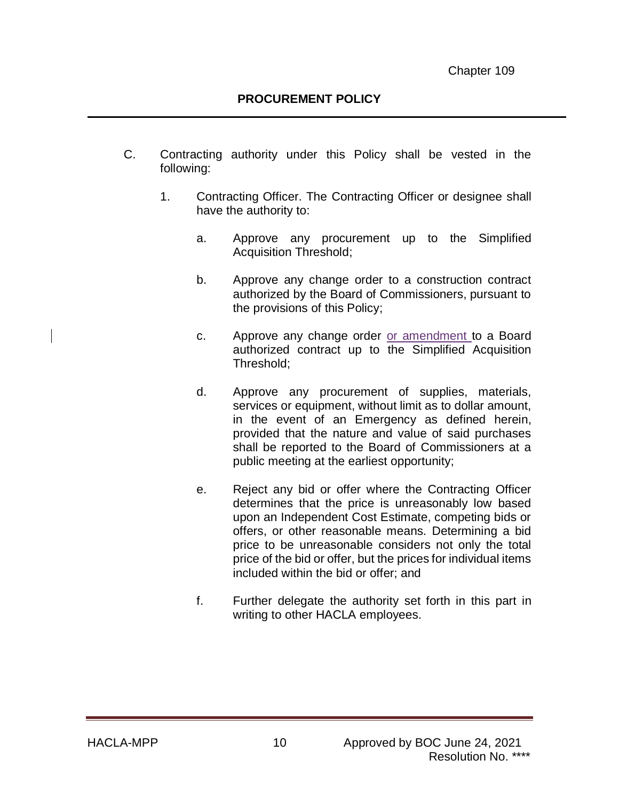- C. Contracting authority under this Policy shall be vested in the following:
	- 1. Contracting Officer. The Contracting Officer or designee shall have the authority to:
		- a. Approve any procurement up to the Simplified Acquisition Threshold;
		- b. Approve any change order to a construction contract authorized by the Board of Commissioners, pursuant to the provisions of this Policy;
		- c. Approve any change order or amendment to a Board authorized contract up to the Simplified Acquisition Threshold;
		- d. Approve any procurement of supplies, materials, services or equipment, without limit as to dollar amount, in the event of an Emergency as defined herein, provided that the nature and value of said purchases shall be reported to the Board of Commissioners at a public meeting at the earliest opportunity;
		- e. Reject any bid or offer where the Contracting Officer determines that the price is unreasonably low based upon an Independent Cost Estimate, competing bids or offers, or other reasonable means. Determining a bid price to be unreasonable considers not only the total price of the bid or offer, but the prices for individual items included within the bid or offer; and
		- f. Further delegate the authority set forth in this part in writing to other HACLA employees.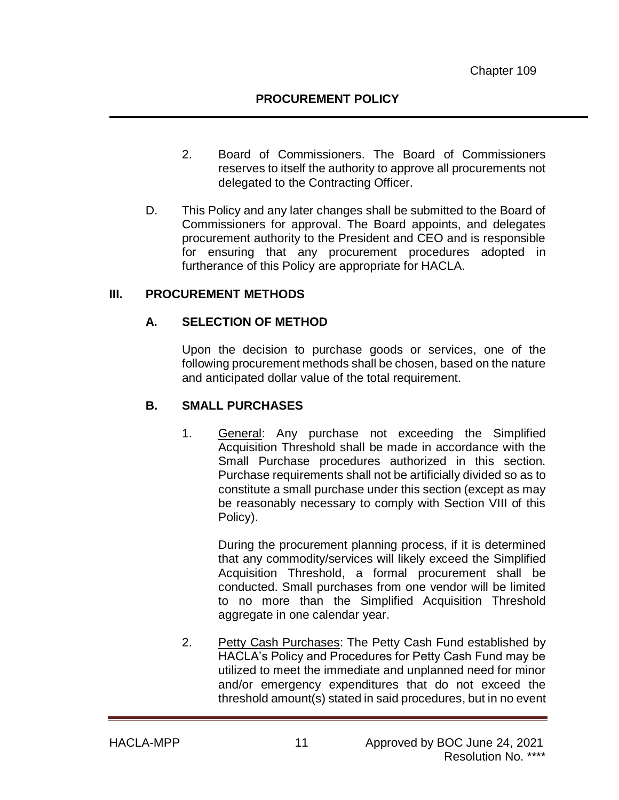- 2. Board of Commissioners. The Board of Commissioners reserves to itself the authority to approve all procurements not delegated to the Contracting Officer.
- D. This Policy and any later changes shall be submitted to the Board of Commissioners for approval. The Board appoints, and delegates procurement authority to the President and CEO and is responsible for ensuring that any procurement procedures adopted in furtherance of this Policy are appropriate for HACLA.

#### **III. PROCUREMENT METHODS**

#### **A. SELECTION OF METHOD**

Upon the decision to purchase goods or services, one of the following procurement methods shall be chosen, based on the nature and anticipated dollar value of the total requirement.

#### **B. SMALL PURCHASES**

1. General: Any purchase not exceeding the Simplified Acquisition Threshold shall be made in accordance with the Small Purchase procedures authorized in this section. Purchase requirements shall not be artificially divided so as to constitute a small purchase under this section (except as may be reasonably necessary to comply with Section VIII of this Policy).

During the procurement planning process, if it is determined that any commodity/services will likely exceed the Simplified Acquisition Threshold, a formal procurement shall be conducted. Small purchases from one vendor will be limited to no more than the Simplified Acquisition Threshold aggregate in one calendar year.

2. Petty Cash Purchases: The Petty Cash Fund established by HACLA's Policy and Procedures for Petty Cash Fund may be utilized to meet the immediate and unplanned need for minor and/or emergency expenditures that do not exceed the threshold amount(s) stated in said procedures, but in no event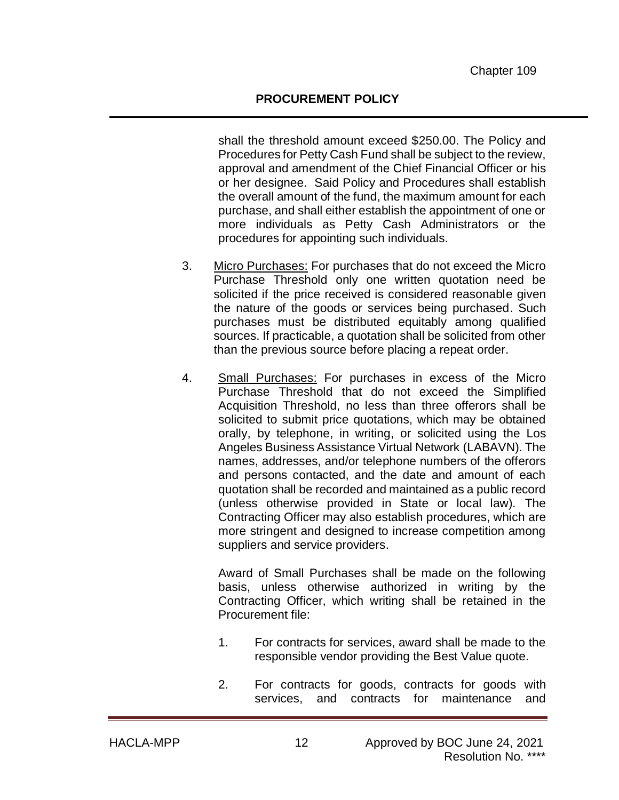shall the threshold amount exceed \$250.00. The Policy and Procedures for Petty Cash Fund shall be subject to the review, approval and amendment of the Chief Financial Officer or his or her designee. Said Policy and Procedures shall establish the overall amount of the fund, the maximum amount for each purchase, and shall either establish the appointment of one or more individuals as Petty Cash Administrators or the procedures for appointing such individuals.

- 3. Micro Purchases: For purchases that do not exceed the Micro Purchase Threshold only one written quotation need be solicited if the price received is considered reasonable given the nature of the goods or services being purchased. Such purchases must be distributed equitably among qualified sources. If practicable, a quotation shall be solicited from other than the previous source before placing a repeat order.
- 4. Small Purchases: For purchases in excess of the Micro Purchase Threshold that do not exceed the Simplified Acquisition Threshold, no less than three offerors shall be solicited to submit price quotations, which may be obtained orally, by telephone, in writing, or solicited using the Los Angeles Business Assistance Virtual Network (LABAVN). The names, addresses, and/or telephone numbers of the offerors and persons contacted, and the date and amount of each quotation shall be recorded and maintained as a public record (unless otherwise provided in State or local law). The Contracting Officer may also establish procedures, which are more stringent and designed to increase competition among suppliers and service providers.

Award of Small Purchases shall be made on the following basis, unless otherwise authorized in writing by the Contracting Officer, which writing shall be retained in the Procurement file:

- 1. For contracts for services, award shall be made to the responsible vendor providing the Best Value quote.
- 2. For contracts for goods, contracts for goods with services, and contracts for maintenance and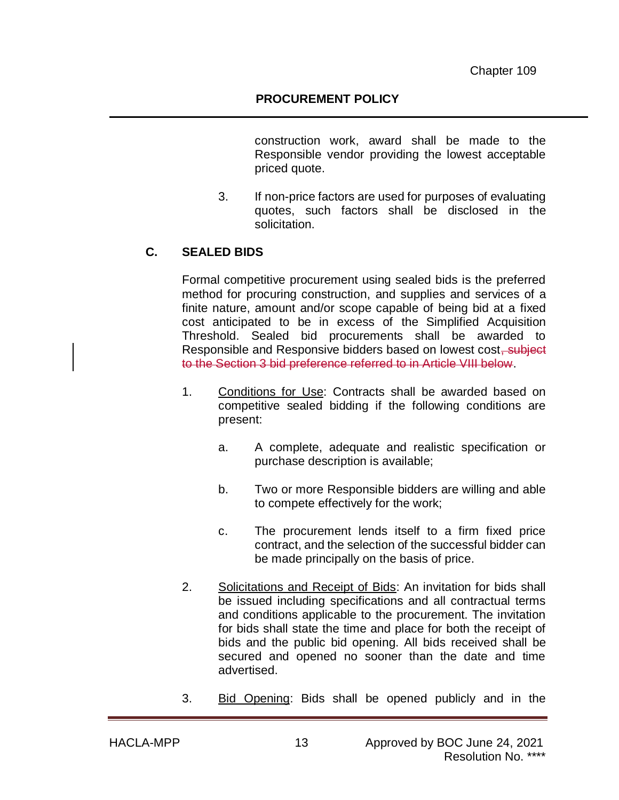construction work, award shall be made to the Responsible vendor providing the lowest acceptable priced quote.

3. If non-price factors are used for purposes of evaluating quotes, such factors shall be disclosed in the solicitation.

## **C. SEALED BIDS**

Formal competitive procurement using sealed bids is the preferred method for procuring construction, and supplies and services of a finite nature, amount and/or scope capable of being bid at a fixed cost anticipated to be in excess of the Simplified Acquisition Threshold. Sealed bid procurements shall be awarded to Responsible and Responsive bidders based on lowest cost, subject to the Section 3 bid preference referred to in Article VIII below.

- 1. Conditions for Use: Contracts shall be awarded based on competitive sealed bidding if the following conditions are present:
	- a. A complete, adequate and realistic specification or purchase description is available;
	- b. Two or more Responsible bidders are willing and able to compete effectively for the work;
	- c. The procurement lends itself to a firm fixed price contract, and the selection of the successful bidder can be made principally on the basis of price.
- 2. Solicitations and Receipt of Bids: An invitation for bids shall be issued including specifications and all contractual terms and conditions applicable to the procurement. The invitation for bids shall state the time and place for both the receipt of bids and the public bid opening. All bids received shall be secured and opened no sooner than the date and time advertised.
- 3. Bid Opening: Bids shall be opened publicly and in the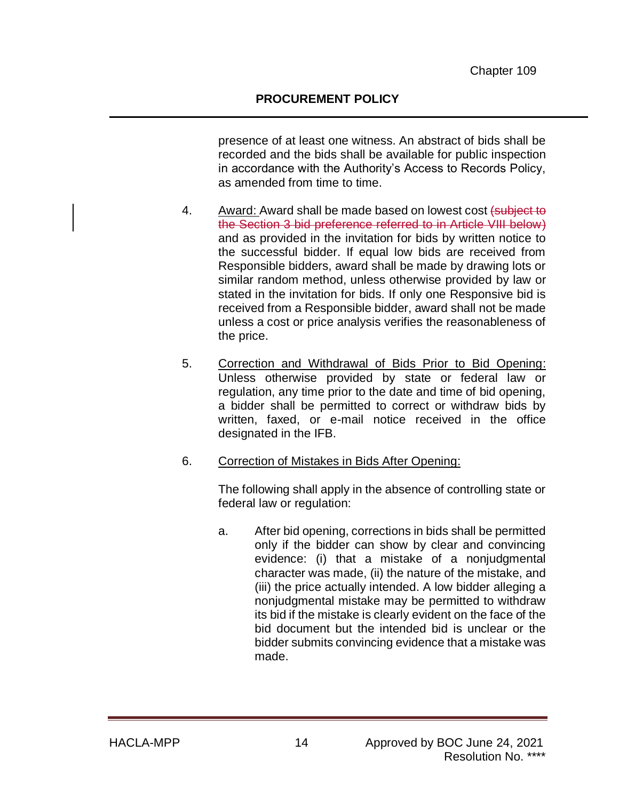presence of at least one witness. An abstract of bids shall be recorded and the bids shall be available for public inspection in accordance with the Authority's Access to Records Policy, as amended from time to time.

- 4. Award: Award shall be made based on lowest cost (subject to the Section 3 bid preference referred to in Article VIII below) and as provided in the invitation for bids by written notice to the successful bidder. If equal low bids are received from Responsible bidders, award shall be made by drawing lots or similar random method, unless otherwise provided by law or stated in the invitation for bids. If only one Responsive bid is received from a Responsible bidder, award shall not be made unless a cost or price analysis verifies the reasonableness of the price.
- 5. Correction and Withdrawal of Bids Prior to Bid Opening: Unless otherwise provided by state or federal law or regulation, any time prior to the date and time of bid opening, a bidder shall be permitted to correct or withdraw bids by written, faxed, or e-mail notice received in the office designated in the IFB.
- 6. Correction of Mistakes in Bids After Opening:

The following shall apply in the absence of controlling state or federal law or regulation:

a. After bid opening, corrections in bids shall be permitted only if the bidder can show by clear and convincing evidence: (i) that a mistake of a nonjudgmental character was made, (ii) the nature of the mistake, and (iii) the price actually intended. A low bidder alleging a nonjudgmental mistake may be permitted to withdraw its bid if the mistake is clearly evident on the face of the bid document but the intended bid is unclear or the bidder submits convincing evidence that a mistake was made.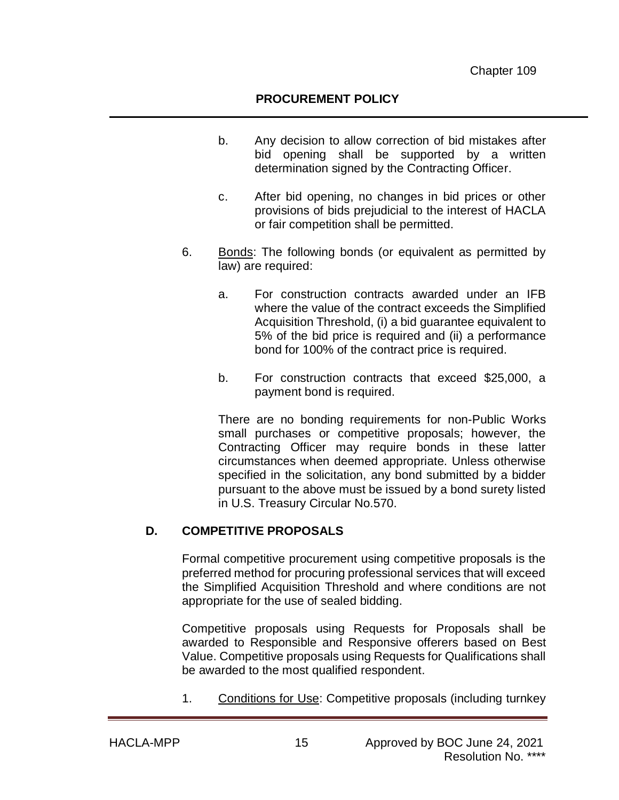- b. Any decision to allow correction of bid mistakes after bid opening shall be supported by a written determination signed by the Contracting Officer.
- c. After bid opening, no changes in bid prices or other provisions of bids prejudicial to the interest of HACLA or fair competition shall be permitted.
- 6. Bonds: The following bonds (or equivalent as permitted by law) are required:
	- a. For construction contracts awarded under an IFB where the value of the contract exceeds the Simplified Acquisition Threshold, (i) a bid guarantee equivalent to 5% of the bid price is required and (ii) a performance bond for 100% of the contract price is required.
	- b. For construction contracts that exceed \$25,000, a payment bond is required.

There are no bonding requirements for non-Public Works small purchases or competitive proposals; however, the Contracting Officer may require bonds in these latter circumstances when deemed appropriate. Unless otherwise specified in the solicitation, any bond submitted by a bidder pursuant to the above must be issued by a bond surety listed in U.S. Treasury Circular No.570.

#### **D. COMPETITIVE PROPOSALS**

Formal competitive procurement using competitive proposals is the preferred method for procuring professional services that will exceed the Simplified Acquisition Threshold and where conditions are not appropriate for the use of sealed bidding.

Competitive proposals using Requests for Proposals shall be awarded to Responsible and Responsive offerers based on Best Value. Competitive proposals using Requests for Qualifications shall be awarded to the most qualified respondent.

1. Conditions for Use: Competitive proposals (including turnkey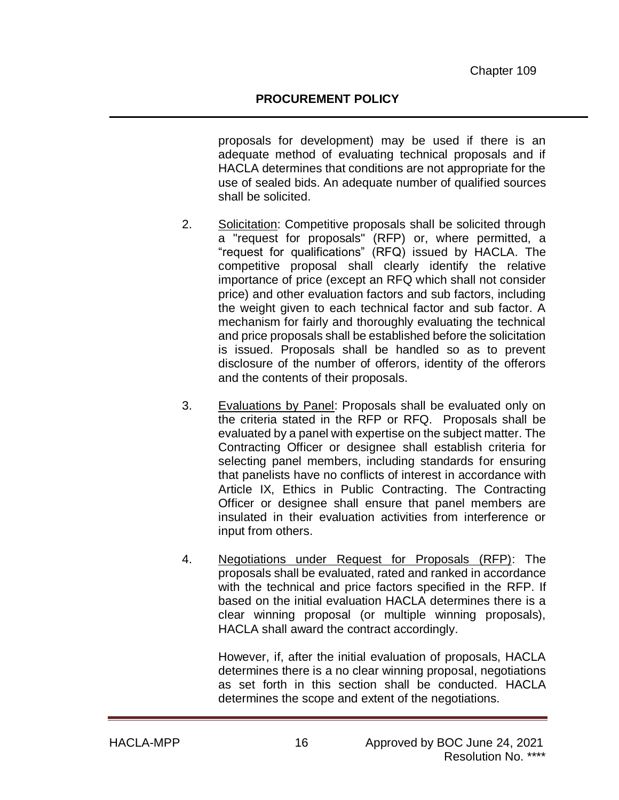proposals for development) may be used if there is an adequate method of evaluating technical proposals and if HACLA determines that conditions are not appropriate for the use of sealed bids. An adequate number of qualified sources shall be solicited.

- 2. Solicitation: Competitive proposals shall be solicited through a "request for proposals" (RFP) or, where permitted, a "request for qualifications" (RFQ) issued by HACLA. The competitive proposal shall clearly identify the relative importance of price (except an RFQ which shall not consider price) and other evaluation factors and sub factors, including the weight given to each technical factor and sub factor. A mechanism for fairly and thoroughly evaluating the technical and price proposals shall be established before the solicitation is issued. Proposals shall be handled so as to prevent disclosure of the number of offerors, identity of the offerors and the contents of their proposals.
- 3. Evaluations by Panel: Proposals shall be evaluated only on the criteria stated in the RFP or RFQ. Proposals shall be evaluated by a panel with expertise on the subject matter. The Contracting Officer or designee shall establish criteria for selecting panel members, including standards for ensuring that panelists have no conflicts of interest in accordance with Article IX, Ethics in Public Contracting. The Contracting Officer or designee shall ensure that panel members are insulated in their evaluation activities from interference or input from others.
- 4. Negotiations under Request for Proposals (RFP): The proposals shall be evaluated, rated and ranked in accordance with the technical and price factors specified in the RFP. If based on the initial evaluation HACLA determines there is a clear winning proposal (or multiple winning proposals), HACLA shall award the contract accordingly.

However, if, after the initial evaluation of proposals, HACLA determines there is a no clear winning proposal, negotiations as set forth in this section shall be conducted. HACLA determines the scope and extent of the negotiations.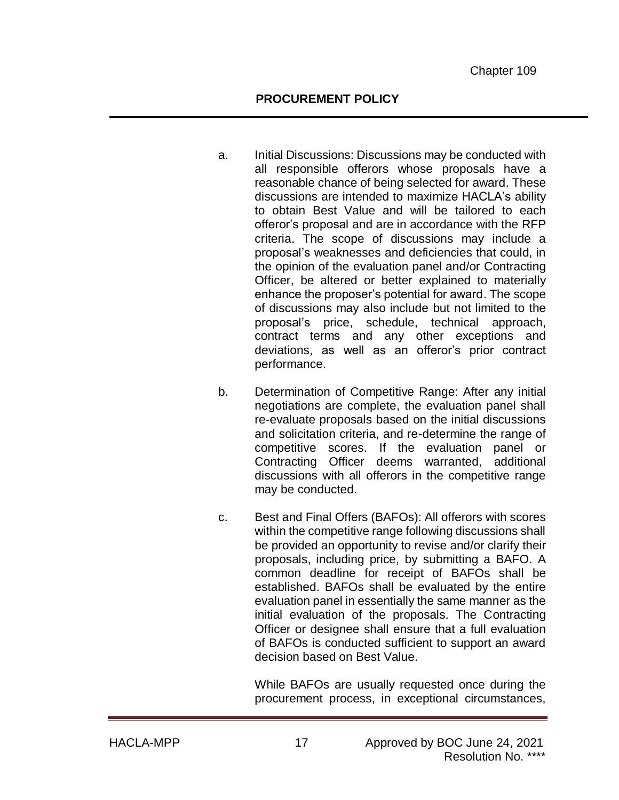- a. Initial Discussions: Discussions may be conducted with all responsible offerors whose proposals have a reasonable chance of being selected for award. These discussions are intended to maximize HACLA's ability to obtain Best Value and will be tailored to each offeror's proposal and are in accordance with the RFP criteria. The scope of discussions may include a proposal's weaknesses and deficiencies that could, in the opinion of the evaluation panel and/or Contracting Officer, be altered or better explained to materially enhance the proposer's potential for award. The scope of discussions may also include but not limited to the proposal's price, schedule, technical approach, contract terms and any other exceptions and deviations, as well as an offeror's prior contract performance.
- b. Determination of Competitive Range: After any initial negotiations are complete, the evaluation panel shall re-evaluate proposals based on the initial discussions and solicitation criteria, and re-determine the range of competitive scores. If the evaluation panel or Contracting Officer deems warranted, additional discussions with all offerors in the competitive range may be conducted.
- c. Best and Final Offers (BAFOs): All offerors with scores within the competitive range following discussions shall be provided an opportunity to revise and/or clarify their proposals, including price, by submitting a BAFO. A common deadline for receipt of BAFOs shall be established. BAFOs shall be evaluated by the entire evaluation panel in essentially the same manner as the initial evaluation of the proposals. The Contracting Officer or designee shall ensure that a full evaluation of BAFOs is conducted sufficient to support an award decision based on Best Value.

While BAFOs are usually requested once during the procurement process, in exceptional circumstances,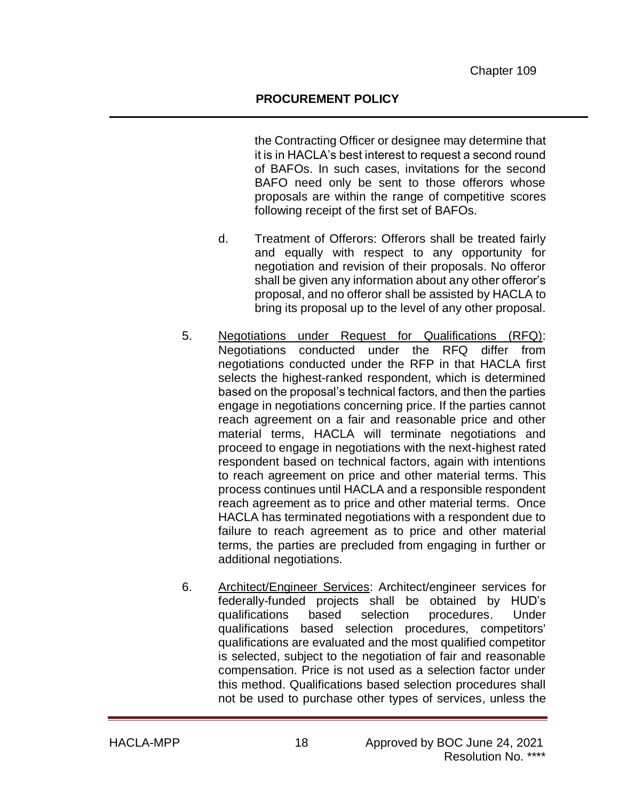the Contracting Officer or designee may determine that it is in HACLA's best interest to request a second round of BAFOs. In such cases, invitations for the second BAFO need only be sent to those offerors whose proposals are within the range of competitive scores following receipt of the first set of BAFOs.

- d. Treatment of Offerors: Offerors shall be treated fairly and equally with respect to any opportunity for negotiation and revision of their proposals. No offeror shall be given any information about any other offeror's proposal, and no offeror shall be assisted by HACLA to bring its proposal up to the level of any other proposal.
- 5. Negotiations under Request for Qualifications (RFQ): Negotiations conducted under the RFQ differ from negotiations conducted under the RFP in that HACLA first selects the highest-ranked respondent, which is determined based on the proposal's technical factors, and then the parties engage in negotiations concerning price. If the parties cannot reach agreement on a fair and reasonable price and other material terms, HACLA will terminate negotiations and proceed to engage in negotiations with the next-highest rated respondent based on technical factors, again with intentions to reach agreement on price and other material terms. This process continues until HACLA and a responsible respondent reach agreement as to price and other material terms. Once HACLA has terminated negotiations with a respondent due to failure to reach agreement as to price and other material terms, the parties are precluded from engaging in further or additional negotiations.
- 6. Architect/Engineer Services: Architect/engineer services for federally-funded projects shall be obtained by HUD's qualifications based selection procedures. Under qualifications based selection procedures, competitors' qualifications are evaluated and the most qualified competitor is selected, subject to the negotiation of fair and reasonable compensation. Price is not used as a selection factor under this method. Qualifications based selection procedures shall not be used to purchase other types of services, unless the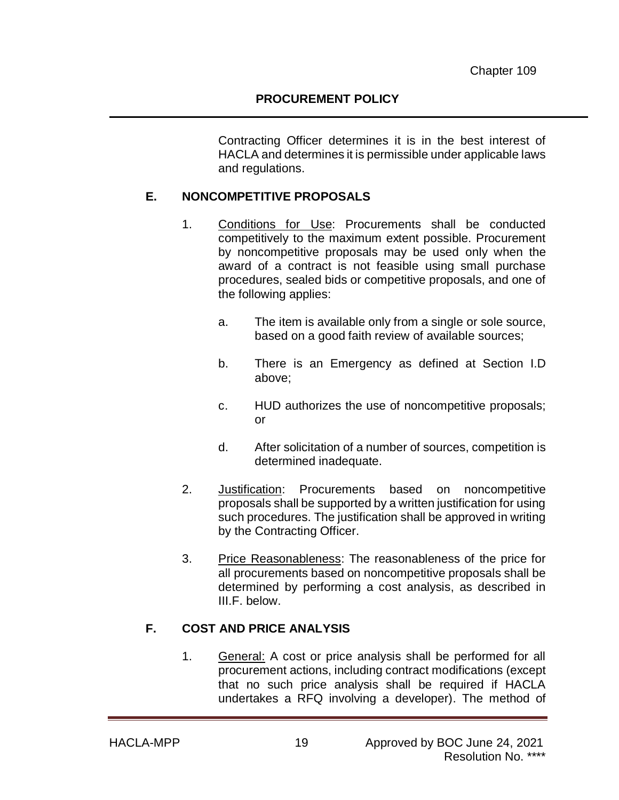Contracting Officer determines it is in the best interest of HACLA and determines it is permissible under applicable laws and regulations.

### **E. NONCOMPETITIVE PROPOSALS**

- 1. Conditions for Use: Procurements shall be conducted competitively to the maximum extent possible. Procurement by noncompetitive proposals may be used only when the award of a contract is not feasible using small purchase procedures, sealed bids or competitive proposals, and one of the following applies:
	- a. The item is available only from a single or sole source, based on a good faith review of available sources;
	- b. There is an Emergency as defined at Section I.D above;
	- c. HUD authorizes the use of noncompetitive proposals; or
	- d. After solicitation of a number of sources, competition is determined inadequate.
- 2. Justification: Procurements based on noncompetitive proposals shall be supported by a written justification for using such procedures. The justification shall be approved in writing by the Contracting Officer.
- 3. Price Reasonableness: The reasonableness of the price for all procurements based on noncompetitive proposals shall be determined by performing a cost analysis, as described in III.F. below.

## **F. COST AND PRICE ANALYSIS**

1. General: A cost or price analysis shall be performed for all procurement actions, including contract modifications (except that no such price analysis shall be required if HACLA undertakes a RFQ involving a developer). The method of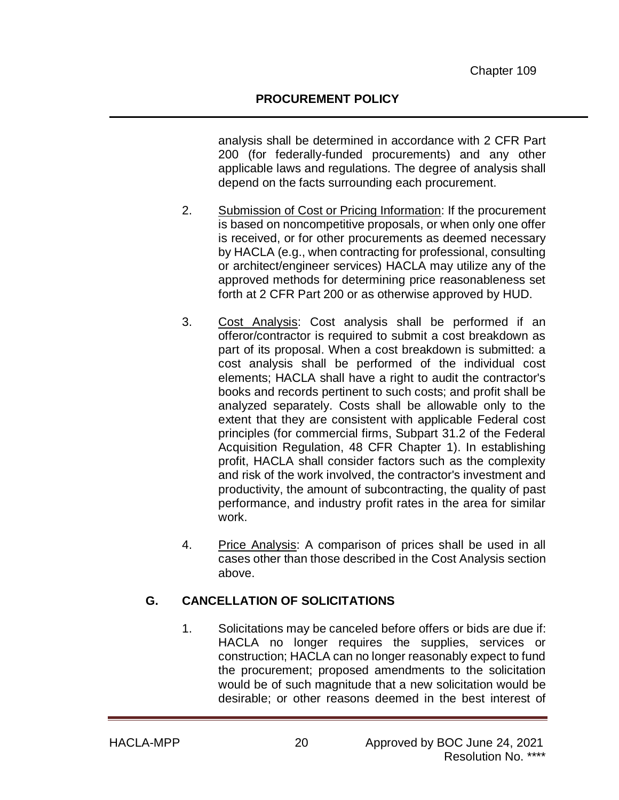analysis shall be determined in accordance with 2 CFR Part 200 (for federally-funded procurements) and any other applicable laws and regulations. The degree of analysis shall depend on the facts surrounding each procurement.

- 2. Submission of Cost or Pricing Information: If the procurement is based on noncompetitive proposals, or when only one offer is received, or for other procurements as deemed necessary by HACLA (e.g., when contracting for professional, consulting or architect/engineer services) HACLA may utilize any of the approved methods for determining price reasonableness set forth at 2 CFR Part 200 or as otherwise approved by HUD.
- 3. Cost Analysis: Cost analysis shall be performed if an offeror/contractor is required to submit a cost breakdown as part of its proposal. When a cost breakdown is submitted: a cost analysis shall be performed of the individual cost elements; HACLA shall have a right to audit the contractor's books and records pertinent to such costs; and profit shall be analyzed separately. Costs shall be allowable only to the extent that they are consistent with applicable Federal cost principles (for commercial firms, Subpart 31.2 of the Federal Acquisition Regulation, 48 CFR Chapter 1). In establishing profit, HACLA shall consider factors such as the complexity and risk of the work involved, the contractor's investment and productivity, the amount of subcontracting, the quality of past performance, and industry profit rates in the area for similar work.
- 4. Price Analysis: A comparison of prices shall be used in all cases other than those described in the Cost Analysis section above.

## **G. CANCELLATION OF SOLICITATIONS**

1. Solicitations may be canceled before offers or bids are due if: HACLA no longer requires the supplies, services or construction; HACLA can no longer reasonably expect to fund the procurement; proposed amendments to the solicitation would be of such magnitude that a new solicitation would be desirable; or other reasons deemed in the best interest of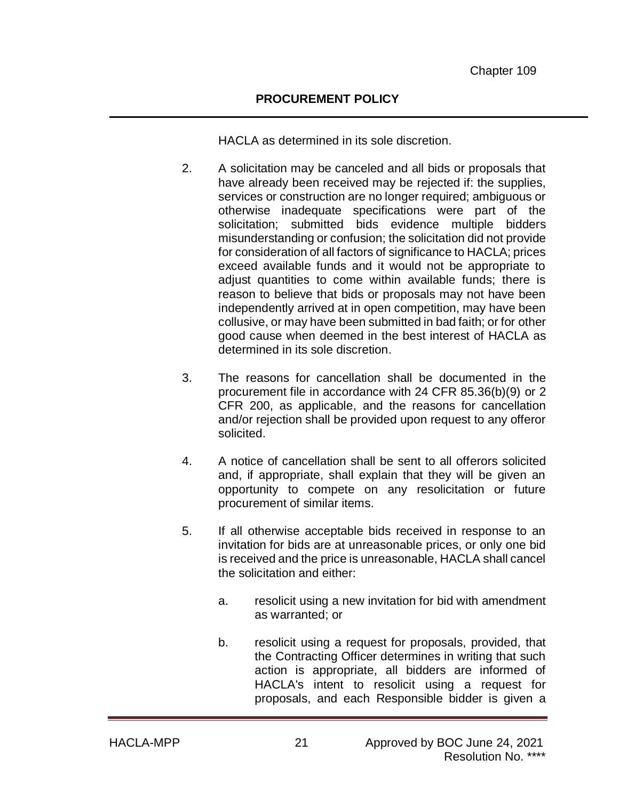HACLA as determined in its sole discretion.

- 2. A solicitation may be canceled and all bids or proposals that have already been received may be rejected if: the supplies, services or construction are no longer required; ambiguous or otherwise inadequate specifications were part of the solicitation; submitted bids evidence multiple bidders misunderstanding or confusion; the solicitation did not provide for consideration of all factors of significance to HACLA; prices exceed available funds and it would not be appropriate to adjust quantities to come within available funds; there is reason to believe that bids or proposals may not have been independently arrived at in open competition, may have been collusive, or may have been submitted in bad faith; or for other good cause when deemed in the best interest of HACLA as determined in its sole discretion.
- 3. The reasons for cancellation shall be documented in the procurement file in accordance with 24 CFR 85.36(b)(9) or 2 CFR 200, as applicable, and the reasons for cancellation and/or rejection shall be provided upon request to any offeror solicited.
- 4. A notice of cancellation shall be sent to all offerors solicited and, if appropriate, shall explain that they will be given an opportunity to compete on any resolicitation or future procurement of similar items.
- 5. If all otherwise acceptable bids received in response to an invitation for bids are at unreasonable prices, or only one bid is received and the price is unreasonable, HACLA shall cancel the solicitation and either:
	- a. resolicit using a new invitation for bid with amendment as warranted; or
	- b. resolicit using a request for proposals, provided, that the Contracting Officer determines in writing that such action is appropriate, all bidders are informed of HACLA's intent to resolicit using a request for proposals, and each Responsible bidder is given a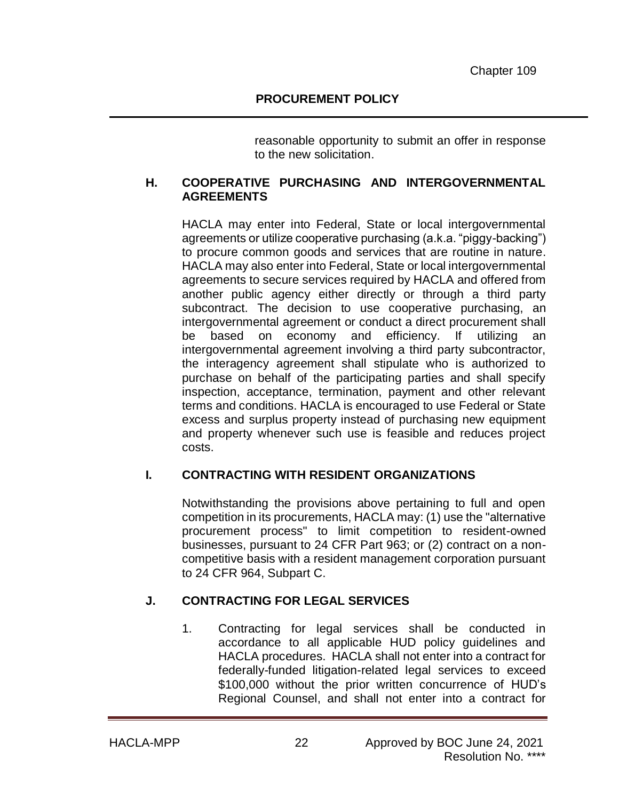reasonable opportunity to submit an offer in response to the new solicitation.

### **H. COOPERATIVE PURCHASING AND INTERGOVERNMENTAL AGREEMENTS**

HACLA may enter into Federal, State or local intergovernmental agreements or utilize cooperative purchasing (a.k.a. "piggy-backing") to procure common goods and services that are routine in nature. HACLA may also enter into Federal, State or local intergovernmental agreements to secure services required by HACLA and offered from another public agency either directly or through a third party subcontract. The decision to use cooperative purchasing, an intergovernmental agreement or conduct a direct procurement shall be based on economy and efficiency. If utilizing an intergovernmental agreement involving a third party subcontractor, the interagency agreement shall stipulate who is authorized to purchase on behalf of the participating parties and shall specify inspection, acceptance, termination, payment and other relevant terms and conditions. HACLA is encouraged to use Federal or State excess and surplus property instead of purchasing new equipment and property whenever such use is feasible and reduces project costs.

## **I. CONTRACTING WITH RESIDENT ORGANIZATIONS**

Notwithstanding the provisions above pertaining to full and open competition in its procurements, HACLA may: (1) use the "alternative procurement process" to limit competition to resident-owned businesses, pursuant to 24 CFR Part 963; or (2) contract on a noncompetitive basis with a resident management corporation pursuant to 24 CFR 964, Subpart C.

## **J. CONTRACTING FOR LEGAL SERVICES**

1. Contracting for legal services shall be conducted in accordance to all applicable HUD policy guidelines and HACLA procedures. HACLA shall not enter into a contract for federally-funded litigation-related legal services to exceed \$100,000 without the prior written concurrence of HUD's Regional Counsel, and shall not enter into a contract for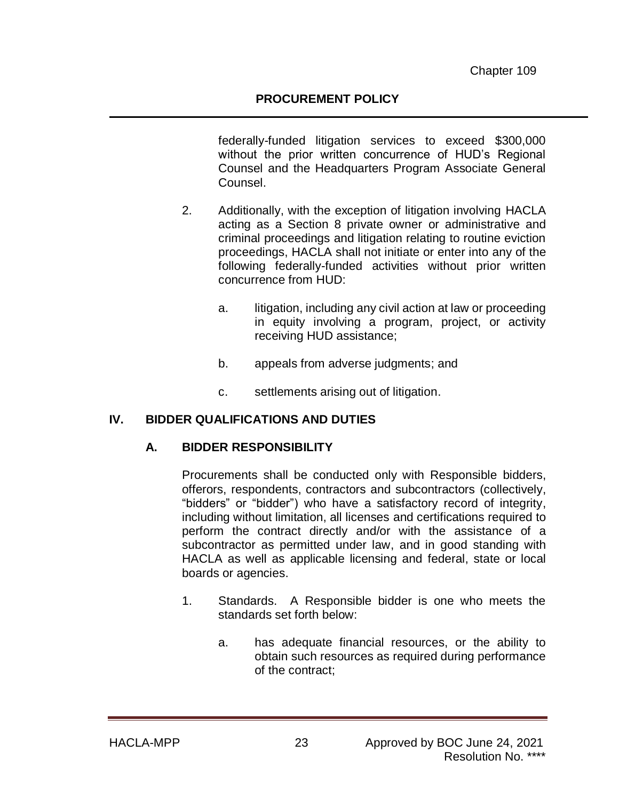federally-funded litigation services to exceed \$300,000 without the prior written concurrence of HUD's Regional Counsel and the Headquarters Program Associate General Counsel.

- 2. Additionally, with the exception of litigation involving HACLA acting as a Section 8 private owner or administrative and criminal proceedings and litigation relating to routine eviction proceedings, HACLA shall not initiate or enter into any of the following federally-funded activities without prior written concurrence from HUD:
	- a. litigation, including any civil action at law or proceeding in equity involving a program, project, or activity receiving HUD assistance;
	- b. appeals from adverse judgments; and
	- c. settlements arising out of litigation.

#### **IV. BIDDER QUALIFICATIONS AND DUTIES**

#### **A. BIDDER RESPONSIBILITY**

Procurements shall be conducted only with Responsible bidders, offerors, respondents, contractors and subcontractors (collectively, "bidders" or "bidder") who have a satisfactory record of integrity, including without limitation, all licenses and certifications required to perform the contract directly and/or with the assistance of a subcontractor as permitted under law, and in good standing with HACLA as well as applicable licensing and federal, state or local boards or agencies.

- 1. Standards. A Responsible bidder is one who meets the standards set forth below:
	- a. has adequate financial resources, or the ability to obtain such resources as required during performance of the contract;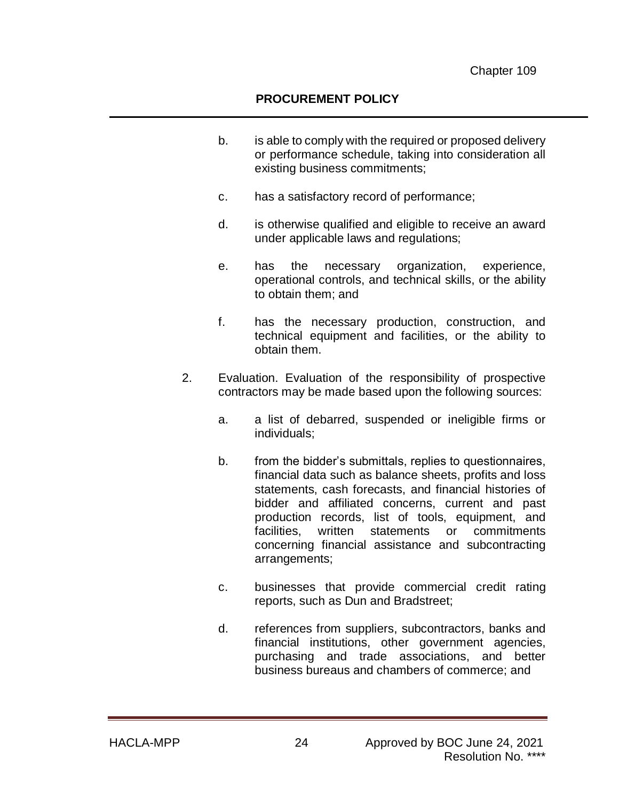- b. is able to comply with the required or proposed delivery or performance schedule, taking into consideration all existing business commitments;
- c. has a satisfactory record of performance;
- d. is otherwise qualified and eligible to receive an award under applicable laws and regulations;
- e. has the necessary organization, experience, operational controls, and technical skills, or the ability to obtain them; and
- f. has the necessary production, construction, and technical equipment and facilities, or the ability to obtain them.
- 2. Evaluation. Evaluation of the responsibility of prospective contractors may be made based upon the following sources:
	- a. a list of debarred, suspended or ineligible firms or individuals;
	- b. from the bidder's submittals, replies to questionnaires, financial data such as balance sheets, profits and loss statements, cash forecasts, and financial histories of bidder and affiliated concerns, current and past production records, list of tools, equipment, and facilities, written statements or commitments concerning financial assistance and subcontracting arrangements;
	- c. businesses that provide commercial credit rating reports, such as Dun and Bradstreet;
	- d. references from suppliers, subcontractors, banks and financial institutions, other government agencies, purchasing and trade associations, and better business bureaus and chambers of commerce; and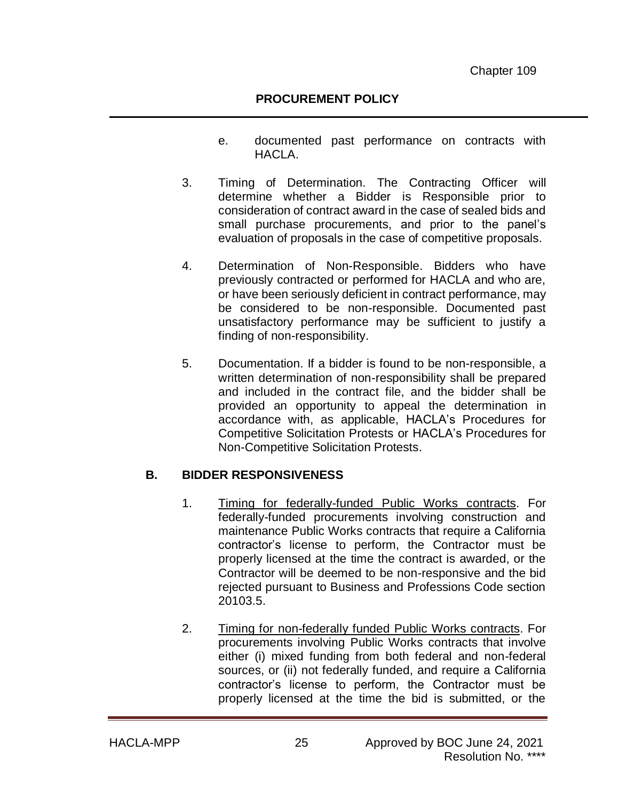- e. documented past performance on contracts with HACLA.
- 3. Timing of Determination. The Contracting Officer will determine whether a Bidder is Responsible prior to consideration of contract award in the case of sealed bids and small purchase procurements, and prior to the panel's evaluation of proposals in the case of competitive proposals.
- 4. Determination of Non-Responsible. Bidders who have previously contracted or performed for HACLA and who are, or have been seriously deficient in contract performance, may be considered to be non-responsible. Documented past unsatisfactory performance may be sufficient to justify a finding of non-responsibility.
- 5. Documentation. If a bidder is found to be non-responsible, a written determination of non-responsibility shall be prepared and included in the contract file, and the bidder shall be provided an opportunity to appeal the determination in accordance with, as applicable, HACLA's Procedures for Competitive Solicitation Protests or HACLA's Procedures for Non-Competitive Solicitation Protests.

#### **B. BIDDER RESPONSIVENESS**

- 1. Timing for federally-funded Public Works contracts. For federally-funded procurements involving construction and maintenance Public Works contracts that require a California contractor's license to perform, the Contractor must be properly licensed at the time the contract is awarded, or the Contractor will be deemed to be non-responsive and the bid rejected pursuant to Business and Professions Code section 20103.5.
- 2. Timing for non-federally funded Public Works contracts. For procurements involving Public Works contracts that involve either (i) mixed funding from both federal and non-federal sources, or (ii) not federally funded, and require a California contractor's license to perform, the Contractor must be properly licensed at the time the bid is submitted, or the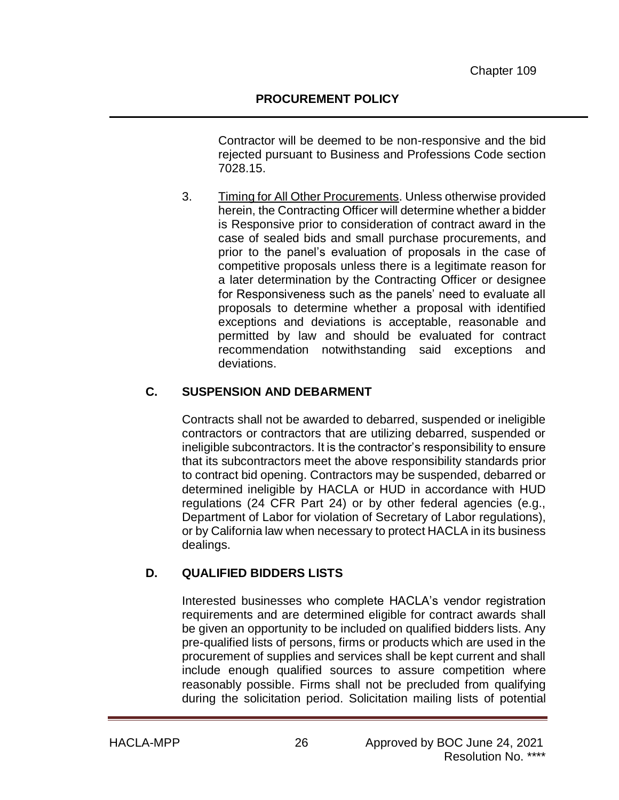Contractor will be deemed to be non-responsive and the bid rejected pursuant to Business and Professions Code section 7028.15.

3. Timing for All Other Procurements. Unless otherwise provided herein, the Contracting Officer will determine whether a bidder is Responsive prior to consideration of contract award in the case of sealed bids and small purchase procurements, and prior to the panel's evaluation of proposals in the case of competitive proposals unless there is a legitimate reason for a later determination by the Contracting Officer or designee for Responsiveness such as the panels' need to evaluate all proposals to determine whether a proposal with identified exceptions and deviations is acceptable, reasonable and permitted by law and should be evaluated for contract recommendation notwithstanding said exceptions and deviations.

## **C. SUSPENSION AND DEBARMENT**

Contracts shall not be awarded to debarred, suspended or ineligible contractors or contractors that are utilizing debarred, suspended or ineligible subcontractors. It is the contractor's responsibility to ensure that its subcontractors meet the above responsibility standards prior to contract bid opening. Contractors may be suspended, debarred or determined ineligible by HACLA or HUD in accordance with HUD regulations (24 CFR Part 24) or by other federal agencies (e.g., Department of Labor for violation of Secretary of Labor regulations), or by California law when necessary to protect HACLA in its business dealings.

# **D. QUALIFIED BIDDERS LISTS**

Interested businesses who complete HACLA's vendor registration requirements and are determined eligible for contract awards shall be given an opportunity to be included on qualified bidders lists. Any pre-qualified lists of persons, firms or products which are used in the procurement of supplies and services shall be kept current and shall include enough qualified sources to assure competition where reasonably possible. Firms shall not be precluded from qualifying during the solicitation period. Solicitation mailing lists of potential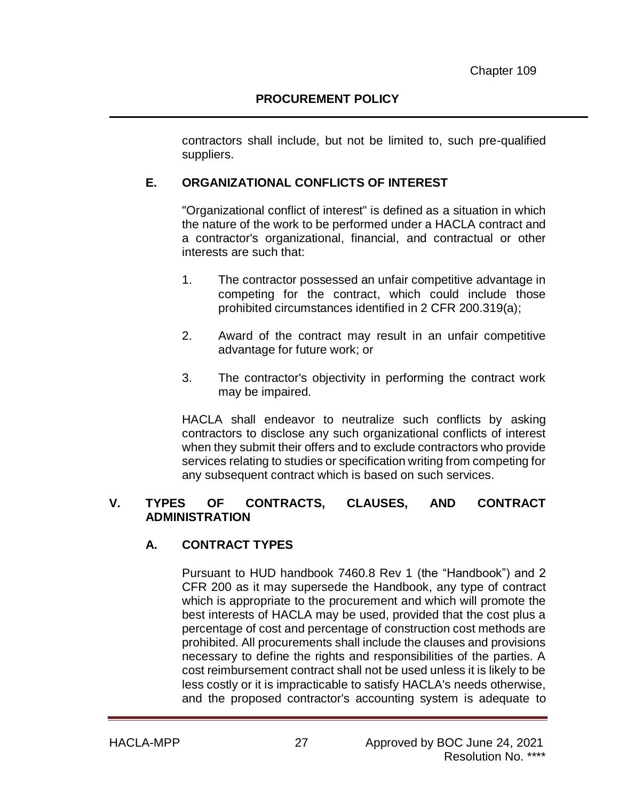contractors shall include, but not be limited to, such pre-qualified suppliers.

## **E. ORGANIZATIONAL CONFLICTS OF INTEREST**

"Organizational conflict of interest" is defined as a situation in which the nature of the work to be performed under a HACLA contract and a contractor's organizational, financial, and contractual or other interests are such that:

- 1. The contractor possessed an unfair competitive advantage in competing for the contract, which could include those prohibited circumstances identified in 2 CFR 200.319(a);
- 2. Award of the contract may result in an unfair competitive advantage for future work; or
- 3. The contractor's objectivity in performing the contract work may be impaired.

HACLA shall endeavor to neutralize such conflicts by asking contractors to disclose any such organizational conflicts of interest when they submit their offers and to exclude contractors who provide services relating to studies or specification writing from competing for any subsequent contract which is based on such services.

#### **V. TYPES OF CONTRACTS, CLAUSES, AND CONTRACT ADMINISTRATION**

## **A. CONTRACT TYPES**

Pursuant to HUD handbook 7460.8 Rev 1 (the "Handbook") and 2 CFR 200 as it may supersede the Handbook, any type of contract which is appropriate to the procurement and which will promote the best interests of HACLA may be used, provided that the cost plus a percentage of cost and percentage of construction cost methods are prohibited. All procurements shall include the clauses and provisions necessary to define the rights and responsibilities of the parties. A cost reimbursement contract shall not be used unless it is likely to be less costly or it is impracticable to satisfy HACLA's needs otherwise, and the proposed contractor's accounting system is adequate to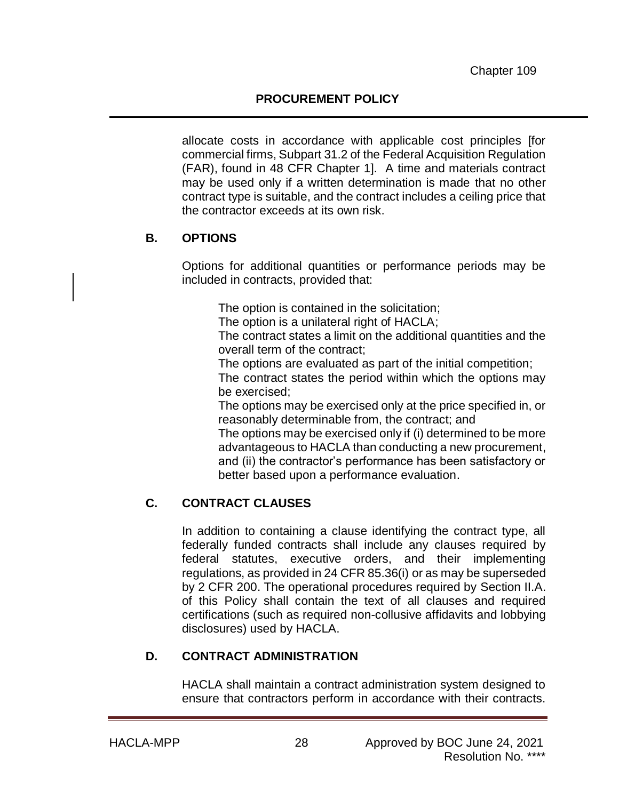allocate costs in accordance with applicable cost principles [for commercial firms, Subpart 31.2 of the Federal Acquisition Regulation (FAR), found in 48 CFR Chapter 1]. A time and materials contract may be used only if a written determination is made that no other contract type is suitable, and the contract includes a ceiling price that the contractor exceeds at its own risk.

## **B. OPTIONS**

Options for additional quantities or performance periods may be included in contracts, provided that:

The option is contained in the solicitation;

The option is a unilateral right of HACLA;

The contract states a limit on the additional quantities and the overall term of the contract;

The options are evaluated as part of the initial competition;

The contract states the period within which the options may be exercised;

The options may be exercised only at the price specified in, or reasonably determinable from, the contract; and

The options may be exercised only if (i) determined to be more advantageous to HACLA than conducting a new procurement, and (ii) the contractor's performance has been satisfactory or better based upon a performance evaluation.

# **C. CONTRACT CLAUSES**

In addition to containing a clause identifying the contract type, all federally funded contracts shall include any clauses required by federal statutes, executive orders, and their implementing regulations, as provided in 24 CFR 85.36(i) or as may be superseded by 2 CFR 200. The operational procedures required by Section II.A. of this Policy shall contain the text of all clauses and required certifications (such as required non-collusive affidavits and lobbying disclosures) used by HACLA.

# **D. CONTRACT ADMINISTRATION**

HACLA shall maintain a contract administration system designed to ensure that contractors perform in accordance with their contracts.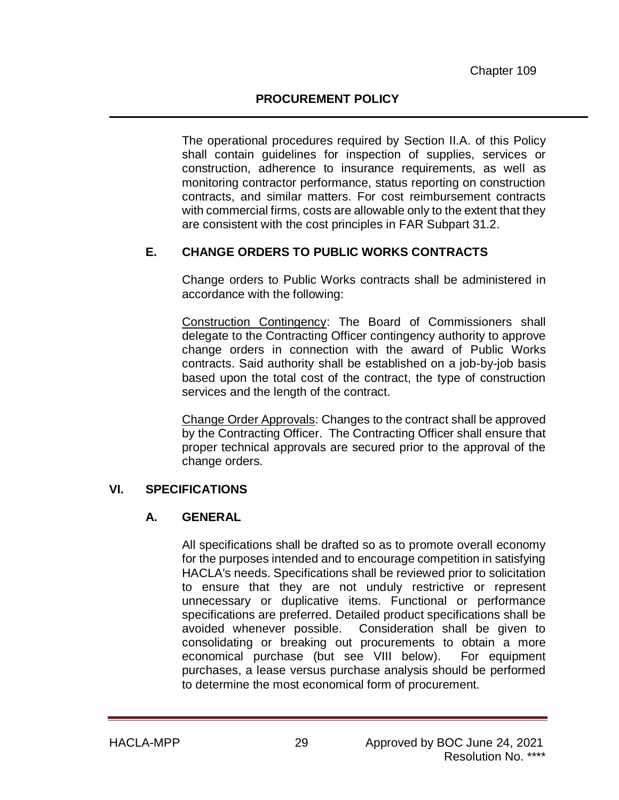The operational procedures required by Section II.A. of this Policy shall contain guidelines for inspection of supplies, services or construction, adherence to insurance requirements, as well as monitoring contractor performance, status reporting on construction contracts, and similar matters. For cost reimbursement contracts with commercial firms, costs are allowable only to the extent that they are consistent with the cost principles in FAR Subpart 31.2.

# **E. CHANGE ORDERS TO PUBLIC WORKS CONTRACTS**

Change orders to Public Works contracts shall be administered in accordance with the following:

Construction Contingency: The Board of Commissioners shall delegate to the Contracting Officer contingency authority to approve change orders in connection with the award of Public Works contracts. Said authority shall be established on a job-by-job basis based upon the total cost of the contract, the type of construction services and the length of the contract.

Change Order Approvals: Changes to the contract shall be approved by the Contracting Officer. The Contracting Officer shall ensure that proper technical approvals are secured prior to the approval of the change orders.

## **VI. SPECIFICATIONS**

# **A. GENERAL**

All specifications shall be drafted so as to promote overall economy for the purposes intended and to encourage competition in satisfying HACLA's needs. Specifications shall be reviewed prior to solicitation to ensure that they are not unduly restrictive or represent unnecessary or duplicative items. Functional or performance specifications are preferred. Detailed product specifications shall be avoided whenever possible. Consideration shall be given to consolidating or breaking out procurements to obtain a more economical purchase (but see VIII below). For equipment purchases, a lease versus purchase analysis should be performed to determine the most economical form of procurement.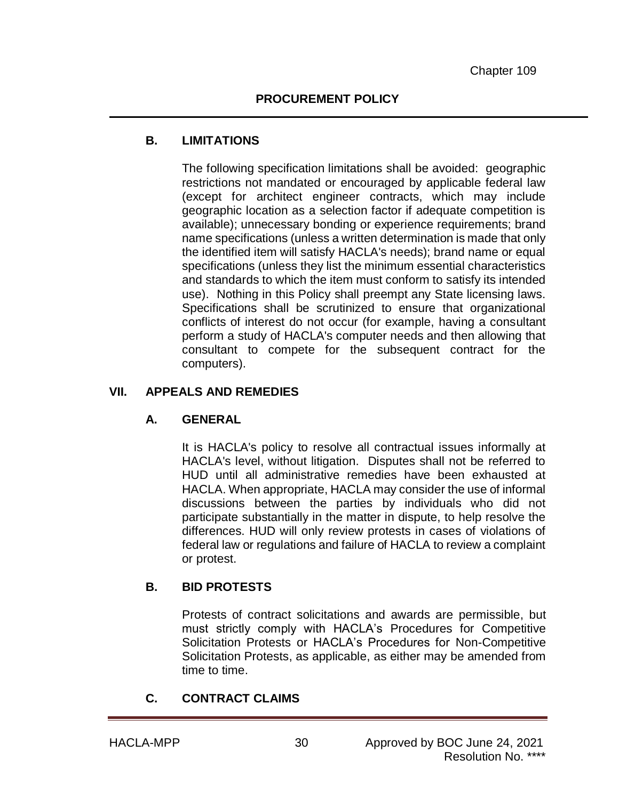### **B. LIMITATIONS**

The following specification limitations shall be avoided: geographic restrictions not mandated or encouraged by applicable federal law (except for architect engineer contracts, which may include geographic location as a selection factor if adequate competition is available); unnecessary bonding or experience requirements; brand name specifications (unless a written determination is made that only the identified item will satisfy HACLA's needs); brand name or equal specifications (unless they list the minimum essential characteristics and standards to which the item must conform to satisfy its intended use). Nothing in this Policy shall preempt any State licensing laws. Specifications shall be scrutinized to ensure that organizational conflicts of interest do not occur (for example, having a consultant perform a study of HACLA's computer needs and then allowing that consultant to compete for the subsequent contract for the computers).

#### **VII. APPEALS AND REMEDIES**

## **A. GENERAL**

It is HACLA's policy to resolve all contractual issues informally at HACLA's level, without litigation. Disputes shall not be referred to HUD until all administrative remedies have been exhausted at HACLA. When appropriate, HACLA may consider the use of informal discussions between the parties by individuals who did not participate substantially in the matter in dispute, to help resolve the differences. HUD will only review protests in cases of violations of federal law or regulations and failure of HACLA to review a complaint or protest.

## **B. BID PROTESTS**

Protests of contract solicitations and awards are permissible, but must strictly comply with HACLA's Procedures for Competitive Solicitation Protests or HACLA's Procedures for Non-Competitive Solicitation Protests, as applicable, as either may be amended from time to time.

# **C. CONTRACT CLAIMS**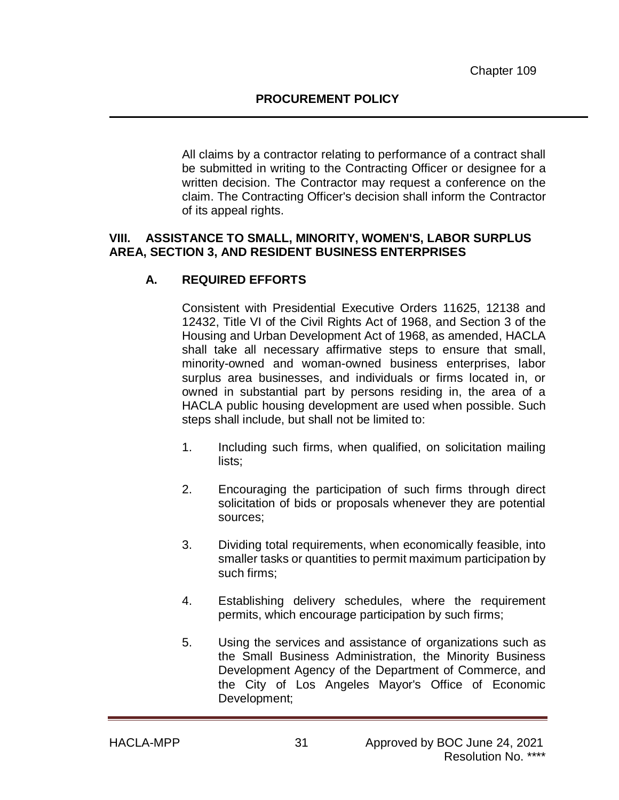All claims by a contractor relating to performance of a contract shall be submitted in writing to the Contracting Officer or designee for a written decision. The Contractor may request a conference on the claim. The Contracting Officer's decision shall inform the Contractor of its appeal rights.

#### **VIII. ASSISTANCE TO SMALL, MINORITY, WOMEN'S, LABOR SURPLUS AREA, SECTION 3, AND RESIDENT BUSINESS ENTERPRISES**

### **A. REQUIRED EFFORTS**

Consistent with Presidential Executive Orders 11625, 12138 and 12432, Title VI of the Civil Rights Act of 1968, and Section 3 of the Housing and Urban Development Act of 1968, as amended, HACLA shall take all necessary affirmative steps to ensure that small, minority-owned and woman-owned business enterprises, labor surplus area businesses, and individuals or firms located in, or owned in substantial part by persons residing in, the area of a HACLA public housing development are used when possible. Such steps shall include, but shall not be limited to:

- 1. Including such firms, when qualified, on solicitation mailing lists;
- 2. Encouraging the participation of such firms through direct solicitation of bids or proposals whenever they are potential sources;
- 3. Dividing total requirements, when economically feasible, into smaller tasks or quantities to permit maximum participation by such firms;
- 4. Establishing delivery schedules, where the requirement permits, which encourage participation by such firms;
- 5. Using the services and assistance of organizations such as the Small Business Administration, the Minority Business Development Agency of the Department of Commerce, and the City of Los Angeles Mayor's Office of Economic Development;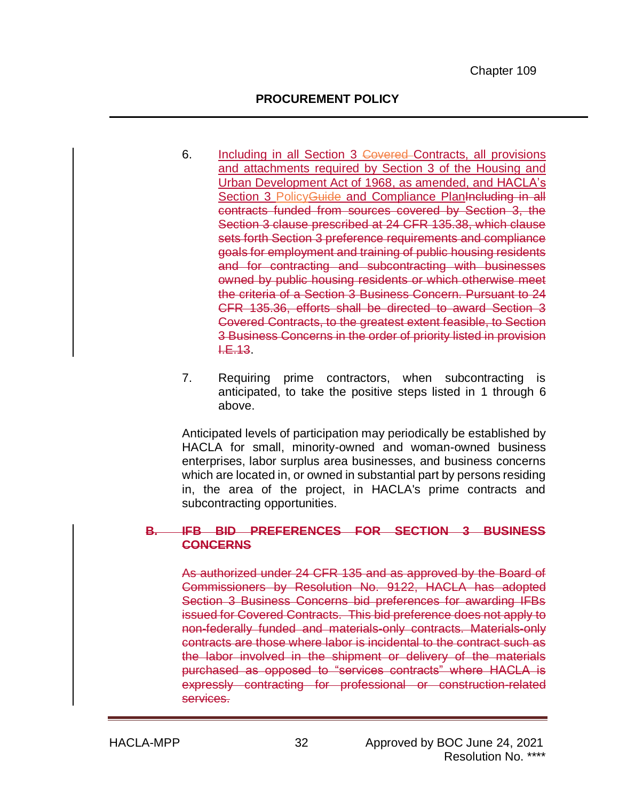- 6. Including in all Section 3 Covered Contracts, all provisions and attachments required by Section 3 of the Housing and Urban Development Act of 1968, as amended, and HACLA's Section 3 Policy Guide and Compliance Planincluding in all contracts funded from sources covered by Section 3, the Section 3 clause prescribed at 24 CFR 135.38, which clause sets forth Section 3 preference requirements and compliance goals for employment and training of public housing residents and for contracting and subcontracting with businesses owned by public housing residents or which otherwise meet the criteria of a Section 3 Business Concern. Pursuant to 24 CFR 135.36, efforts shall be directed to award Section 3 Covered Contracts, to the greatest extent feasible, to Section 3 Business Concerns in the order of priority listed in provision  $E.13.$
- 7. Requiring prime contractors, when subcontracting is anticipated, to take the positive steps listed in 1 through 6 above.

Anticipated levels of participation may periodically be established by HACLA for small, minority-owned and woman-owned business enterprises, labor surplus area businesses, and business concerns which are located in, or owned in substantial part by persons residing in, the area of the project, in HACLA's prime contracts and subcontracting opportunities.

#### **B. IFB BID PREFERENCES FOR SECTION 3 BUSINESS CONCERNS**

As authorized under 24 CFR 135 and as approved by the Board of Commissioners by Resolution No. 9122, HACLA has adopted Section 3 Business Concerns bid preferences for awarding IFBs issued for Covered Contracts. This bid preference does not apply to non-federally funded and materials-only contracts. Materials-only contracts are those where labor is incidental to the contract such as the labor involved in the shipment or delivery of the materials purchased as opposed to "services contracts" where HACLA is expressly contracting for professional or construction-related services.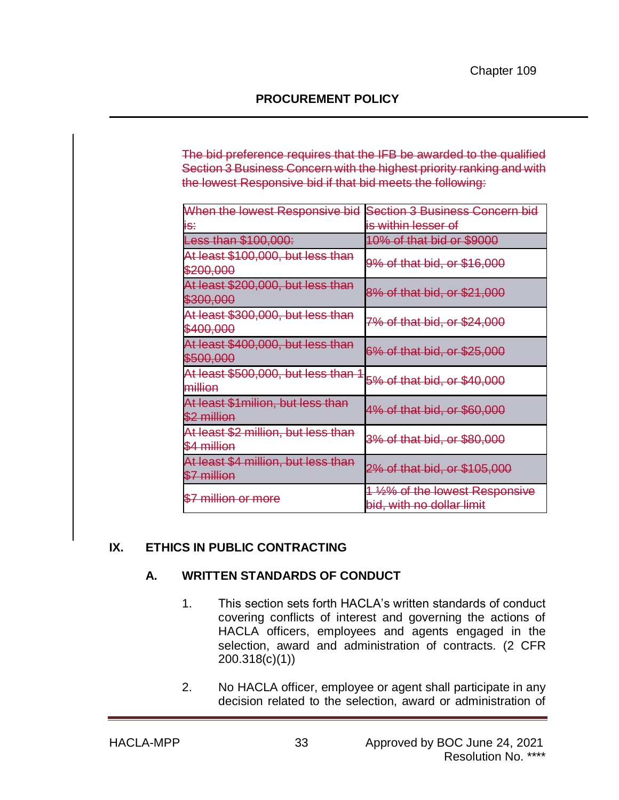The bid preference requires that the IFB be awarded to the qualified Section 3 Business Concern with the highest priority ranking and with the lowest Responsive bid if that bid meets the following:

| When the lowest Responsive bid                     | Section 3 Business Concern                                   |
|----------------------------------------------------|--------------------------------------------------------------|
| IS:                                                | is within lesser of                                          |
| Less than \$100,000:                               | 10% of that bid or \$9000                                    |
| At least \$100,000, but less than<br>\$200,000     | 9% of that bid, or \$16,000                                  |
| At least \$200,000, but less than<br>\$300,000     | 8% of that bid, or \$21,000                                  |
| At least \$300,000, but less than<br>\$400,000     | 7% of that bid, or \$24,000                                  |
| At least \$400,000, but less than<br>\$500,000     | 6% of that bid, or \$25,000                                  |
| At least \$500,000, but less than<br>million       | 5% of that bid, or \$40,000                                  |
| At least \$1 milion, but less than<br>\$2 million  | 4% of that bid, or \$60,000                                  |
| At least \$2 million, but less than<br>\$4 million | 3% of that bid, or \$80,000                                  |
| At least \$4 million, but less than<br>\$7 million | 2% of that bid, or \$105,000                                 |
| \$7 million or more                                | 1 1/2% of the lowest Responsive<br>bid, with no dollar limit |

## **IX. ETHICS IN PUBLIC CONTRACTING**

## **A. WRITTEN STANDARDS OF CONDUCT**

- 1. This section sets forth HACLA's written standards of conduct covering conflicts of interest and governing the actions of HACLA officers, employees and agents engaged in the selection, award and administration of contracts. (2 CFR 200.318(c)(1))
- 2. No HACLA officer, employee or agent shall participate in any decision related to the selection, award or administration of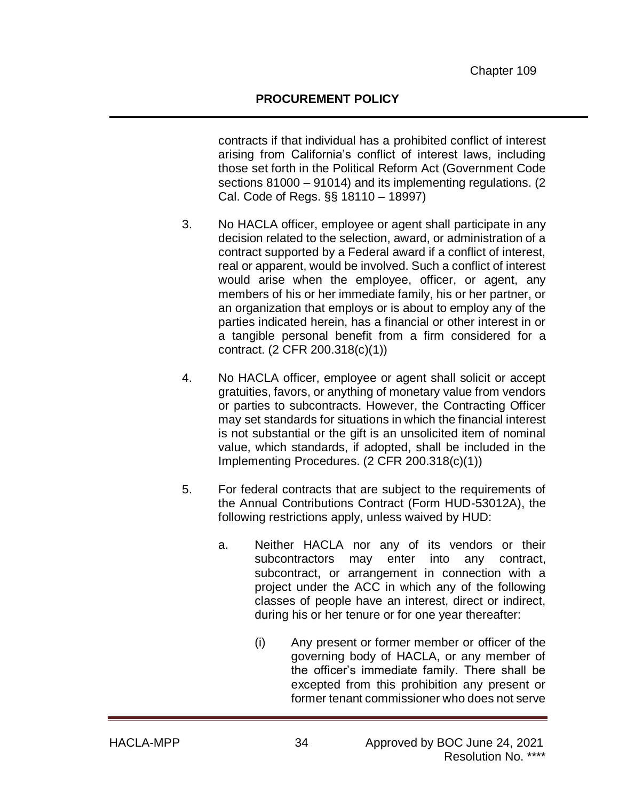contracts if that individual has a prohibited conflict of interest arising from California's conflict of interest laws, including those set forth in the Political Reform Act (Government Code sections 81000 – 91014) and its implementing regulations. (2 Cal. Code of Regs. §§ 18110 – 18997)

- 3. No HACLA officer, employee or agent shall participate in any decision related to the selection, award, or administration of a contract supported by a Federal award if a conflict of interest, real or apparent, would be involved. Such a conflict of interest would arise when the employee, officer, or agent, any members of his or her immediate family, his or her partner, or an organization that employs or is about to employ any of the parties indicated herein, has a financial or other interest in or a tangible personal benefit from a firm considered for a contract. (2 CFR 200.318(c)(1))
- 4. No HACLA officer, employee or agent shall solicit or accept gratuities, favors, or anything of monetary value from vendors or parties to subcontracts. However, the Contracting Officer may set standards for situations in which the financial interest is not substantial or the gift is an unsolicited item of nominal value, which standards, if adopted, shall be included in the Implementing Procedures. (2 CFR 200.318(c)(1))
- 5. For federal contracts that are subject to the requirements of the Annual Contributions Contract (Form HUD-53012A), the following restrictions apply, unless waived by HUD:
	- a. Neither HACLA nor any of its vendors or their subcontractors may enter into any contract, subcontract, or arrangement in connection with a project under the ACC in which any of the following classes of people have an interest, direct or indirect, during his or her tenure or for one year thereafter:
		- (i) Any present or former member or officer of the governing body of HACLA, or any member of the officer's immediate family. There shall be excepted from this prohibition any present or former tenant commissioner who does not serve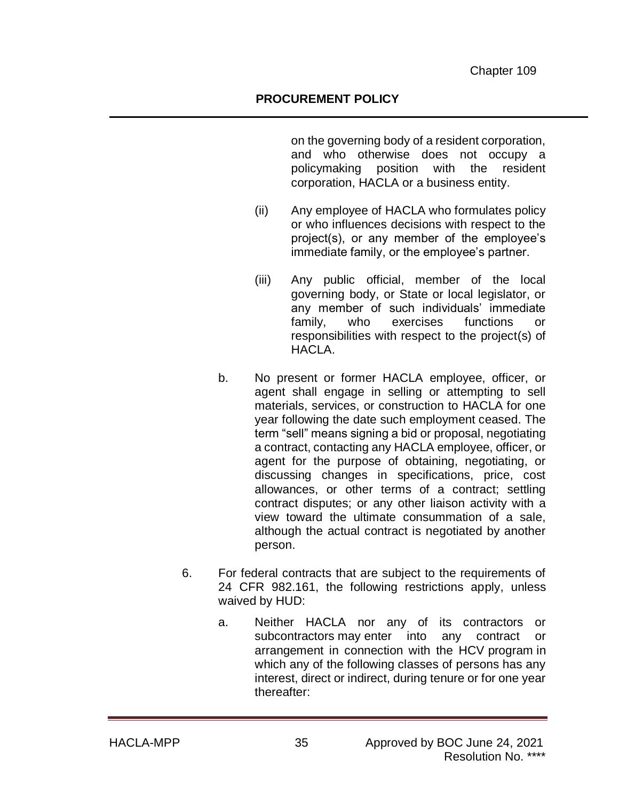on the governing body of a resident corporation, and who otherwise does not occupy a policymaking position with the resident corporation, HACLA or a business entity.

- (ii) Any employee of HACLA who formulates policy or who influences decisions with respect to the project(s), or any member of the employee's immediate family, or the employee's partner.
- (iii) Any public official, member of the local governing body, or State or local legislator, or any member of such individuals' immediate family, who exercises functions or responsibilities with respect to the project(s) of HACLA.
- b. No present or former HACLA employee, officer, or agent shall engage in selling or attempting to sell materials, services, or construction to HACLA for one year following the date such employment ceased. The term "sell" means signing a bid or proposal, negotiating a contract, contacting any HACLA employee, officer, or agent for the purpose of obtaining, negotiating, or discussing changes in specifications, price, cost allowances, or other terms of a contract; settling contract disputes; or any other liaison activity with a view toward the ultimate consummation of a sale, although the actual contract is negotiated by another person.
- 6. For federal contracts that are subject to the requirements of 24 CFR 982.161, the following restrictions apply, unless waived by HUD:
	- a. Neither HACLA nor any of its contractors or subcontractors [may](https://www.law.cornell.edu/definitions/index.php?width=840&height=800&iframe=true&def_id=e3b0880323aa156a7c5817572c88fd3c&term_occur=1&term_src=Title:24:Subtitle:B:Chapter:IX:Part:982:Subpart:D:982.161) enter into any contract or arrangement in connection with the HCV [program](https://www.law.cornell.edu/definitions/index.php?width=840&height=800&iframe=true&def_id=54c66bb8255ac9e825c8878ff41bdb66&term_occur=1&term_src=Title:24:Subtitle:B:Chapter:IX:Part:982:Subpart:D:982.161) in which any of the following classes of persons has any interest, direct or indirect, during tenure or for one year thereafter: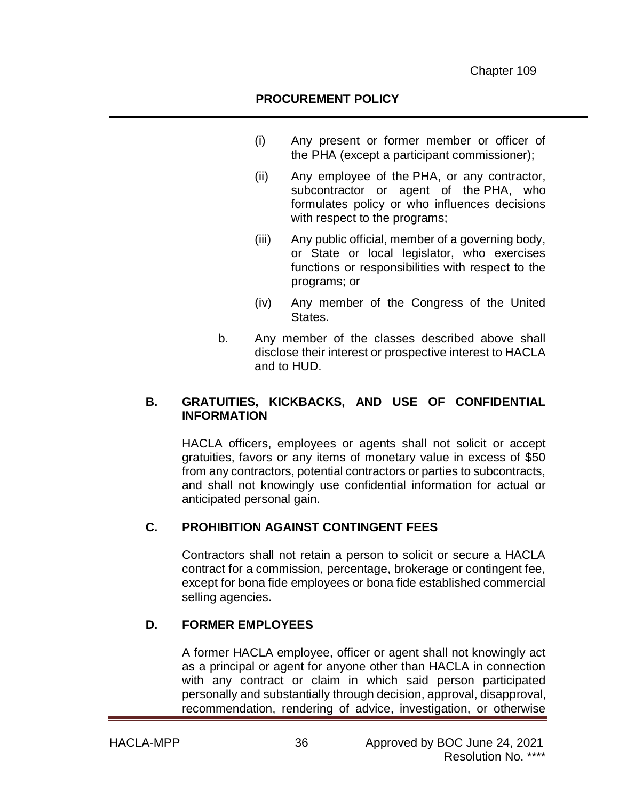- (i) Any present or former member or officer of the [PHA](https://www.law.cornell.edu/definitions/index.php?width=840&height=800&iframe=true&def_id=3b4d5083a1b40906b99b82eff55c2461&term_occur=2&term_src=Title:24:Subtitle:B:Chapter:IX:Part:982:Subpart:D:982.161) (except a [participant](https://www.law.cornell.edu/definitions/index.php?width=840&height=800&iframe=true&def_id=7ee23582e3793f1888bb8d2f2108cf7b&term_occur=1&term_src=Title:24:Subtitle:B:Chapter:IX:Part:982:Subpart:D:982.161) commissioner);
- (ii) Any employee of the [PHA,](https://www.law.cornell.edu/definitions/index.php?width=840&height=800&iframe=true&def_id=3b4d5083a1b40906b99b82eff55c2461&term_occur=3&term_src=Title:24:Subtitle:B:Chapter:IX:Part:982:Subpart:D:982.161) or any contractor, subcontractor or agent of the [PHA,](https://www.law.cornell.edu/definitions/index.php?width=840&height=800&iframe=true&def_id=3b4d5083a1b40906b99b82eff55c2461&term_occur=4&term_src=Title:24:Subtitle:B:Chapter:IX:Part:982:Subpart:D:982.161) who formulates policy or who influences decisions with respect to the programs;
- (iii) Any public official, member of a governing body, or State or local legislator, who exercises functions or responsibilities with respect to the programs; or
- (iv) Any member of the Congress of the United States.
- b. Any member of the classes described above shall disclose their interest or prospective interest to HACLA and to HUD.

### **B. GRATUITIES, KICKBACKS, AND USE OF CONFIDENTIAL INFORMATION**

HACLA officers, employees or agents shall not solicit or accept gratuities, favors or any items of monetary value in excess of \$50 from any contractors, potential contractors or parties to subcontracts, and shall not knowingly use confidential information for actual or anticipated personal gain.

## **C. PROHIBITION AGAINST CONTINGENT FEES**

Contractors shall not retain a person to solicit or secure a HACLA contract for a commission, percentage, brokerage or contingent fee, except for bona fide employees or bona fide established commercial selling agencies.

## **D. FORMER EMPLOYEES**

A former HACLA employee, officer or agent shall not knowingly act as a principal or agent for anyone other than HACLA in connection with any contract or claim in which said person participated personally and substantially through decision, approval, disapproval, recommendation, rendering of advice, investigation, or otherwise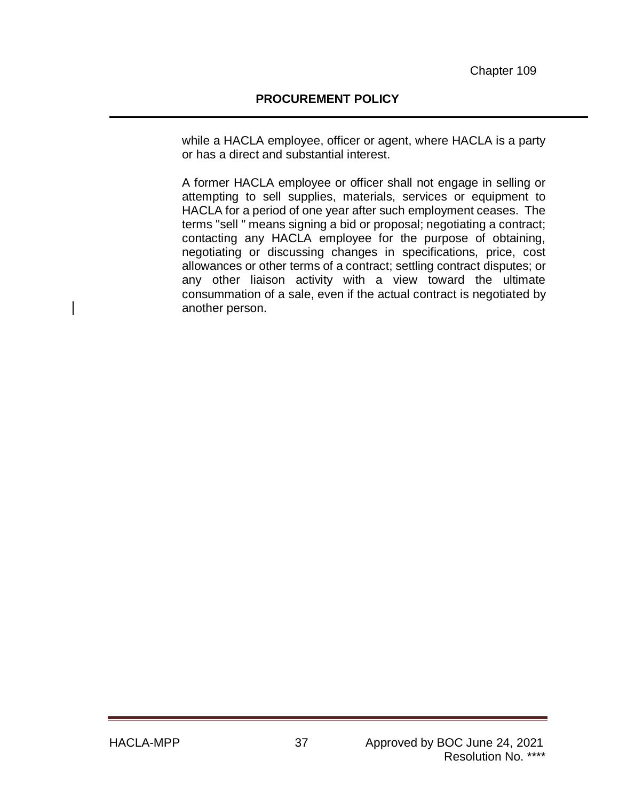while a HACLA employee, officer or agent, where HACLA is a party or has a direct and substantial interest.

A former HACLA employee or officer shall not engage in selling or attempting to sell supplies, materials, services or equipment to HACLA for a period of one year after such employment ceases. The terms "sell " means signing a bid or proposal; negotiating a contract; contacting any HACLA employee for the purpose of obtaining, negotiating or discussing changes in specifications, price, cost allowances or other terms of a contract; settling contract disputes; or any other liaison activity with a view toward the ultimate consummation of a sale, even if the actual contract is negotiated by another person.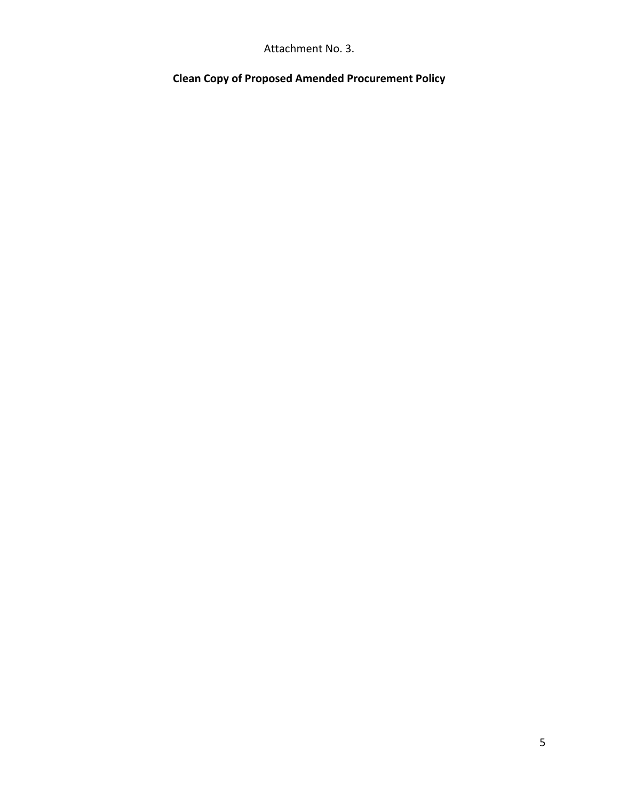Attachment No. 3.

**Clean Copy of Proposed Amended Procurement Policy**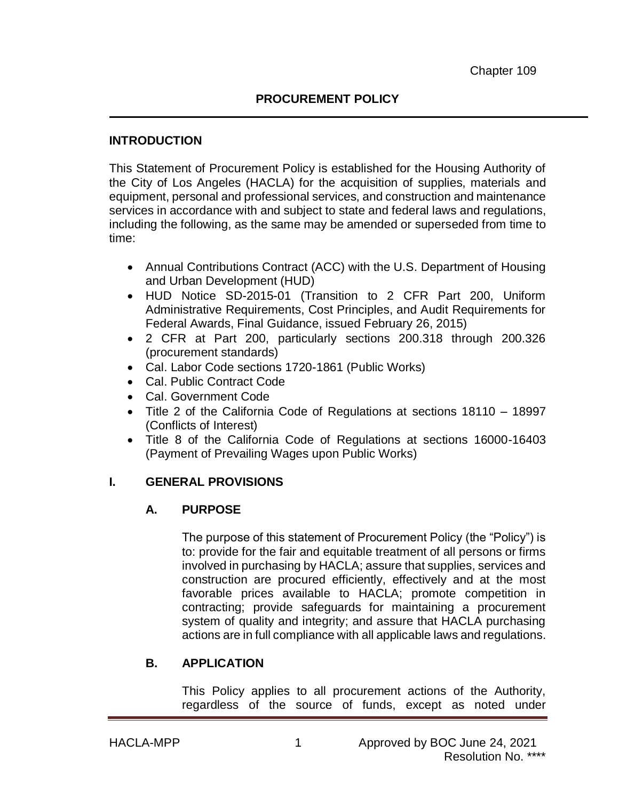#### **INTRODUCTION**

This Statement of Procurement Policy is established for the Housing Authority of the City of Los Angeles (HACLA) for the acquisition of supplies, materials and equipment, personal and professional services, and construction and maintenance services in accordance with and subject to state and federal laws and regulations, including the following, as the same may be amended or superseded from time to time:

- Annual Contributions Contract (ACC) with the U.S. Department of Housing and Urban Development (HUD)
- HUD Notice SD-2015-01 (Transition to 2 CFR Part 200, Uniform Administrative Requirements, Cost Principles, and Audit Requirements for Federal Awards, Final Guidance, issued February 26, 2015)
- 2 CFR at Part 200, particularly sections 200.318 through 200.326 (procurement standards)
- Cal. Labor Code sections 1720-1861 (Public Works)
- Cal. Public Contract Code
- Cal. Government Code
- Title 2 of the California Code of Regulations at sections 18110 18997 (Conflicts of Interest)
- Title 8 of the California Code of Regulations at sections 16000-16403 (Payment of Prevailing Wages upon Public Works)

## **I. GENERAL PROVISIONS**

## **A. PURPOSE**

The purpose of this statement of Procurement Policy (the "Policy") is to: provide for the fair and equitable treatment of all persons or firms involved in purchasing by HACLA; assure that supplies, services and construction are procured efficiently, effectively and at the most favorable prices available to HACLA; promote competition in contracting; provide safeguards for maintaining a procurement system of quality and integrity; and assure that HACLA purchasing actions are in full compliance with all applicable laws and regulations.

## **B. APPLICATION**

This Policy applies to all procurement actions of the Authority, regardless of the source of funds, except as noted under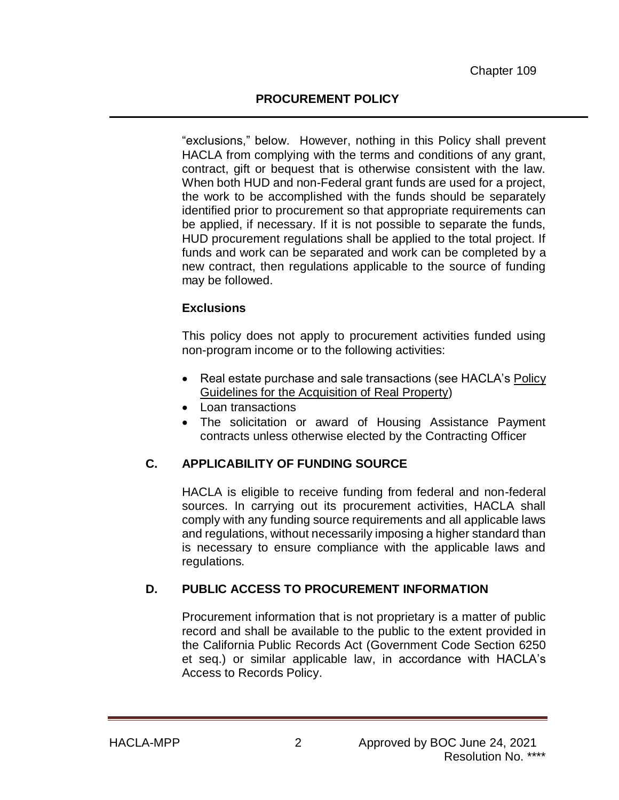### **PROCUREMENT POLICY**

"exclusions," below. However, nothing in this Policy shall prevent HACLA from complying with the terms and conditions of any grant, contract, gift or bequest that is otherwise consistent with the law. When both HUD and non-Federal grant funds are used for a project, the work to be accomplished with the funds should be separately identified prior to procurement so that appropriate requirements can be applied, if necessary. If it is not possible to separate the funds, HUD procurement regulations shall be applied to the total project. If funds and work can be separated and work can be completed by a new contract, then regulations applicable to the source of funding may be followed.

#### **Exclusions**

This policy does not apply to procurement activities funded using non-program income or to the following activities:

- Real estate purchase and sale transactions (see HACLA's Policy Guidelines for the Acquisition of Real Property)
- Loan transactions
- The solicitation or award of Housing Assistance Payment contracts unless otherwise elected by the Contracting Officer

## **C. APPLICABILITY OF FUNDING SOURCE**

HACLA is eligible to receive funding from federal and non-federal sources. In carrying out its procurement activities, HACLA shall comply with any funding source requirements and all applicable laws and regulations, without necessarily imposing a higher standard than is necessary to ensure compliance with the applicable laws and regulations.

## **D. PUBLIC ACCESS TO PROCUREMENT INFORMATION**

Procurement information that is not proprietary is a matter of public record and shall be available to the public to the extent provided in the California Public Records Act (Government Code Section 6250 et seq.) or similar applicable law, in accordance with HACLA's Access to Records Policy.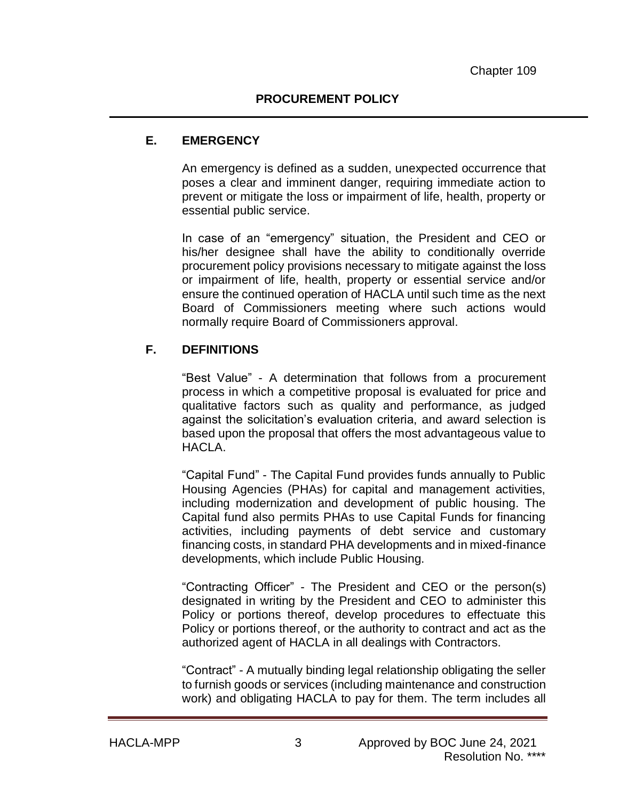### **E. EMERGENCY**

An emergency is defined as a sudden, unexpected occurrence that poses a clear and imminent danger, requiring immediate action to prevent or mitigate the loss or impairment of life, health, property or essential public service.

In case of an "emergency" situation, the President and CEO or his/her designee shall have the ability to conditionally override procurement policy provisions necessary to mitigate against the loss or impairment of life, health, property or essential service and/or ensure the continued operation of HACLA until such time as the next Board of Commissioners meeting where such actions would normally require Board of Commissioners approval.

## **F. DEFINITIONS**

"Best Value" - A determination that follows from a procurement process in which a competitive proposal is evaluated for price and qualitative factors such as quality and performance, as judged against the solicitation's evaluation criteria, and award selection is based upon the proposal that offers the most advantageous value to HACLA.

"Capital Fund" - The Capital Fund provides funds annually to Public Housing Agencies (PHAs) for capital and management activities, including modernization and development of public housing. The Capital fund also permits PHAs to use Capital Funds for financing activities, including payments of debt service and customary financing costs, in standard PHA developments and in mixed-finance developments, which include Public Housing.

"Contracting Officer" - The President and CEO or the person(s) designated in writing by the President and CEO to administer this Policy or portions thereof, develop procedures to effectuate this Policy or portions thereof, or the authority to contract and act as the authorized agent of HACLA in all dealings with Contractors.

"Contract" - A mutually binding legal relationship obligating the seller to furnish goods or services (including maintenance and construction work) and obligating HACLA to pay for them. The term includes all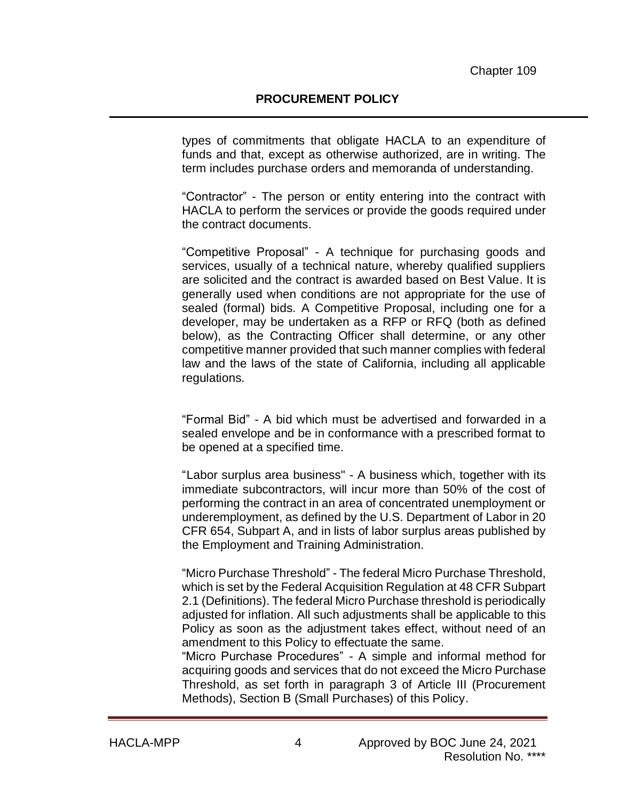types of commitments that obligate HACLA to an expenditure of funds and that, except as otherwise authorized, are in writing. The term includes purchase orders and memoranda of understanding.

"Contractor" - The person or entity entering into the contract with HACLA to perform the services or provide the goods required under the contract documents.

"Competitive Proposal" - A technique for purchasing goods and services, usually of a technical nature, whereby qualified suppliers are solicited and the contract is awarded based on Best Value. It is generally used when conditions are not appropriate for the use of sealed (formal) bids. A Competitive Proposal, including one for a developer, may be undertaken as a RFP or RFQ (both as defined below), as the Contracting Officer shall determine, or any other competitive manner provided that such manner complies with federal law and the laws of the state of California, including all applicable regulations.

"Formal Bid" - A bid which must be advertised and forwarded in a sealed envelope and be in conformance with a prescribed format to be opened at a specified time.

"Labor surplus area business" - A business which, together with its immediate subcontractors, will incur more than 50% of the cost of performing the contract in an area of concentrated unemployment or underemployment, as defined by the U.S. Department of Labor in 20 CFR 654, Subpart A, and in lists of labor surplus areas published by the Employment and Training Administration.

"Micro Purchase Threshold" - The federal Micro Purchase Threshold, which is set by the Federal Acquisition Regulation at 48 CFR Subpart 2.1 (Definitions). The federal Micro Purchase threshold is periodically adjusted for inflation. All such adjustments shall be applicable to this Policy as soon as the adjustment takes effect, without need of an amendment to this Policy to effectuate the same.

"Micro Purchase Procedures" - A simple and informal method for acquiring goods and services that do not exceed the Micro Purchase Threshold, as set forth in paragraph 3 of Article III (Procurement Methods), Section B (Small Purchases) of this Policy.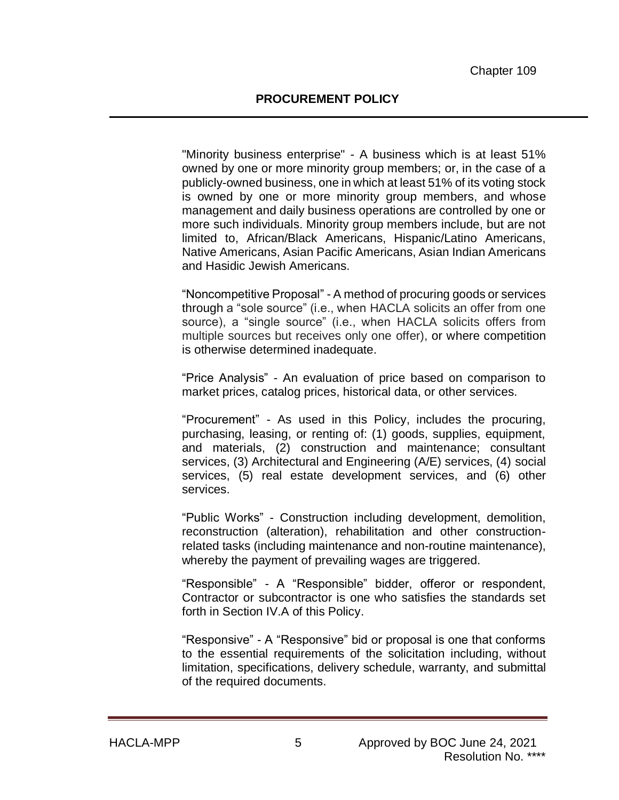"Minority business enterprise" - A business which is at least 51% owned by one or more minority group members; or, in the case of a publicly-owned business, one in which at least 51% of its voting stock is owned by one or more minority group members, and whose management and daily business operations are controlled by one or more such individuals. Minority group members include, but are not limited to, African/Black Americans, Hispanic/Latino Americans, Native Americans, Asian Pacific Americans, Asian Indian Americans and Hasidic Jewish Americans.

"Noncompetitive Proposal" - A method of procuring goods or services through a "sole source" (i.e., when HACLA solicits an offer from one source), a "single source" (i.e., when HACLA solicits offers from multiple sources but receives only one offer), or where competition is otherwise determined inadequate.

"Price Analysis" - An evaluation of price based on comparison to market prices, catalog prices, historical data, or other services.

"Procurement" - As used in this Policy, includes the procuring, purchasing, leasing, or renting of: (1) goods, supplies, equipment, and materials, (2) construction and maintenance; consultant services, (3) Architectural and Engineering (A/E) services, (4) social services, (5) real estate development services, and (6) other services.

"Public Works" - Construction including development, demolition, reconstruction (alteration), rehabilitation and other constructionrelated tasks (including maintenance and non-routine maintenance), whereby the payment of prevailing wages are triggered.

"Responsible" - A "Responsible" bidder, offeror or respondent, Contractor or subcontractor is one who satisfies the standards set forth in Section IV.A of this Policy.

"Responsive" - A "Responsive" bid or proposal is one that conforms to the essential requirements of the solicitation including, without limitation, specifications, delivery schedule, warranty, and submittal of the required documents.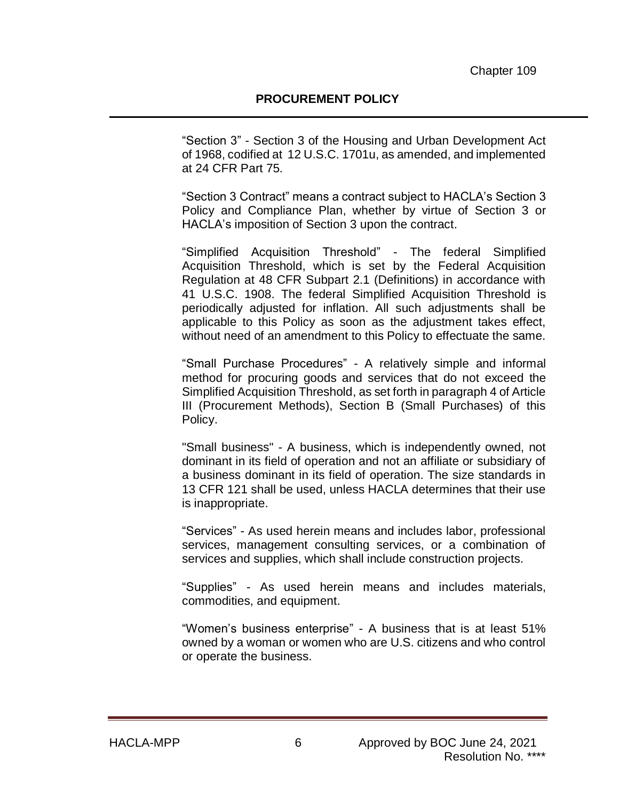"Section 3" - Section 3 of the Housing and Urban Development Act of 1968, codified at 12 U.S.C. 1701u, as amended, and implemented at 24 CFR Part 75*.*

"Section 3 Contract" means a contract subject to HACLA's Section 3 Policy and Compliance Plan, whether by virtue of Section 3 or HACLA's imposition of Section 3 upon the contract.

"Simplified Acquisition Threshold" - The federal Simplified Acquisition Threshold, which is set by the Federal Acquisition Regulation at 48 CFR Subpart 2.1 (Definitions) in accordance with 41 U.S.C. 1908. The federal Simplified Acquisition Threshold is periodically adjusted for inflation. All such adjustments shall be applicable to this Policy as soon as the adjustment takes effect, without need of an amendment to this Policy to effectuate the same.

"Small Purchase Procedures" - A relatively simple and informal method for procuring goods and services that do not exceed the Simplified Acquisition Threshold, as set forth in paragraph 4 of Article III (Procurement Methods), Section B (Small Purchases) of this Policy.

"Small business" - A business, which is independently owned, not dominant in its field of operation and not an affiliate or subsidiary of a business dominant in its field of operation. The size standards in 13 CFR 121 shall be used, unless HACLA determines that their use is inappropriate.

"Services" - As used herein means and includes labor, professional services, management consulting services, or a combination of services and supplies, which shall include construction projects.

"Supplies" - As used herein means and includes materials, commodities, and equipment.

"Women's business enterprise" - A business that is at least 51% owned by a woman or women who are U.S. citizens and who control or operate the business.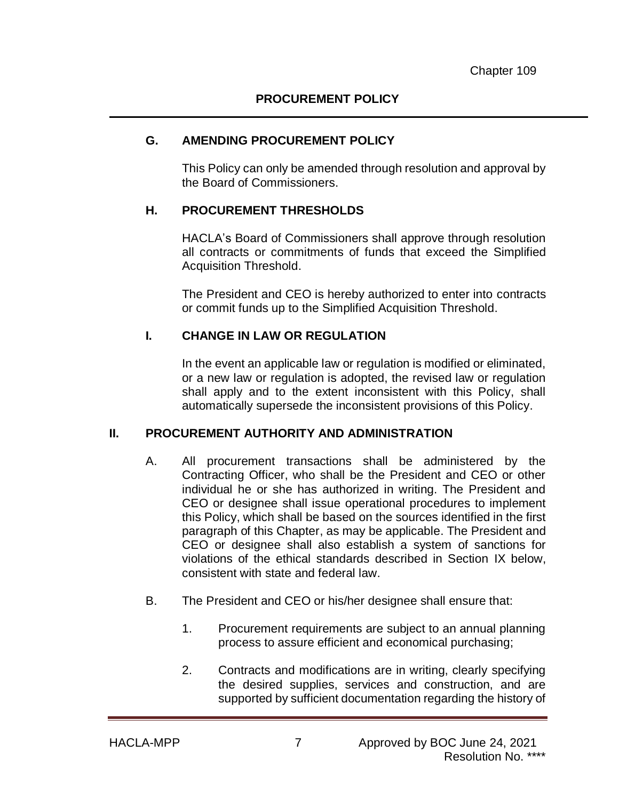#### **G. AMENDING PROCUREMENT POLICY**

This Policy can only be amended through resolution and approval by the Board of Commissioners.

#### **H. PROCUREMENT THRESHOLDS**

HACLA's Board of Commissioners shall approve through resolution all contracts or commitments of funds that exceed the Simplified Acquisition Threshold.

The President and CEO is hereby authorized to enter into contracts or commit funds up to the Simplified Acquisition Threshold.

### **I. CHANGE IN LAW OR REGULATION**

In the event an applicable law or regulation is modified or eliminated, or a new law or regulation is adopted, the revised law or regulation shall apply and to the extent inconsistent with this Policy, shall automatically supersede the inconsistent provisions of this Policy.

#### **II. PROCUREMENT AUTHORITY AND ADMINISTRATION**

- A. All procurement transactions shall be administered by the Contracting Officer, who shall be the President and CEO or other individual he or she has authorized in writing. The President and CEO or designee shall issue operational procedures to implement this Policy, which shall be based on the sources identified in the first paragraph of this Chapter, as may be applicable. The President and CEO or designee shall also establish a system of sanctions for violations of the ethical standards described in Section IX below, consistent with state and federal law.
- B. The President and CEO or his/her designee shall ensure that:
	- 1. Procurement requirements are subject to an annual planning process to assure efficient and economical purchasing;
	- 2. Contracts and modifications are in writing, clearly specifying the desired supplies, services and construction, and are supported by sufficient documentation regarding the history of

HACLA-MPP 7 Approved by BOC June 24, 2021 Resolution No. \*\*\*\*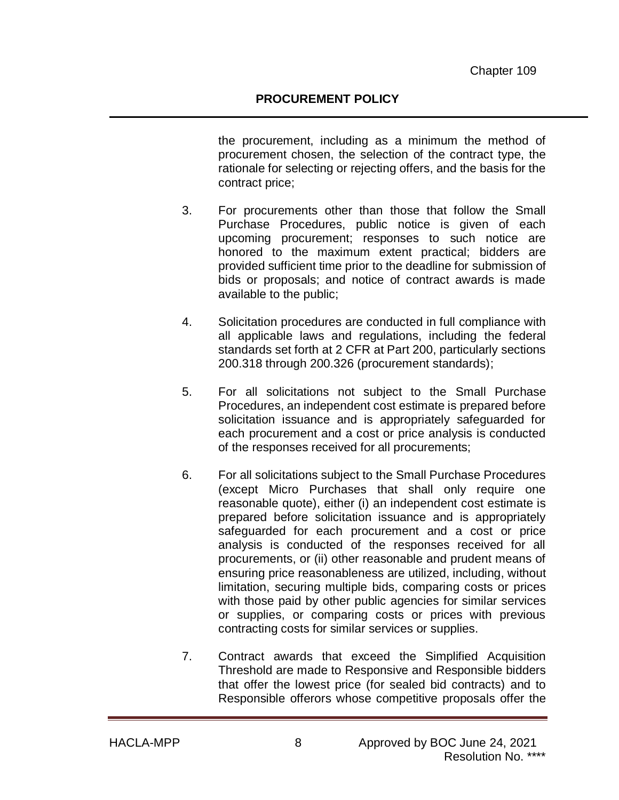the procurement, including as a minimum the method of procurement chosen, the selection of the contract type, the rationale for selecting or rejecting offers, and the basis for the contract price;

- 3. For procurements other than those that follow the Small Purchase Procedures, public notice is given of each upcoming procurement; responses to such notice are honored to the maximum extent practical; bidders are provided sufficient time prior to the deadline for submission of bids or proposals; and notice of contract awards is made available to the public;
- 4. Solicitation procedures are conducted in full compliance with all applicable laws and regulations, including the federal standards set forth at 2 CFR at Part 200, particularly sections 200.318 through 200.326 (procurement standards);
- 5. For all solicitations not subject to the Small Purchase Procedures, an independent cost estimate is prepared before solicitation issuance and is appropriately safeguarded for each procurement and a cost or price analysis is conducted of the responses received for all procurements;
- 6. For all solicitations subject to the Small Purchase Procedures (except Micro Purchases that shall only require one reasonable quote), either (i) an independent cost estimate is prepared before solicitation issuance and is appropriately safeguarded for each procurement and a cost or price analysis is conducted of the responses received for all procurements, or (ii) other reasonable and prudent means of ensuring price reasonableness are utilized, including, without limitation, securing multiple bids, comparing costs or prices with those paid by other public agencies for similar services or supplies, or comparing costs or prices with previous contracting costs for similar services or supplies.
- 7. Contract awards that exceed the Simplified Acquisition Threshold are made to Responsive and Responsible bidders that offer the lowest price (for sealed bid contracts) and to Responsible offerors whose competitive proposals offer the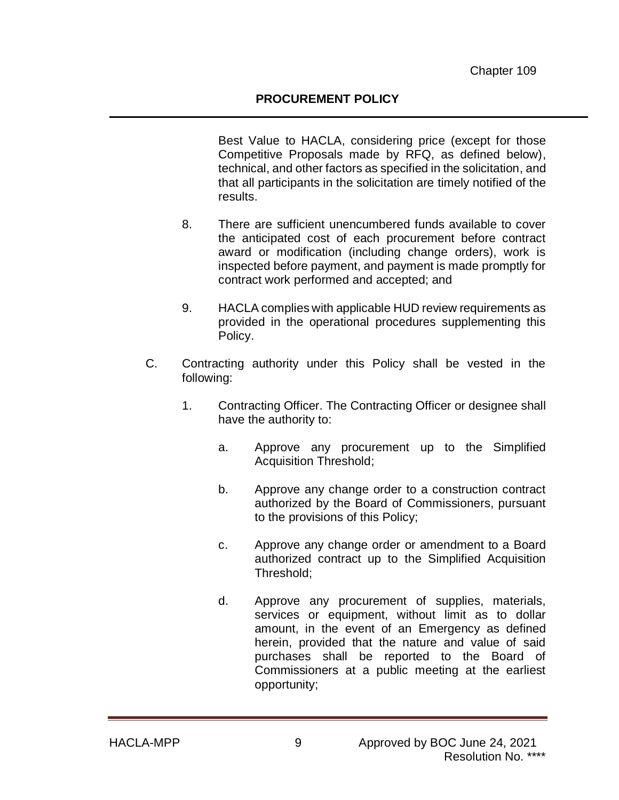#### **PROCUREMENT POLICY**

Best Value to HACLA, considering price (except for those Competitive Proposals made by RFQ, as defined below), technical, and other factors as specified in the solicitation, and that all participants in the solicitation are timely notified of the results.

- 8. There are sufficient unencumbered funds available to cover the anticipated cost of each procurement before contract award or modification (including change orders), work is inspected before payment, and payment is made promptly for contract work performed and accepted; and
- 9. HACLA complies with applicable HUD review requirements as provided in the operational procedures supplementing this Policy.
- C. Contracting authority under this Policy shall be vested in the following:
	- 1. Contracting Officer. The Contracting Officer or designee shall have the authority to:
		- a. Approve any procurement up to the Simplified Acquisition Threshold;
		- b. Approve any change order to a construction contract authorized by the Board of Commissioners, pursuant to the provisions of this Policy;
		- c. Approve any change order or amendment to a Board authorized contract up to the Simplified Acquisition Threshold;
		- d. Approve any procurement of supplies, materials, services or equipment, without limit as to dollar amount, in the event of an Emergency as defined herein, provided that the nature and value of said purchases shall be reported to the Board of Commissioners at a public meeting at the earliest opportunity;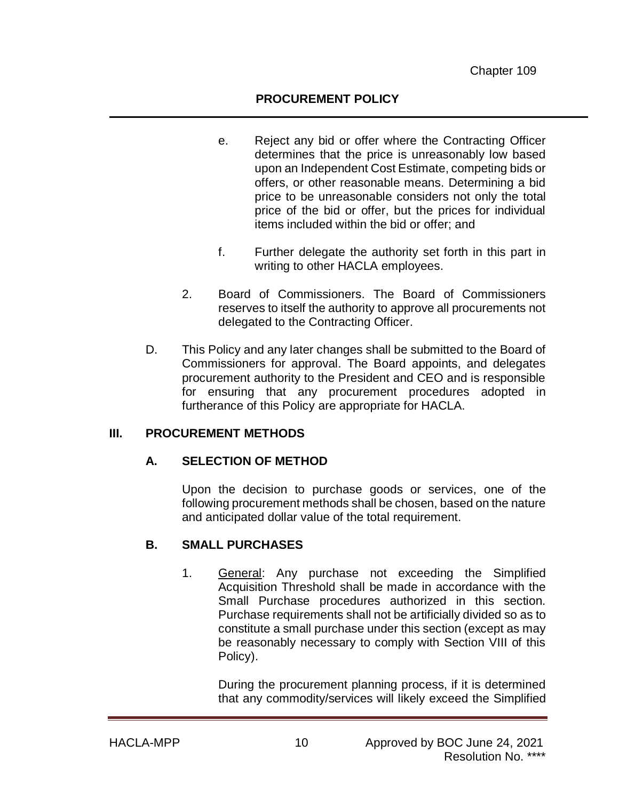#### **PROCUREMENT POLICY**

- e. Reject any bid or offer where the Contracting Officer determines that the price is unreasonably low based upon an Independent Cost Estimate, competing bids or offers, or other reasonable means. Determining a bid price to be unreasonable considers not only the total price of the bid or offer, but the prices for individual items included within the bid or offer; and
- f. Further delegate the authority set forth in this part in writing to other HACLA employees.
- 2. Board of Commissioners. The Board of Commissioners reserves to itself the authority to approve all procurements not delegated to the Contracting Officer.
- D. This Policy and any later changes shall be submitted to the Board of Commissioners for approval. The Board appoints, and delegates procurement authority to the President and CEO and is responsible for ensuring that any procurement procedures adopted in furtherance of this Policy are appropriate for HACLA.

#### **III. PROCUREMENT METHODS**

#### **A. SELECTION OF METHOD**

Upon the decision to purchase goods or services, one of the following procurement methods shall be chosen, based on the nature and anticipated dollar value of the total requirement.

#### **B. SMALL PURCHASES**

1. General: Any purchase not exceeding the Simplified Acquisition Threshold shall be made in accordance with the Small Purchase procedures authorized in this section. Purchase requirements shall not be artificially divided so as to constitute a small purchase under this section (except as may be reasonably necessary to comply with Section VIII of this Policy).

During the procurement planning process, if it is determined that any commodity/services will likely exceed the Simplified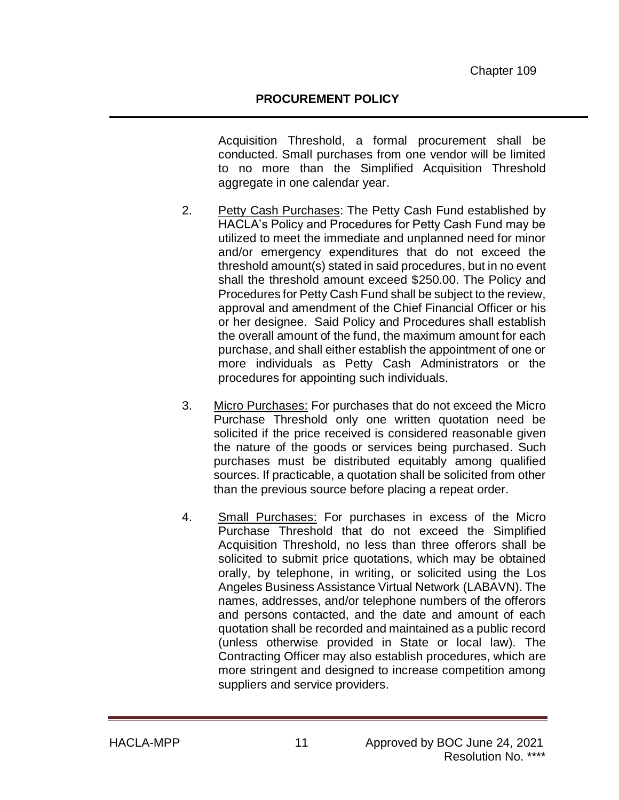Acquisition Threshold, a formal procurement shall be conducted. Small purchases from one vendor will be limited to no more than the Simplified Acquisition Threshold aggregate in one calendar year.

- 2. Petty Cash Purchases: The Petty Cash Fund established by HACLA's Policy and Procedures for Petty Cash Fund may be utilized to meet the immediate and unplanned need for minor and/or emergency expenditures that do not exceed the threshold amount(s) stated in said procedures, but in no event shall the threshold amount exceed \$250.00. The Policy and Procedures for Petty Cash Fund shall be subject to the review, approval and amendment of the Chief Financial Officer or his or her designee. Said Policy and Procedures shall establish the overall amount of the fund, the maximum amount for each purchase, and shall either establish the appointment of one or more individuals as Petty Cash Administrators or the procedures for appointing such individuals.
- 3. Micro Purchases: For purchases that do not exceed the Micro Purchase Threshold only one written quotation need be solicited if the price received is considered reasonable given the nature of the goods or services being purchased. Such purchases must be distributed equitably among qualified sources. If practicable, a quotation shall be solicited from other than the previous source before placing a repeat order.
- 4. Small Purchases: For purchases in excess of the Micro Purchase Threshold that do not exceed the Simplified Acquisition Threshold, no less than three offerors shall be solicited to submit price quotations, which may be obtained orally, by telephone, in writing, or solicited using the Los Angeles Business Assistance Virtual Network (LABAVN). The names, addresses, and/or telephone numbers of the offerors and persons contacted, and the date and amount of each quotation shall be recorded and maintained as a public record (unless otherwise provided in State or local law). The Contracting Officer may also establish procedures, which are more stringent and designed to increase competition among suppliers and service providers.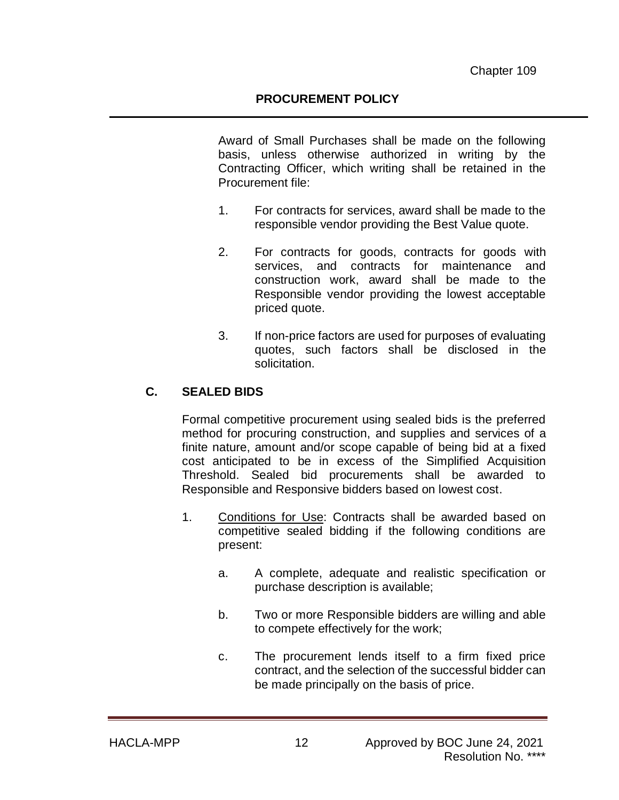#### **PROCUREMENT POLICY**

Award of Small Purchases shall be made on the following basis, unless otherwise authorized in writing by the Contracting Officer, which writing shall be retained in the Procurement file:

- 1. For contracts for services, award shall be made to the responsible vendor providing the Best Value quote.
- 2. For contracts for goods, contracts for goods with services, and contracts for maintenance and construction work, award shall be made to the Responsible vendor providing the lowest acceptable priced quote.
- 3. If non-price factors are used for purposes of evaluating quotes, such factors shall be disclosed in the solicitation.

### **C. SEALED BIDS**

Formal competitive procurement using sealed bids is the preferred method for procuring construction, and supplies and services of a finite nature, amount and/or scope capable of being bid at a fixed cost anticipated to be in excess of the Simplified Acquisition Threshold. Sealed bid procurements shall be awarded to Responsible and Responsive bidders based on lowest cost.

- 1. Conditions for Use: Contracts shall be awarded based on competitive sealed bidding if the following conditions are present:
	- a. A complete, adequate and realistic specification or purchase description is available;
	- b. Two or more Responsible bidders are willing and able to compete effectively for the work;
	- c. The procurement lends itself to a firm fixed price contract, and the selection of the successful bidder can be made principally on the basis of price.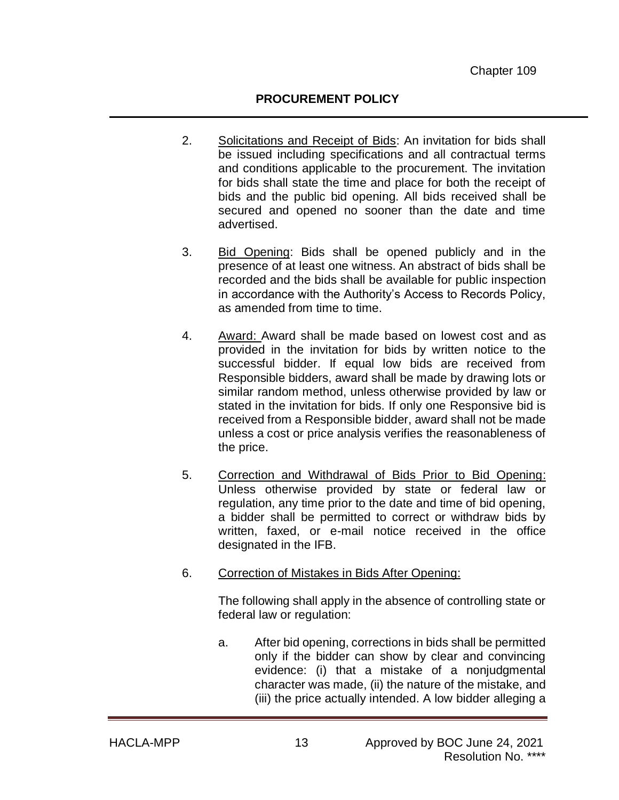### **PROCUREMENT POLICY**

- 2. Solicitations and Receipt of Bids: An invitation for bids shall be issued including specifications and all contractual terms and conditions applicable to the procurement. The invitation for bids shall state the time and place for both the receipt of bids and the public bid opening. All bids received shall be secured and opened no sooner than the date and time advertised.
- 3. Bid Opening: Bids shall be opened publicly and in the presence of at least one witness. An abstract of bids shall be recorded and the bids shall be available for public inspection in accordance with the Authority's Access to Records Policy, as amended from time to time.
- 4. Award: Award shall be made based on lowest cost and as provided in the invitation for bids by written notice to the successful bidder. If equal low bids are received from Responsible bidders, award shall be made by drawing lots or similar random method, unless otherwise provided by law or stated in the invitation for bids. If only one Responsive bid is received from a Responsible bidder, award shall not be made unless a cost or price analysis verifies the reasonableness of the price.
- 5. Correction and Withdrawal of Bids Prior to Bid Opening: Unless otherwise provided by state or federal law or regulation, any time prior to the date and time of bid opening, a bidder shall be permitted to correct or withdraw bids by written, faxed, or e-mail notice received in the office designated in the IFB.
- 6. Correction of Mistakes in Bids After Opening:

The following shall apply in the absence of controlling state or federal law or regulation:

a. After bid opening, corrections in bids shall be permitted only if the bidder can show by clear and convincing evidence: (i) that a mistake of a nonjudgmental character was made, (ii) the nature of the mistake, and (iii) the price actually intended. A low bidder alleging a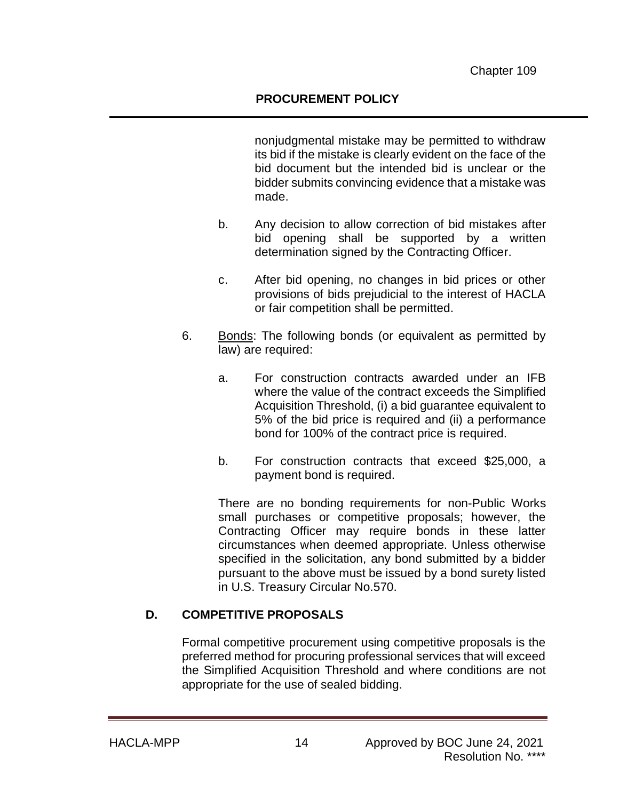nonjudgmental mistake may be permitted to withdraw its bid if the mistake is clearly evident on the face of the bid document but the intended bid is unclear or the bidder submits convincing evidence that a mistake was made.

- b. Any decision to allow correction of bid mistakes after bid opening shall be supported by a written determination signed by the Contracting Officer.
- c. After bid opening, no changes in bid prices or other provisions of bids prejudicial to the interest of HACLA or fair competition shall be permitted.
- 6. Bonds: The following bonds (or equivalent as permitted by law) are required:
	- a. For construction contracts awarded under an IFB where the value of the contract exceeds the Simplified Acquisition Threshold, (i) a bid guarantee equivalent to 5% of the bid price is required and (ii) a performance bond for 100% of the contract price is required.
	- b. For construction contracts that exceed \$25,000, a payment bond is required.

There are no bonding requirements for non-Public Works small purchases or competitive proposals; however, the Contracting Officer may require bonds in these latter circumstances when deemed appropriate. Unless otherwise specified in the solicitation, any bond submitted by a bidder pursuant to the above must be issued by a bond surety listed in U.S. Treasury Circular No.570.

## **D. COMPETITIVE PROPOSALS**

Formal competitive procurement using competitive proposals is the preferred method for procuring professional services that will exceed the Simplified Acquisition Threshold and where conditions are not appropriate for the use of sealed bidding.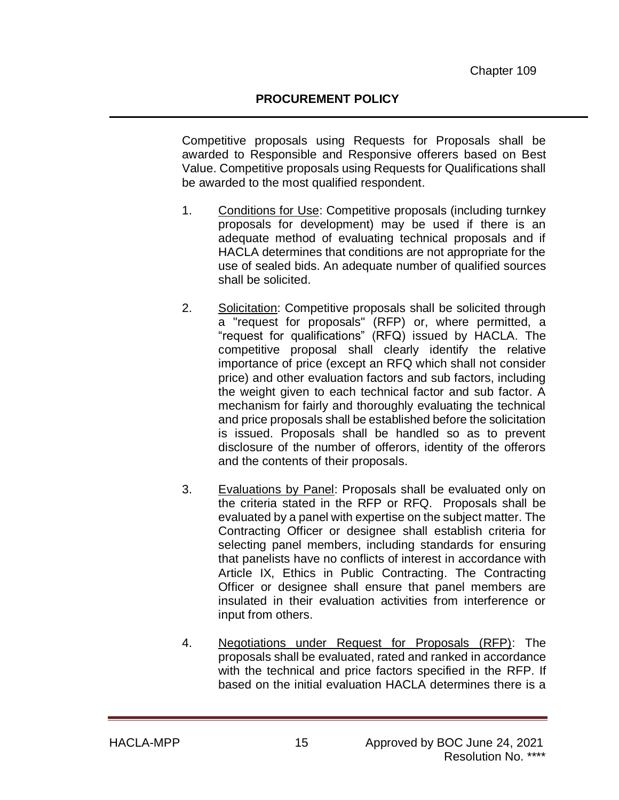Competitive proposals using Requests for Proposals shall be awarded to Responsible and Responsive offerers based on Best Value. Competitive proposals using Requests for Qualifications shall be awarded to the most qualified respondent.

- 1. Conditions for Use: Competitive proposals (including turnkey proposals for development) may be used if there is an adequate method of evaluating technical proposals and if HACLA determines that conditions are not appropriate for the use of sealed bids. An adequate number of qualified sources shall be solicited.
- 2. Solicitation: Competitive proposals shall be solicited through a "request for proposals" (RFP) or, where permitted, a "request for qualifications" (RFQ) issued by HACLA. The competitive proposal shall clearly identify the relative importance of price (except an RFQ which shall not consider price) and other evaluation factors and sub factors, including the weight given to each technical factor and sub factor. A mechanism for fairly and thoroughly evaluating the technical and price proposals shall be established before the solicitation is issued. Proposals shall be handled so as to prevent disclosure of the number of offerors, identity of the offerors and the contents of their proposals.
- 3. Evaluations by Panel: Proposals shall be evaluated only on the criteria stated in the RFP or RFQ. Proposals shall be evaluated by a panel with expertise on the subject matter. The Contracting Officer or designee shall establish criteria for selecting panel members, including standards for ensuring that panelists have no conflicts of interest in accordance with Article IX, Ethics in Public Contracting. The Contracting Officer or designee shall ensure that panel members are insulated in their evaluation activities from interference or input from others.
- 4. Negotiations under Request for Proposals (RFP): The proposals shall be evaluated, rated and ranked in accordance with the technical and price factors specified in the RFP. If based on the initial evaluation HACLA determines there is a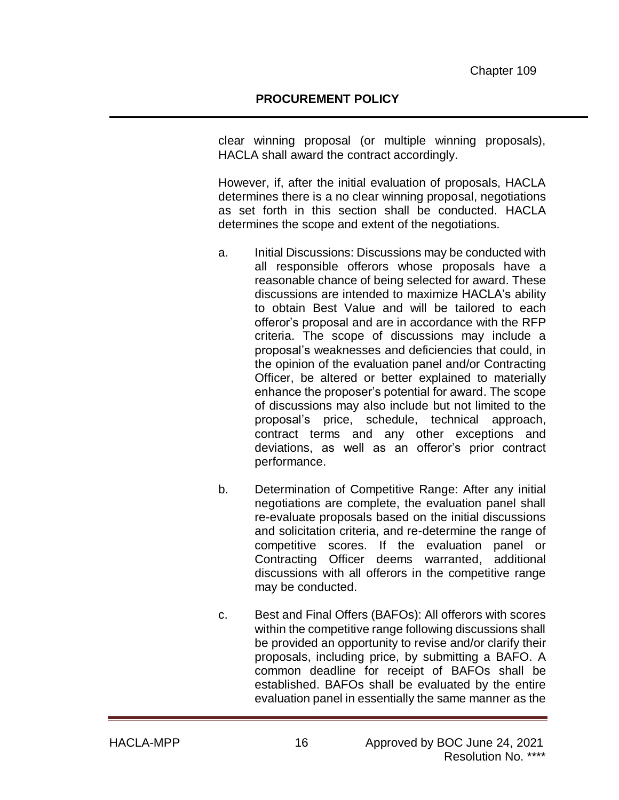clear winning proposal (or multiple winning proposals), HACLA shall award the contract accordingly.

However, if, after the initial evaluation of proposals, HACLA determines there is a no clear winning proposal, negotiations as set forth in this section shall be conducted. HACLA determines the scope and extent of the negotiations.

- a. Initial Discussions: Discussions may be conducted with all responsible offerors whose proposals have a reasonable chance of being selected for award. These discussions are intended to maximize HACLA's ability to obtain Best Value and will be tailored to each offeror's proposal and are in accordance with the RFP criteria. The scope of discussions may include a proposal's weaknesses and deficiencies that could, in the opinion of the evaluation panel and/or Contracting Officer, be altered or better explained to materially enhance the proposer's potential for award. The scope of discussions may also include but not limited to the proposal's price, schedule, technical approach, contract terms and any other exceptions and deviations, as well as an offeror's prior contract performance.
- b. Determination of Competitive Range: After any initial negotiations are complete, the evaluation panel shall re-evaluate proposals based on the initial discussions and solicitation criteria, and re-determine the range of competitive scores. If the evaluation panel or Contracting Officer deems warranted, additional discussions with all offerors in the competitive range may be conducted.
- c. Best and Final Offers (BAFOs): All offerors with scores within the competitive range following discussions shall be provided an opportunity to revise and/or clarify their proposals, including price, by submitting a BAFO. A common deadline for receipt of BAFOs shall be established. BAFOs shall be evaluated by the entire evaluation panel in essentially the same manner as the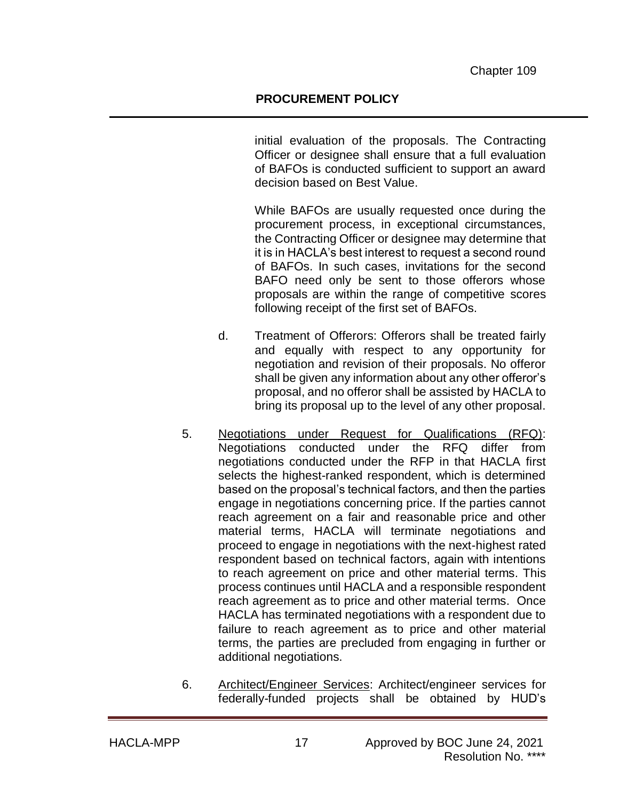initial evaluation of the proposals. The Contracting Officer or designee shall ensure that a full evaluation of BAFOs is conducted sufficient to support an award decision based on Best Value.

While BAFOs are usually requested once during the procurement process, in exceptional circumstances, the Contracting Officer or designee may determine that it is in HACLA's best interest to request a second round of BAFOs. In such cases, invitations for the second BAFO need only be sent to those offerors whose proposals are within the range of competitive scores following receipt of the first set of BAFOs.

- d. Treatment of Offerors: Offerors shall be treated fairly and equally with respect to any opportunity for negotiation and revision of their proposals. No offeror shall be given any information about any other offeror's proposal, and no offeror shall be assisted by HACLA to bring its proposal up to the level of any other proposal.
- 5. Negotiations under Request for Qualifications (RFQ): Negotiations conducted under the RFQ differ from negotiations conducted under the RFP in that HACLA first selects the highest-ranked respondent, which is determined based on the proposal's technical factors, and then the parties engage in negotiations concerning price. If the parties cannot reach agreement on a fair and reasonable price and other material terms, HACLA will terminate negotiations and proceed to engage in negotiations with the next-highest rated respondent based on technical factors, again with intentions to reach agreement on price and other material terms. This process continues until HACLA and a responsible respondent reach agreement as to price and other material terms. Once HACLA has terminated negotiations with a respondent due to failure to reach agreement as to price and other material terms, the parties are precluded from engaging in further or additional negotiations.
- 6. Architect/Engineer Services: Architect/engineer services for federally-funded projects shall be obtained by HUD's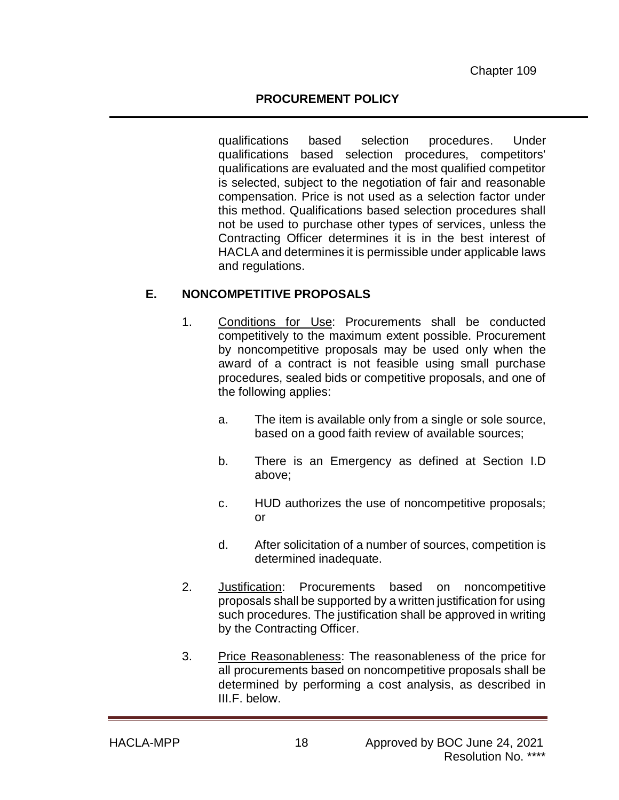qualifications based selection procedures. Under qualifications based selection procedures, competitors' qualifications are evaluated and the most qualified competitor is selected, subject to the negotiation of fair and reasonable compensation. Price is not used as a selection factor under this method. Qualifications based selection procedures shall not be used to purchase other types of services, unless the Contracting Officer determines it is in the best interest of HACLA and determines it is permissible under applicable laws and regulations.

## **E. NONCOMPETITIVE PROPOSALS**

- 1. Conditions for Use: Procurements shall be conducted competitively to the maximum extent possible. Procurement by noncompetitive proposals may be used only when the award of a contract is not feasible using small purchase procedures, sealed bids or competitive proposals, and one of the following applies:
	- a. The item is available only from a single or sole source, based on a good faith review of available sources;
	- b. There is an Emergency as defined at Section I.D above;
	- c. HUD authorizes the use of noncompetitive proposals; or
	- d. After solicitation of a number of sources, competition is determined inadequate.
- 2. Justification: Procurements based on noncompetitive proposals shall be supported by a written justification for using such procedures. The justification shall be approved in writing by the Contracting Officer.
- 3. Price Reasonableness: The reasonableness of the price for all procurements based on noncompetitive proposals shall be determined by performing a cost analysis, as described in III.F. below.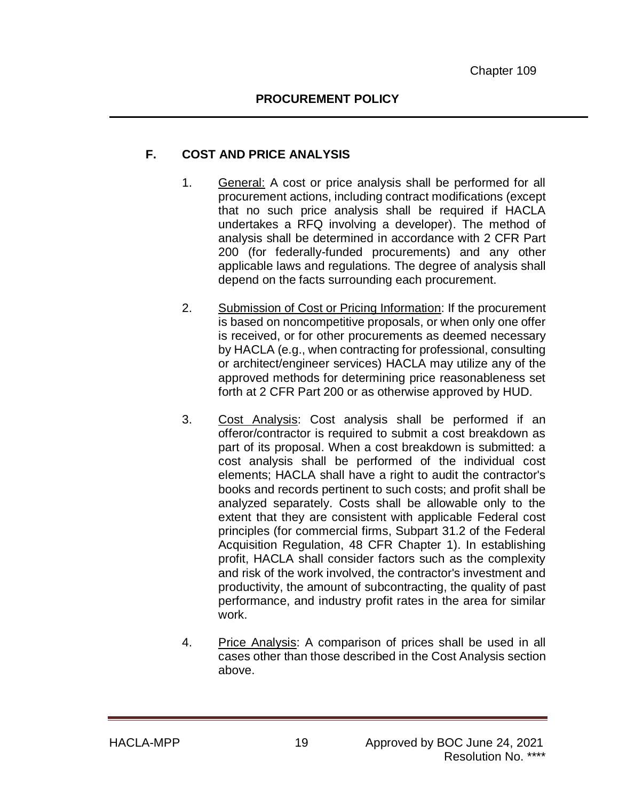### **F. COST AND PRICE ANALYSIS**

- 1. General: A cost or price analysis shall be performed for all procurement actions, including contract modifications (except that no such price analysis shall be required if HACLA undertakes a RFQ involving a developer). The method of analysis shall be determined in accordance with 2 CFR Part 200 (for federally-funded procurements) and any other applicable laws and regulations. The degree of analysis shall depend on the facts surrounding each procurement.
- 2. Submission of Cost or Pricing Information: If the procurement is based on noncompetitive proposals, or when only one offer is received, or for other procurements as deemed necessary by HACLA (e.g., when contracting for professional, consulting or architect/engineer services) HACLA may utilize any of the approved methods for determining price reasonableness set forth at 2 CFR Part 200 or as otherwise approved by HUD.
- 3. Cost Analysis: Cost analysis shall be performed if an offeror/contractor is required to submit a cost breakdown as part of its proposal. When a cost breakdown is submitted: a cost analysis shall be performed of the individual cost elements; HACLA shall have a right to audit the contractor's books and records pertinent to such costs; and profit shall be analyzed separately. Costs shall be allowable only to the extent that they are consistent with applicable Federal cost principles (for commercial firms, Subpart 31.2 of the Federal Acquisition Regulation, 48 CFR Chapter 1). In establishing profit, HACLA shall consider factors such as the complexity and risk of the work involved, the contractor's investment and productivity, the amount of subcontracting, the quality of past performance, and industry profit rates in the area for similar work.
- 4. Price Analysis: A comparison of prices shall be used in all cases other than those described in the Cost Analysis section above.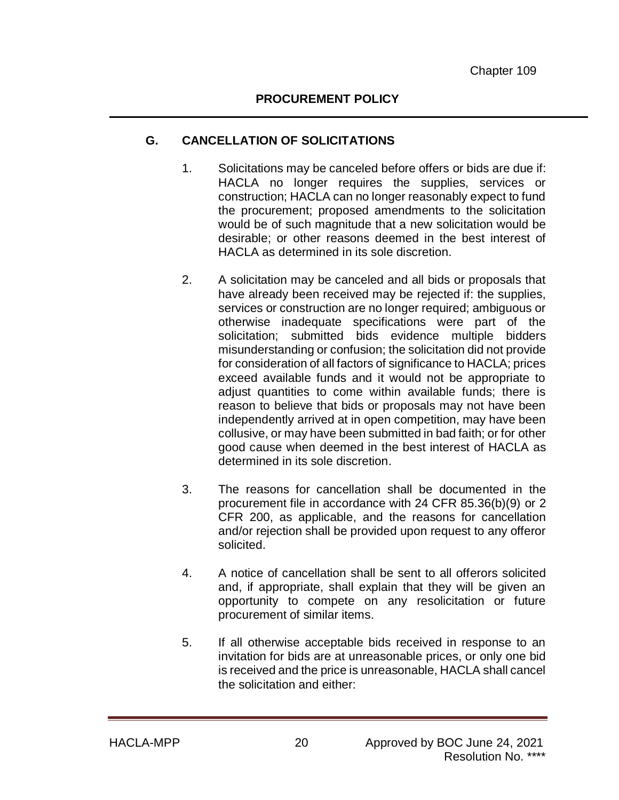### **G. CANCELLATION OF SOLICITATIONS**

- 1. Solicitations may be canceled before offers or bids are due if: HACLA no longer requires the supplies, services or construction; HACLA can no longer reasonably expect to fund the procurement; proposed amendments to the solicitation would be of such magnitude that a new solicitation would be desirable; or other reasons deemed in the best interest of HACLA as determined in its sole discretion.
- 2. A solicitation may be canceled and all bids or proposals that have already been received may be rejected if: the supplies, services or construction are no longer required; ambiguous or otherwise inadequate specifications were part of the solicitation; submitted bids evidence multiple bidders misunderstanding or confusion; the solicitation did not provide for consideration of all factors of significance to HACLA; prices exceed available funds and it would not be appropriate to adjust quantities to come within available funds; there is reason to believe that bids or proposals may not have been independently arrived at in open competition, may have been collusive, or may have been submitted in bad faith; or for other good cause when deemed in the best interest of HACLA as determined in its sole discretion.
- 3. The reasons for cancellation shall be documented in the procurement file in accordance with 24 CFR 85.36(b)(9) or 2 CFR 200, as applicable, and the reasons for cancellation and/or rejection shall be provided upon request to any offeror solicited.
- 4. A notice of cancellation shall be sent to all offerors solicited and, if appropriate, shall explain that they will be given an opportunity to compete on any resolicitation or future procurement of similar items.
- 5. If all otherwise acceptable bids received in response to an invitation for bids are at unreasonable prices, or only one bid is received and the price is unreasonable, HACLA shall cancel the solicitation and either: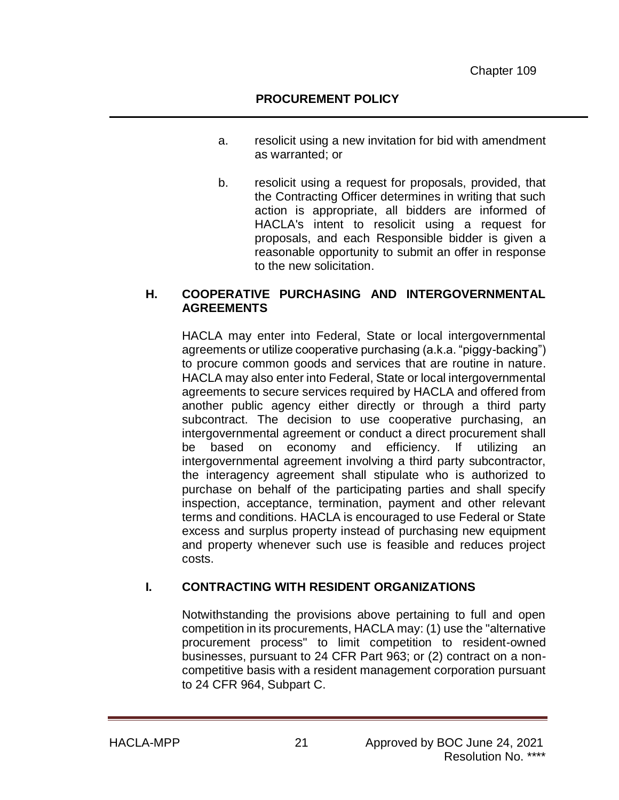- a. resolicit using a new invitation for bid with amendment as warranted; or
- b. resolicit using a request for proposals, provided, that the Contracting Officer determines in writing that such action is appropriate, all bidders are informed of HACLA's intent to resolicit using a request for proposals, and each Responsible bidder is given a reasonable opportunity to submit an offer in response to the new solicitation.

#### **H. COOPERATIVE PURCHASING AND INTERGOVERNMENTAL AGREEMENTS**

HACLA may enter into Federal, State or local intergovernmental agreements or utilize cooperative purchasing (a.k.a. "piggy-backing") to procure common goods and services that are routine in nature. HACLA may also enter into Federal, State or local intergovernmental agreements to secure services required by HACLA and offered from another public agency either directly or through a third party subcontract. The decision to use cooperative purchasing, an intergovernmental agreement or conduct a direct procurement shall be based on economy and efficiency. If utilizing an intergovernmental agreement involving a third party subcontractor, the interagency agreement shall stipulate who is authorized to purchase on behalf of the participating parties and shall specify inspection, acceptance, termination, payment and other relevant terms and conditions. HACLA is encouraged to use Federal or State excess and surplus property instead of purchasing new equipment and property whenever such use is feasible and reduces project costs.

## **I. CONTRACTING WITH RESIDENT ORGANIZATIONS**

Notwithstanding the provisions above pertaining to full and open competition in its procurements, HACLA may: (1) use the "alternative procurement process" to limit competition to resident-owned businesses, pursuant to 24 CFR Part 963; or (2) contract on a noncompetitive basis with a resident management corporation pursuant to 24 CFR 964, Subpart C.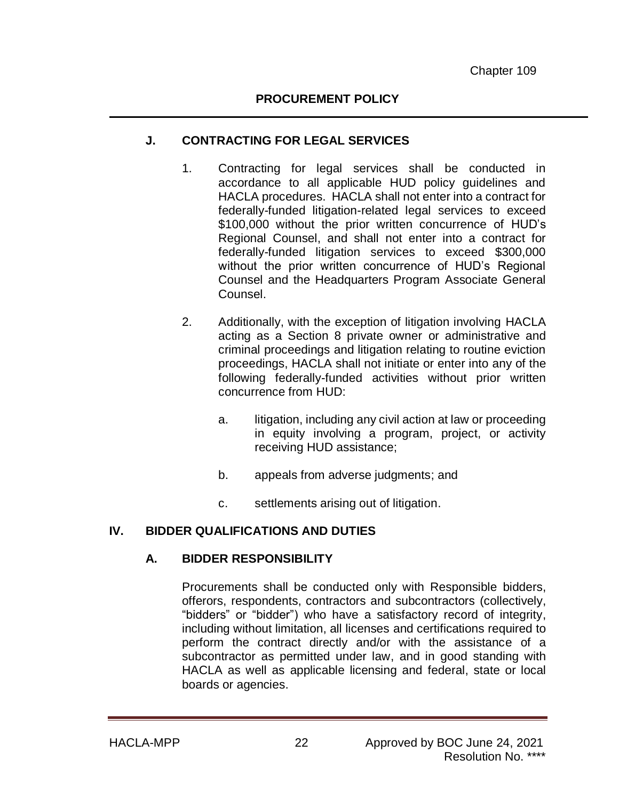### **J. CONTRACTING FOR LEGAL SERVICES**

- 1. Contracting for legal services shall be conducted in accordance to all applicable HUD policy guidelines and HACLA procedures. HACLA shall not enter into a contract for federally-funded litigation-related legal services to exceed \$100,000 without the prior written concurrence of HUD's Regional Counsel, and shall not enter into a contract for federally-funded litigation services to exceed \$300,000 without the prior written concurrence of HUD's Regional Counsel and the Headquarters Program Associate General Counsel.
- 2. Additionally, with the exception of litigation involving HACLA acting as a Section 8 private owner or administrative and criminal proceedings and litigation relating to routine eviction proceedings, HACLA shall not initiate or enter into any of the following federally-funded activities without prior written concurrence from HUD:
	- a. litigation, including any civil action at law or proceeding in equity involving a program, project, or activity receiving HUD assistance;
	- b. appeals from adverse judgments; and
	- c. settlements arising out of litigation.

## **IV. BIDDER QUALIFICATIONS AND DUTIES**

## **A. BIDDER RESPONSIBILITY**

Procurements shall be conducted only with Responsible bidders, offerors, respondents, contractors and subcontractors (collectively, "bidders" or "bidder") who have a satisfactory record of integrity, including without limitation, all licenses and certifications required to perform the contract directly and/or with the assistance of a subcontractor as permitted under law, and in good standing with HACLA as well as applicable licensing and federal, state or local boards or agencies.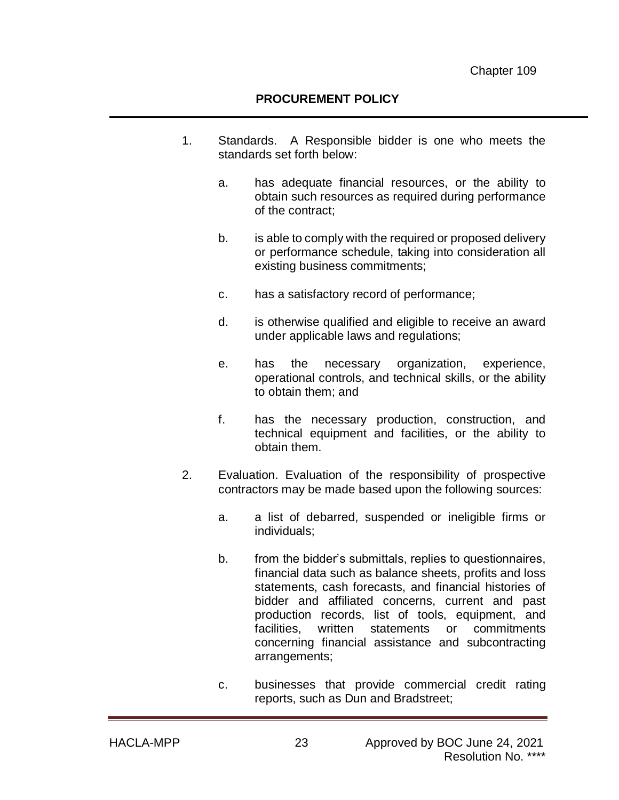#### **PROCUREMENT POLICY**

- 1. Standards. A Responsible bidder is one who meets the standards set forth below:
	- a. has adequate financial resources, or the ability to obtain such resources as required during performance of the contract;
	- b. is able to comply with the required or proposed delivery or performance schedule, taking into consideration all existing business commitments;
	- c. has a satisfactory record of performance;
	- d. is otherwise qualified and eligible to receive an award under applicable laws and regulations;
	- e. has the necessary organization, experience, operational controls, and technical skills, or the ability to obtain them; and
	- f. has the necessary production, construction, and technical equipment and facilities, or the ability to obtain them.
- 2. Evaluation. Evaluation of the responsibility of prospective contractors may be made based upon the following sources:
	- a. a list of debarred, suspended or ineligible firms or individuals;
	- b. from the bidder's submittals, replies to questionnaires, financial data such as balance sheets, profits and loss statements, cash forecasts, and financial histories of bidder and affiliated concerns, current and past production records, list of tools, equipment, and facilities, written statements or commitments concerning financial assistance and subcontracting arrangements;
	- c. businesses that provide commercial credit rating reports, such as Dun and Bradstreet;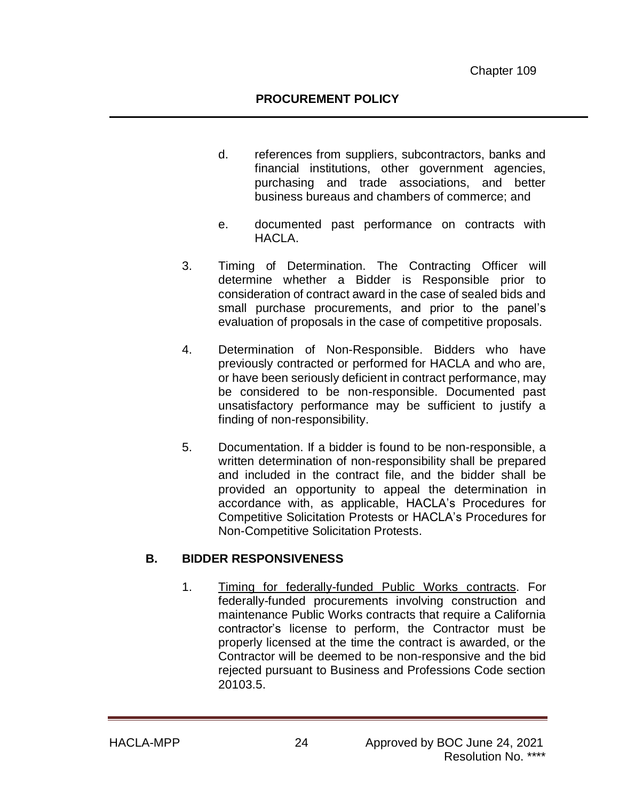- d. references from suppliers, subcontractors, banks and financial institutions, other government agencies, purchasing and trade associations, and better business bureaus and chambers of commerce; and
- e. documented past performance on contracts with HACLA.
- 3. Timing of Determination. The Contracting Officer will determine whether a Bidder is Responsible prior to consideration of contract award in the case of sealed bids and small purchase procurements, and prior to the panel's evaluation of proposals in the case of competitive proposals.
- 4. Determination of Non-Responsible. Bidders who have previously contracted or performed for HACLA and who are, or have been seriously deficient in contract performance, may be considered to be non-responsible. Documented past unsatisfactory performance may be sufficient to justify a finding of non-responsibility.
- 5. Documentation. If a bidder is found to be non-responsible, a written determination of non-responsibility shall be prepared and included in the contract file, and the bidder shall be provided an opportunity to appeal the determination in accordance with, as applicable, HACLA's Procedures for Competitive Solicitation Protests or HACLA's Procedures for Non-Competitive Solicitation Protests.

#### **B. BIDDER RESPONSIVENESS**

1. Timing for federally-funded Public Works contracts. For federally-funded procurements involving construction and maintenance Public Works contracts that require a California contractor's license to perform, the Contractor must be properly licensed at the time the contract is awarded, or the Contractor will be deemed to be non-responsive and the bid rejected pursuant to Business and Professions Code section 20103.5.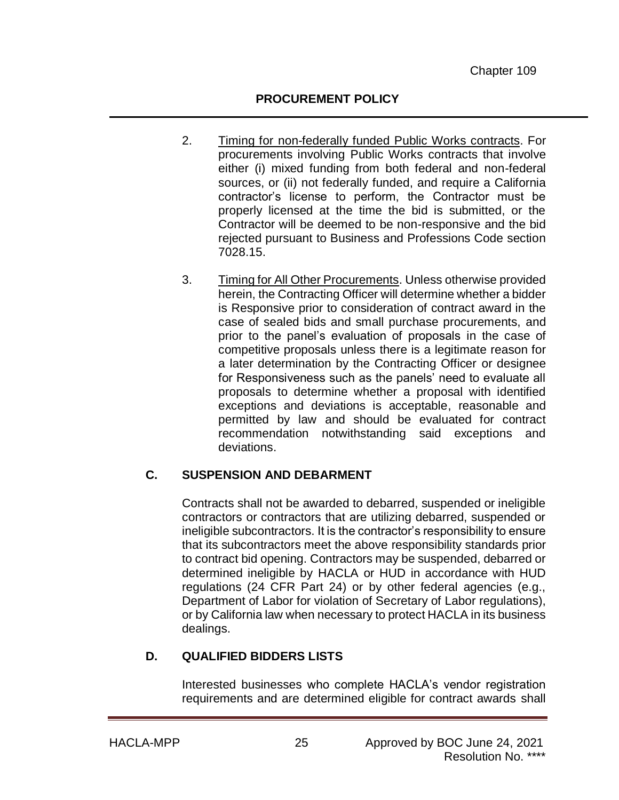### **PROCUREMENT POLICY**

- 2. Timing for non-federally funded Public Works contracts. For procurements involving Public Works contracts that involve either (i) mixed funding from both federal and non-federal sources, or (ii) not federally funded, and require a California contractor's license to perform, the Contractor must be properly licensed at the time the bid is submitted, or the Contractor will be deemed to be non-responsive and the bid rejected pursuant to Business and Professions Code section 7028.15.
- 3. Timing for All Other Procurements. Unless otherwise provided herein, the Contracting Officer will determine whether a bidder is Responsive prior to consideration of contract award in the case of sealed bids and small purchase procurements, and prior to the panel's evaluation of proposals in the case of competitive proposals unless there is a legitimate reason for a later determination by the Contracting Officer or designee for Responsiveness such as the panels' need to evaluate all proposals to determine whether a proposal with identified exceptions and deviations is acceptable, reasonable and permitted by law and should be evaluated for contract recommendation notwithstanding said exceptions and deviations.

## **C. SUSPENSION AND DEBARMENT**

Contracts shall not be awarded to debarred, suspended or ineligible contractors or contractors that are utilizing debarred, suspended or ineligible subcontractors. It is the contractor's responsibility to ensure that its subcontractors meet the above responsibility standards prior to contract bid opening. Contractors may be suspended, debarred or determined ineligible by HACLA or HUD in accordance with HUD regulations (24 CFR Part 24) or by other federal agencies (e.g., Department of Labor for violation of Secretary of Labor regulations), or by California law when necessary to protect HACLA in its business dealings.

## **D. QUALIFIED BIDDERS LISTS**

Interested businesses who complete HACLA's vendor registration requirements and are determined eligible for contract awards shall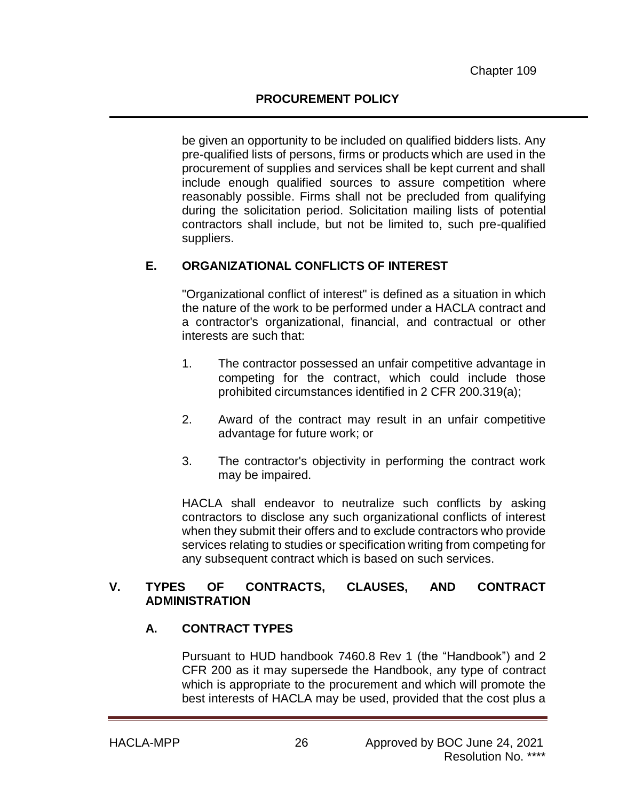be given an opportunity to be included on qualified bidders lists. Any pre-qualified lists of persons, firms or products which are used in the procurement of supplies and services shall be kept current and shall include enough qualified sources to assure competition where reasonably possible. Firms shall not be precluded from qualifying during the solicitation period. Solicitation mailing lists of potential contractors shall include, but not be limited to, such pre-qualified suppliers.

# **E. ORGANIZATIONAL CONFLICTS OF INTEREST**

"Organizational conflict of interest" is defined as a situation in which the nature of the work to be performed under a HACLA contract and a contractor's organizational, financial, and contractual or other interests are such that:

- 1. The contractor possessed an unfair competitive advantage in competing for the contract, which could include those prohibited circumstances identified in 2 CFR 200.319(a);
- 2. Award of the contract may result in an unfair competitive advantage for future work; or
- 3. The contractor's objectivity in performing the contract work may be impaired.

HACLA shall endeavor to neutralize such conflicts by asking contractors to disclose any such organizational conflicts of interest when they submit their offers and to exclude contractors who provide services relating to studies or specification writing from competing for any subsequent contract which is based on such services.

#### **V. TYPES OF CONTRACTS, CLAUSES, AND CONTRACT ADMINISTRATION**

## **A. CONTRACT TYPES**

Pursuant to HUD handbook 7460.8 Rev 1 (the "Handbook") and 2 CFR 200 as it may supersede the Handbook, any type of contract which is appropriate to the procurement and which will promote the best interests of HACLA may be used, provided that the cost plus a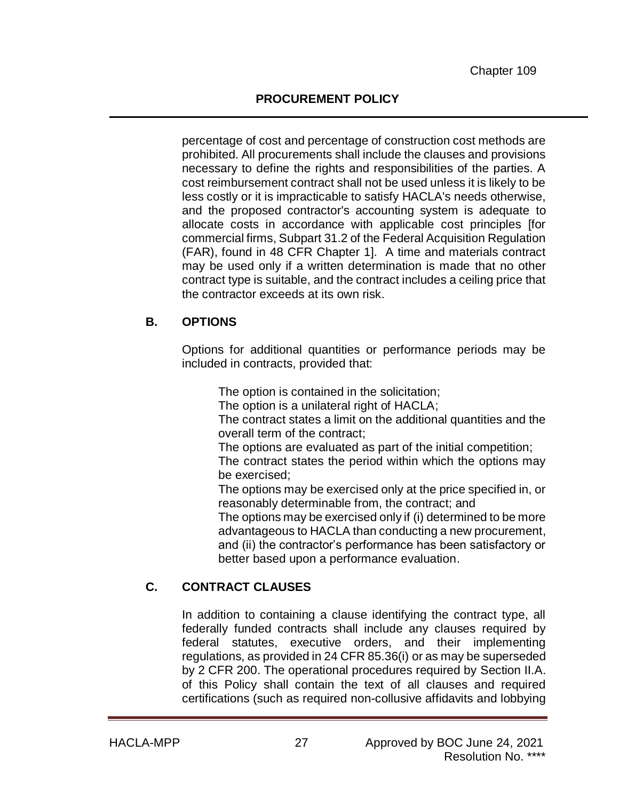percentage of cost and percentage of construction cost methods are prohibited. All procurements shall include the clauses and provisions necessary to define the rights and responsibilities of the parties. A cost reimbursement contract shall not be used unless it is likely to be less costly or it is impracticable to satisfy HACLA's needs otherwise, and the proposed contractor's accounting system is adequate to allocate costs in accordance with applicable cost principles [for commercial firms, Subpart 31.2 of the Federal Acquisition Regulation (FAR), found in 48 CFR Chapter 1]. A time and materials contract may be used only if a written determination is made that no other contract type is suitable, and the contract includes a ceiling price that the contractor exceeds at its own risk.

# **B. OPTIONS**

Options for additional quantities or performance periods may be included in contracts, provided that:

The option is contained in the solicitation;

The option is a unilateral right of HACLA;

The contract states a limit on the additional quantities and the overall term of the contract;

The options are evaluated as part of the initial competition;

The contract states the period within which the options may be exercised;

The options may be exercised only at the price specified in, or reasonably determinable from, the contract; and

The options may be exercised only if (i) determined to be more advantageous to HACLA than conducting a new procurement, and (ii) the contractor's performance has been satisfactory or better based upon a performance evaluation.

# **C. CONTRACT CLAUSES**

In addition to containing a clause identifying the contract type, all federally funded contracts shall include any clauses required by federal statutes, executive orders, and their implementing regulations, as provided in 24 CFR 85.36(i) or as may be superseded by 2 CFR 200. The operational procedures required by Section II.A. of this Policy shall contain the text of all clauses and required certifications (such as required non-collusive affidavits and lobbying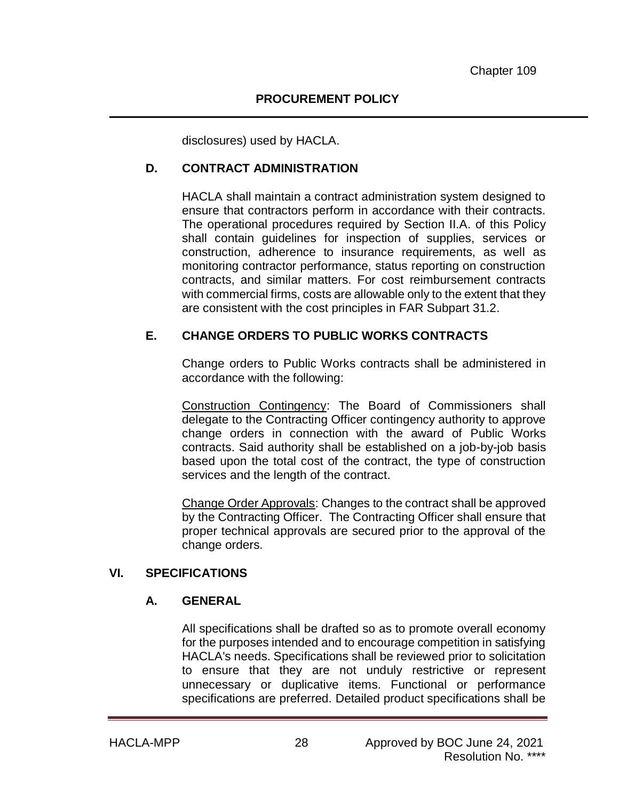disclosures) used by HACLA.

## **D. CONTRACT ADMINISTRATION**

HACLA shall maintain a contract administration system designed to ensure that contractors perform in accordance with their contracts. The operational procedures required by Section II.A. of this Policy shall contain guidelines for inspection of supplies, services or construction, adherence to insurance requirements, as well as monitoring contractor performance, status reporting on construction contracts, and similar matters. For cost reimbursement contracts with commercial firms, costs are allowable only to the extent that they are consistent with the cost principles in FAR Subpart 31.2.

### **E. CHANGE ORDERS TO PUBLIC WORKS CONTRACTS**

Change orders to Public Works contracts shall be administered in accordance with the following:

Construction Contingency: The Board of Commissioners shall delegate to the Contracting Officer contingency authority to approve change orders in connection with the award of Public Works contracts. Said authority shall be established on a job-by-job basis based upon the total cost of the contract, the type of construction services and the length of the contract.

Change Order Approvals: Changes to the contract shall be approved by the Contracting Officer. The Contracting Officer shall ensure that proper technical approvals are secured prior to the approval of the change orders.

#### **VI. SPECIFICATIONS**

#### **A. GENERAL**

All specifications shall be drafted so as to promote overall economy for the purposes intended and to encourage competition in satisfying HACLA's needs. Specifications shall be reviewed prior to solicitation to ensure that they are not unduly restrictive or represent unnecessary or duplicative items. Functional or performance specifications are preferred. Detailed product specifications shall be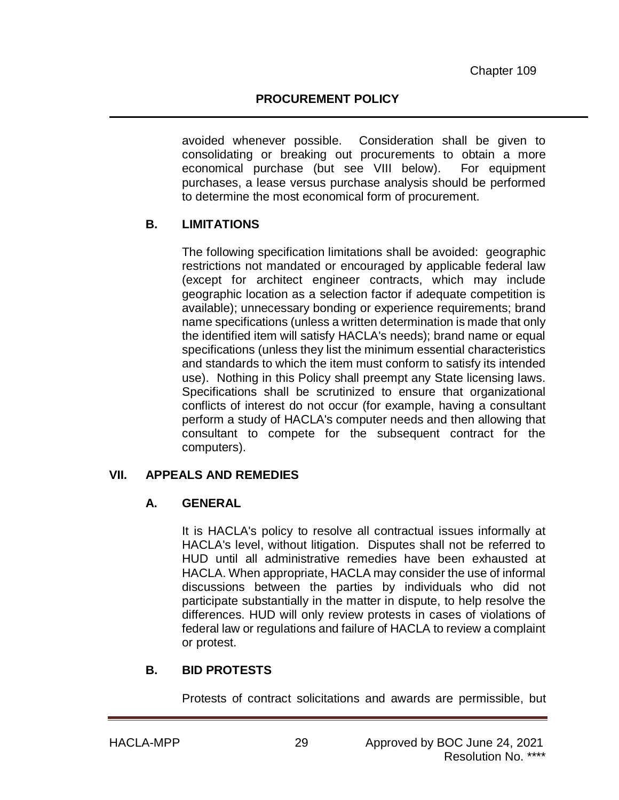avoided whenever possible. Consideration shall be given to consolidating or breaking out procurements to obtain a more economical purchase (but see VIII below). For equipment purchases, a lease versus purchase analysis should be performed to determine the most economical form of procurement.

## **B. LIMITATIONS**

The following specification limitations shall be avoided: geographic restrictions not mandated or encouraged by applicable federal law (except for architect engineer contracts, which may include geographic location as a selection factor if adequate competition is available); unnecessary bonding or experience requirements; brand name specifications (unless a written determination is made that only the identified item will satisfy HACLA's needs); brand name or equal specifications (unless they list the minimum essential characteristics and standards to which the item must conform to satisfy its intended use). Nothing in this Policy shall preempt any State licensing laws. Specifications shall be scrutinized to ensure that organizational conflicts of interest do not occur (for example, having a consultant perform a study of HACLA's computer needs and then allowing that consultant to compete for the subsequent contract for the computers).

#### **VII. APPEALS AND REMEDIES**

## **A. GENERAL**

It is HACLA's policy to resolve all contractual issues informally at HACLA's level, without litigation. Disputes shall not be referred to HUD until all administrative remedies have been exhausted at HACLA. When appropriate, HACLA may consider the use of informal discussions between the parties by individuals who did not participate substantially in the matter in dispute, to help resolve the differences. HUD will only review protests in cases of violations of federal law or regulations and failure of HACLA to review a complaint or protest.

#### **B. BID PROTESTS**

Protests of contract solicitations and awards are permissible, but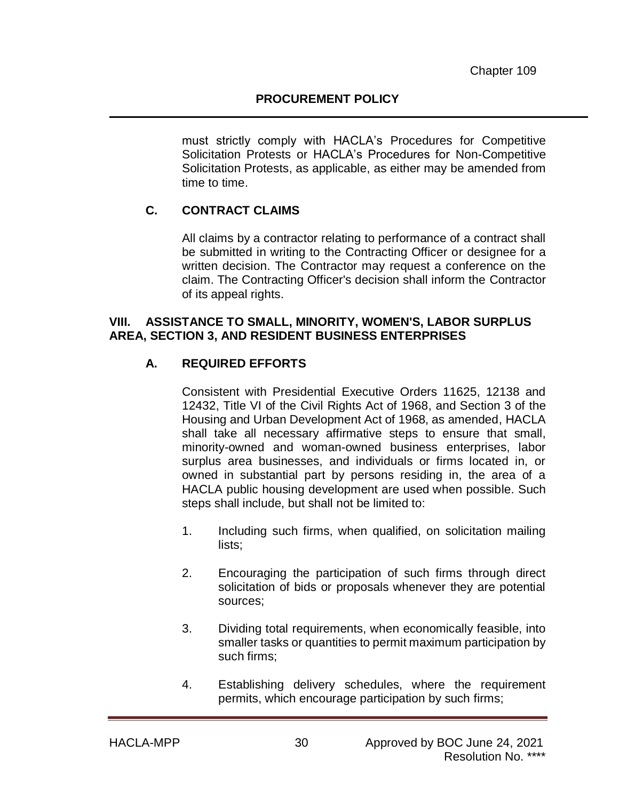must strictly comply with HACLA's Procedures for Competitive Solicitation Protests or HACLA's Procedures for Non-Competitive Solicitation Protests, as applicable, as either may be amended from time to time.

# **C. CONTRACT CLAIMS**

All claims by a contractor relating to performance of a contract shall be submitted in writing to the Contracting Officer or designee for a written decision. The Contractor may request a conference on the claim. The Contracting Officer's decision shall inform the Contractor of its appeal rights.

#### **VIII. ASSISTANCE TO SMALL, MINORITY, WOMEN'S, LABOR SURPLUS AREA, SECTION 3, AND RESIDENT BUSINESS ENTERPRISES**

### **A. REQUIRED EFFORTS**

Consistent with Presidential Executive Orders 11625, 12138 and 12432, Title VI of the Civil Rights Act of 1968, and Section 3 of the Housing and Urban Development Act of 1968, as amended, HACLA shall take all necessary affirmative steps to ensure that small, minority-owned and woman-owned business enterprises, labor surplus area businesses, and individuals or firms located in, or owned in substantial part by persons residing in, the area of a HACLA public housing development are used when possible. Such steps shall include, but shall not be limited to:

- 1. Including such firms, when qualified, on solicitation mailing lists;
- 2. Encouraging the participation of such firms through direct solicitation of bids or proposals whenever they are potential sources;
- 3. Dividing total requirements, when economically feasible, into smaller tasks or quantities to permit maximum participation by such firms;
- 4. Establishing delivery schedules, where the requirement permits, which encourage participation by such firms;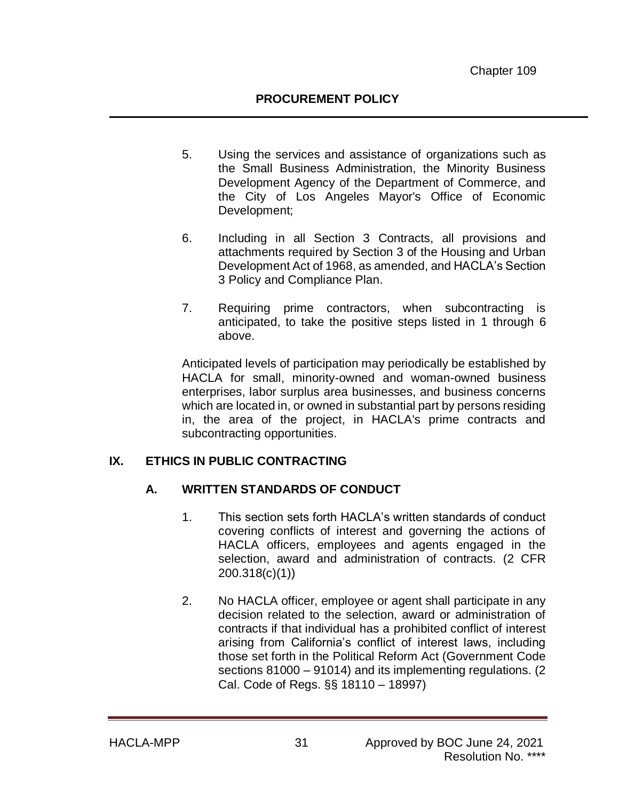- 5. Using the services and assistance of organizations such as the Small Business Administration, the Minority Business Development Agency of the Department of Commerce, and the City of Los Angeles Mayor's Office of Economic Development;
- 6. Including in all Section 3 Contracts, all provisions and attachments required by Section 3 of the Housing and Urban Development Act of 1968, as amended, and HACLA's Section 3 Policy and Compliance Plan.
- 7. Requiring prime contractors, when subcontracting is anticipated, to take the positive steps listed in 1 through 6 above.

Anticipated levels of participation may periodically be established by HACLA for small, minority-owned and woman-owned business enterprises, labor surplus area businesses, and business concerns which are located in, or owned in substantial part by persons residing in, the area of the project, in HACLA's prime contracts and subcontracting opportunities.

## **IX. ETHICS IN PUBLIC CONTRACTING**

## **A. WRITTEN STANDARDS OF CONDUCT**

- 1. This section sets forth HACLA's written standards of conduct covering conflicts of interest and governing the actions of HACLA officers, employees and agents engaged in the selection, award and administration of contracts. (2 CFR 200.318(c)(1))
- 2. No HACLA officer, employee or agent shall participate in any decision related to the selection, award or administration of contracts if that individual has a prohibited conflict of interest arising from California's conflict of interest laws, including those set forth in the Political Reform Act (Government Code sections 81000 – 91014) and its implementing regulations. (2 Cal. Code of Regs. §§ 18110 – 18997)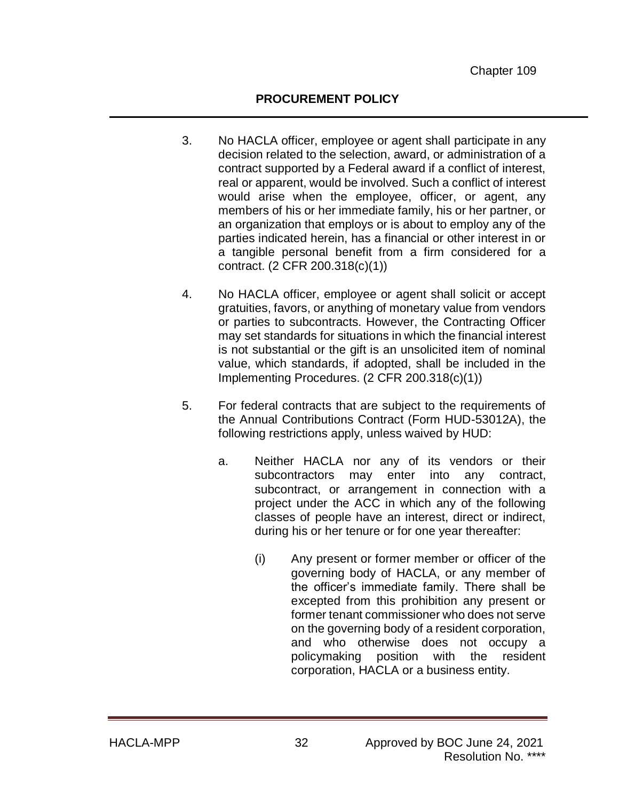## **PROCUREMENT POLICY**

- 3. No HACLA officer, employee or agent shall participate in any decision related to the selection, award, or administration of a contract supported by a Federal award if a conflict of interest, real or apparent, would be involved. Such a conflict of interest would arise when the employee, officer, or agent, any members of his or her immediate family, his or her partner, or an organization that employs or is about to employ any of the parties indicated herein, has a financial or other interest in or a tangible personal benefit from a firm considered for a contract. (2 CFR 200.318(c)(1))
- 4. No HACLA officer, employee or agent shall solicit or accept gratuities, favors, or anything of monetary value from vendors or parties to subcontracts. However, the Contracting Officer may set standards for situations in which the financial interest is not substantial or the gift is an unsolicited item of nominal value, which standards, if adopted, shall be included in the Implementing Procedures. (2 CFR 200.318(c)(1))
- 5. For federal contracts that are subject to the requirements of the Annual Contributions Contract (Form HUD-53012A), the following restrictions apply, unless waived by HUD:
	- a. Neither HACLA nor any of its vendors or their subcontractors may enter into any contract, subcontract, or arrangement in connection with a project under the ACC in which any of the following classes of people have an interest, direct or indirect, during his or her tenure or for one year thereafter:
		- (i) Any present or former member or officer of the governing body of HACLA, or any member of the officer's immediate family. There shall be excepted from this prohibition any present or former tenant commissioner who does not serve on the governing body of a resident corporation, and who otherwise does not occupy a policymaking position with the resident corporation, HACLA or a business entity.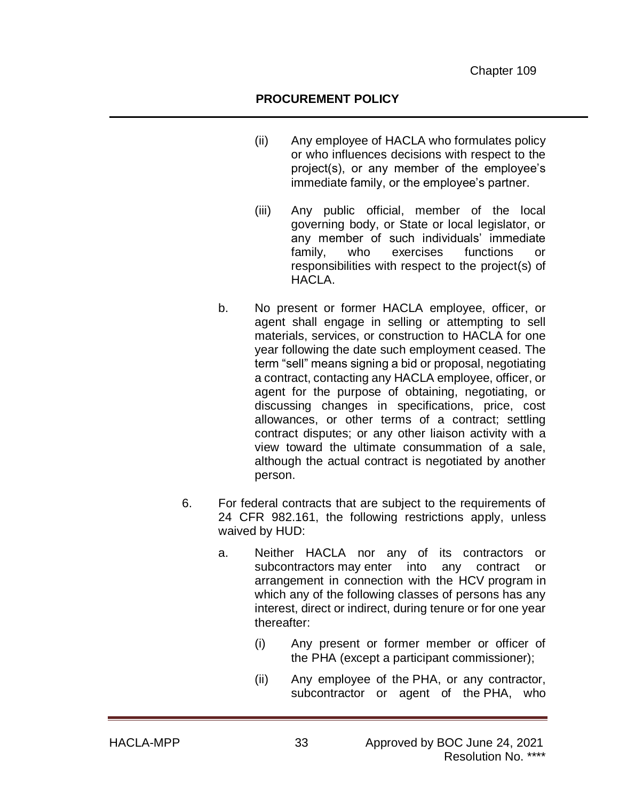### **PROCUREMENT POLICY**

- (ii) Any employee of HACLA who formulates policy or who influences decisions with respect to the project(s), or any member of the employee's immediate family, or the employee's partner.
- (iii) Any public official, member of the local governing body, or State or local legislator, or any member of such individuals' immediate family, who exercises functions or responsibilities with respect to the project(s) of HACLA.
- b. No present or former HACLA employee, officer, or agent shall engage in selling or attempting to sell materials, services, or construction to HACLA for one year following the date such employment ceased. The term "sell" means signing a bid or proposal, negotiating a contract, contacting any HACLA employee, officer, or agent for the purpose of obtaining, negotiating, or discussing changes in specifications, price, cost allowances, or other terms of a contract; settling contract disputes; or any other liaison activity with a view toward the ultimate consummation of a sale, although the actual contract is negotiated by another person.
- 6. For federal contracts that are subject to the requirements of 24 CFR 982.161, the following restrictions apply, unless waived by HUD:
	- a. Neither HACLA nor any of its contractors or subcontractors [may](https://www.law.cornell.edu/definitions/index.php?width=840&height=800&iframe=true&def_id=e3b0880323aa156a7c5817572c88fd3c&term_occur=1&term_src=Title:24:Subtitle:B:Chapter:IX:Part:982:Subpart:D:982.161) enter into any contract or arrangement in connection with the HCV [program](https://www.law.cornell.edu/definitions/index.php?width=840&height=800&iframe=true&def_id=54c66bb8255ac9e825c8878ff41bdb66&term_occur=1&term_src=Title:24:Subtitle:B:Chapter:IX:Part:982:Subpart:D:982.161) in which any of the following classes of persons has any interest, direct or indirect, during tenure or for one year thereafter:
		- (i) Any present or former member or officer of the [PHA](https://www.law.cornell.edu/definitions/index.php?width=840&height=800&iframe=true&def_id=3b4d5083a1b40906b99b82eff55c2461&term_occur=2&term_src=Title:24:Subtitle:B:Chapter:IX:Part:982:Subpart:D:982.161) (except a [participant](https://www.law.cornell.edu/definitions/index.php?width=840&height=800&iframe=true&def_id=7ee23582e3793f1888bb8d2f2108cf7b&term_occur=1&term_src=Title:24:Subtitle:B:Chapter:IX:Part:982:Subpart:D:982.161) commissioner);
		- (ii) Any employee of the [PHA,](https://www.law.cornell.edu/definitions/index.php?width=840&height=800&iframe=true&def_id=3b4d5083a1b40906b99b82eff55c2461&term_occur=3&term_src=Title:24:Subtitle:B:Chapter:IX:Part:982:Subpart:D:982.161) or any contractor, subcontractor or agent of the [PHA,](https://www.law.cornell.edu/definitions/index.php?width=840&height=800&iframe=true&def_id=3b4d5083a1b40906b99b82eff55c2461&term_occur=4&term_src=Title:24:Subtitle:B:Chapter:IX:Part:982:Subpart:D:982.161) who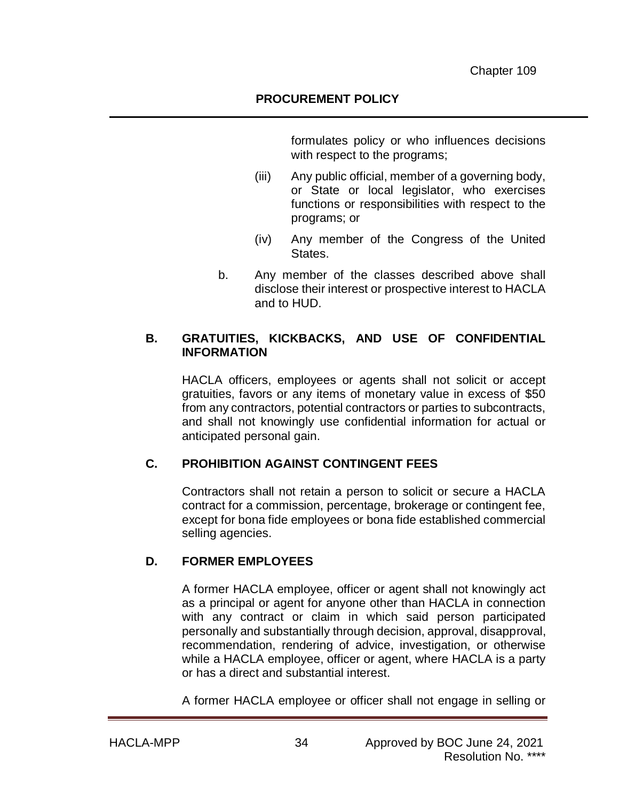formulates policy or who influences decisions with respect to the programs;

- (iii) Any public official, member of a governing body, or State or local legislator, who exercises functions or responsibilities with respect to the programs; or
- (iv) Any member of the Congress of the United States.
- b. Any member of the classes described above shall disclose their interest or prospective interest to HACLA and to HUD.

# **B. GRATUITIES, KICKBACKS, AND USE OF CONFIDENTIAL INFORMATION**

HACLA officers, employees or agents shall not solicit or accept gratuities, favors or any items of monetary value in excess of \$50 from any contractors, potential contractors or parties to subcontracts, and shall not knowingly use confidential information for actual or anticipated personal gain.

# **C. PROHIBITION AGAINST CONTINGENT FEES**

Contractors shall not retain a person to solicit or secure a HACLA contract for a commission, percentage, brokerage or contingent fee, except for bona fide employees or bona fide established commercial selling agencies.

# **D. FORMER EMPLOYEES**

A former HACLA employee, officer or agent shall not knowingly act as a principal or agent for anyone other than HACLA in connection with any contract or claim in which said person participated personally and substantially through decision, approval, disapproval, recommendation, rendering of advice, investigation, or otherwise while a HACLA employee, officer or agent, where HACLA is a party or has a direct and substantial interest.

A former HACLA employee or officer shall not engage in selling or